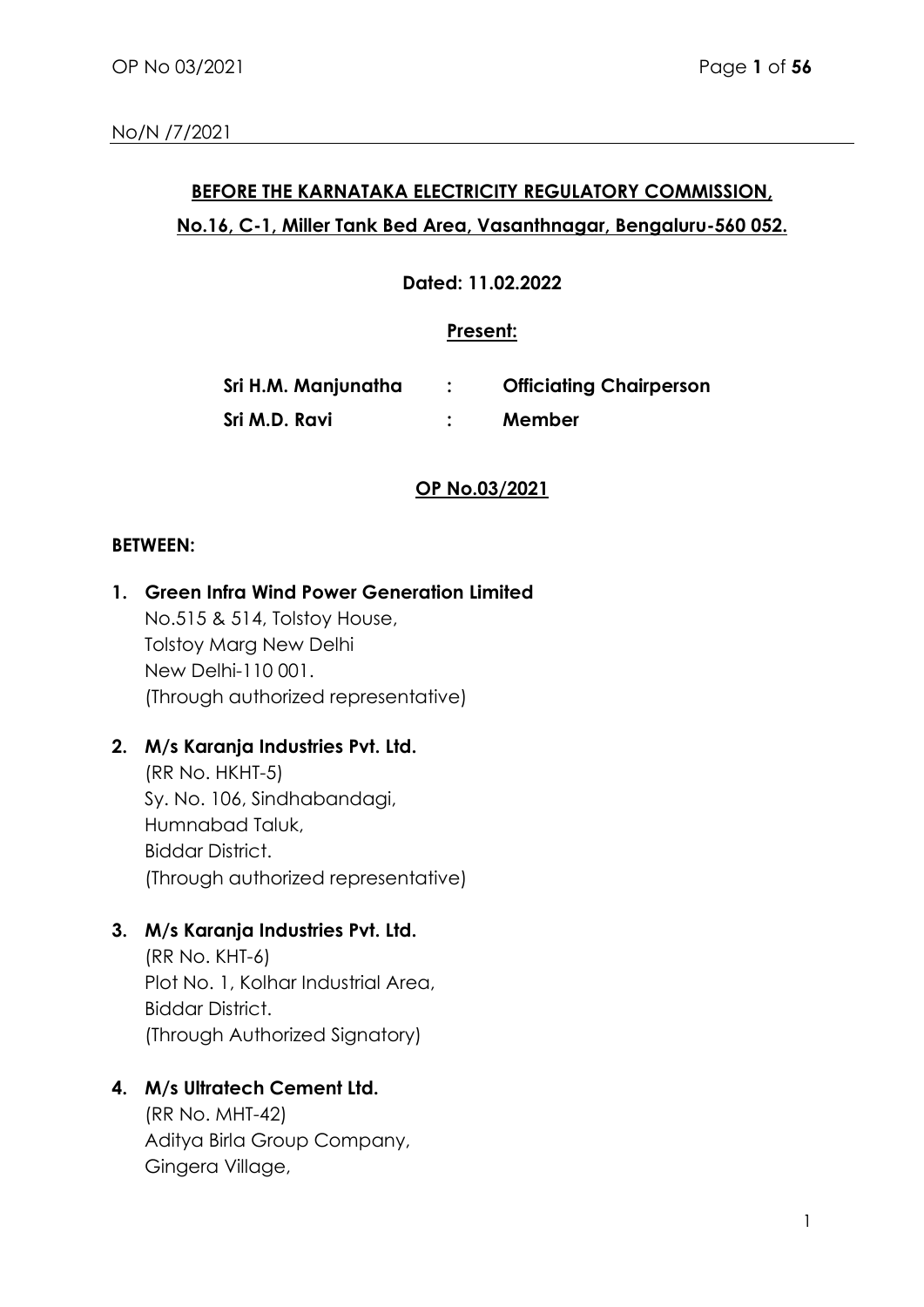# **BEFORE THE KARNATAKA ELECTRICITY REGULATORY COMMISSION, No.16, C-1, Miller Tank Bed Area, Vasanthnagar, Bengaluru-560 052.**

**Dated: 11.02.2022**

### **Present:**

| Sri H.M. Manjunatha | <b>Officiating Chairperson</b> |
|---------------------|--------------------------------|
| Sri M.D. Ravi       | Member                         |

## **OP No.03/2021**

### **BETWEEN:**

- **1. Green Infra Wind Power Generation Limited**  No.515 & 514, Tolstoy House, Tolstoy Marg New Delhi New Delhi-110 001. (Through authorized representative)
- **2. M/s Karanja Industries Pvt. Ltd.**

(RR No. HKHT-5) Sy. No. 106, Sindhabandagi, Humnabad Taluk, Biddar District. (Through authorized representative)

**3. M/s Karanja Industries Pvt. Ltd.**

(RR No. KHT-6) Plot No. 1, Kolhar Industrial Area, Biddar District. (Through Authorized Signatory)

## **4. M/s Ultratech Cement Ltd.**

(RR No. MHT-42) Aditya Birla Group Company, Gingera Village,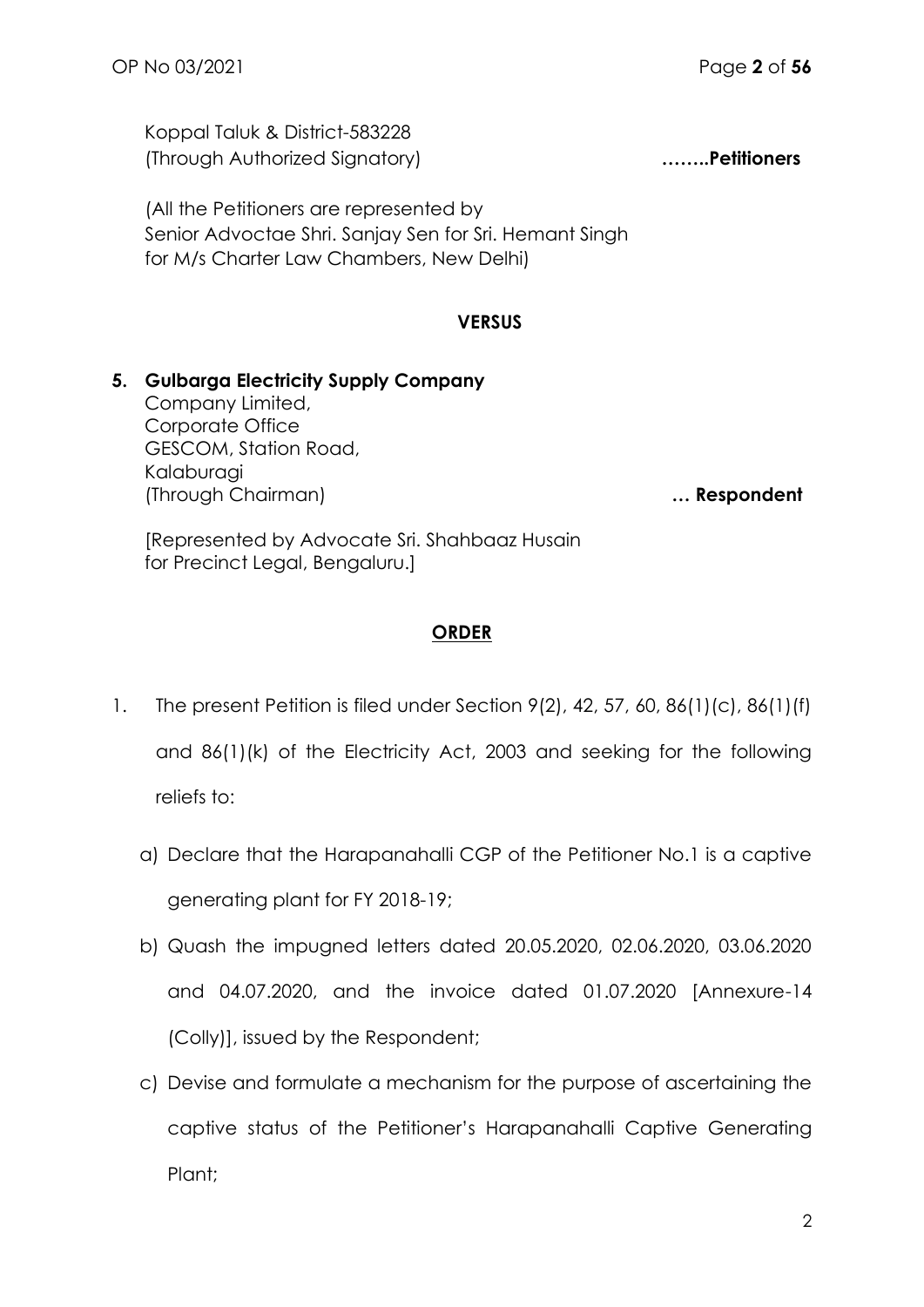Koppal Taluk & District-583228 (Through Authorized Signatory) **……..Petitioners**

(All the Petitioners are represented by Senior Advoctae Shri. Sanjay Sen for Sri. Hemant Singh for M/s Charter Law Chambers, New Delhi)

### **VERSUS**

## **5. Gulbarga Electricity Supply Company** Company Limited, Corporate Office GESCOM, Station Road, Kalaburagi (Through Chairman) **… Respondent**

[Represented by Advocate Sri. Shahbaaz Husain for Precinct Legal, Bengaluru.]

## **ORDER**

- 1. The present Petition is filed under Section 9(2), 42, 57, 60, 86(1)(c), 86(1)(f) and 86(1)(k) of the Electricity Act, 2003 and seeking for the following reliefs to:
	- a) Declare that the Harapanahalli CGP of the Petitioner No.1 is a captive generating plant for FY 2018-19;
	- b) Quash the impugned letters dated 20.05.2020, 02.06.2020, 03.06.2020 and 04.07.2020, and the invoice dated 01.07.2020 [Annexure-14 (Colly)], issued by the Respondent;
	- c) Devise and formulate a mechanism for the purpose of ascertaining the captive status of the Petitioner's Harapanahalli Captive Generating Plant;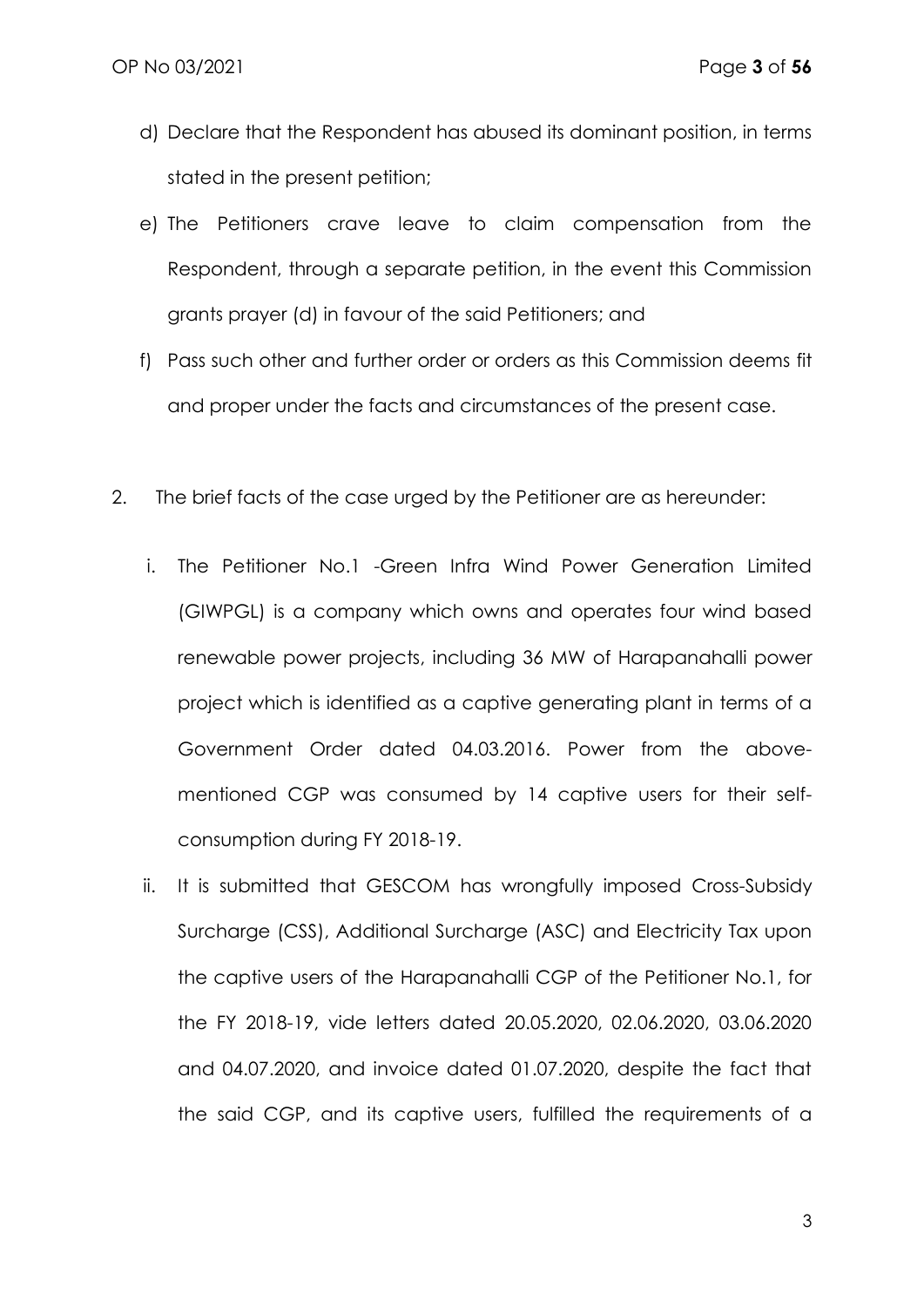- d) Declare that the Respondent has abused its dominant position, in terms stated in the present petition;
- e) The Petitioners crave leave to claim compensation from the Respondent, through a separate petition, in the event this Commission grants prayer (d) in favour of the said Petitioners; and
- f) Pass such other and further order or orders as this Commission deems fit and proper under the facts and circumstances of the present case.
- 2. The brief facts of the case urged by the Petitioner are as hereunder:
	- i. The Petitioner No.1 -Green Infra Wind Power Generation Limited (GIWPGL) is a company which owns and operates four wind based renewable power projects, including 36 MW of Harapanahalli power project which is identified as a captive generating plant in terms of a Government Order dated 04.03.2016. Power from the abovementioned CGP was consumed by 14 captive users for their selfconsumption during FY 2018-19.
	- ii. It is submitted that GESCOM has wrongfully imposed Cross-Subsidy Surcharge (CSS), Additional Surcharge (ASC) and Electricity Tax upon the captive users of the Harapanahalli CGP of the Petitioner No.1, for the FY 2018-19, vide letters dated 20.05.2020, 02.06.2020, 03.06.2020 and 04.07.2020, and invoice dated 01.07.2020, despite the fact that the said CGP, and its captive users, fulfilled the requirements of a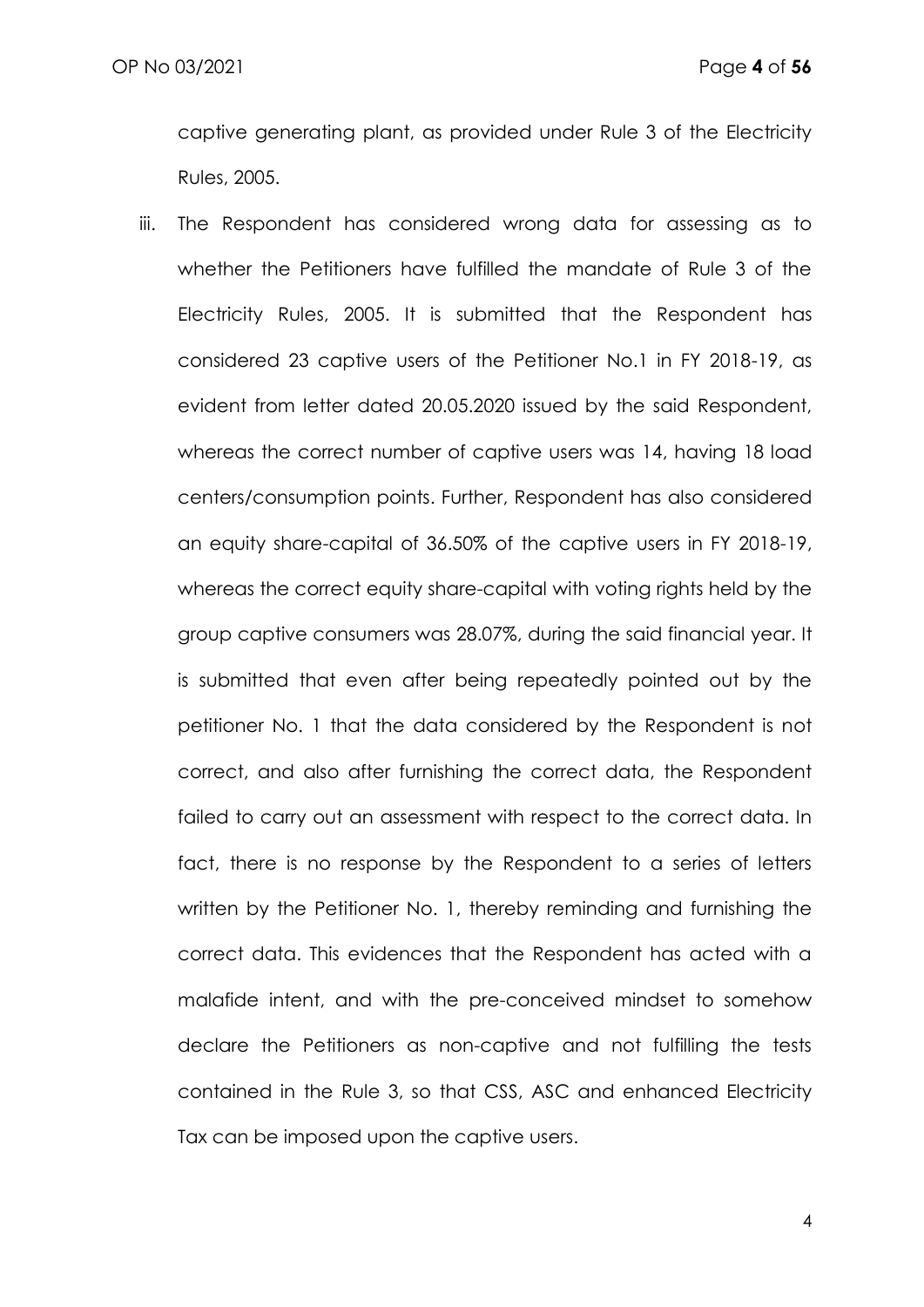captive generating plant, as provided under Rule 3 of the Electricity Rules, 2005.

iii. The Respondent has considered wrong data for assessing as to whether the Petitioners have fulfilled the mandate of Rule 3 of the Electricity Rules, 2005. It is submitted that the Respondent has considered 23 captive users of the Petitioner No.1 in FY 2018-19, as evident from letter dated 20.05.2020 issued by the said Respondent, whereas the correct number of captive users was 14, having 18 load centers/consumption points. Further, Respondent has also considered an equity share-capital of 36.50% of the captive users in FY 2018-19, whereas the correct equity share-capital with voting rights held by the group captive consumers was 28.07%, during the said financial year. It is submitted that even after being repeatedly pointed out by the petitioner No. 1 that the data considered by the Respondent is not correct, and also after furnishing the correct data, the Respondent failed to carry out an assessment with respect to the correct data. In fact, there is no response by the Respondent to a series of letters written by the Petitioner No. 1, thereby reminding and furnishing the correct data. This evidences that the Respondent has acted with a malafide intent, and with the pre-conceived mindset to somehow declare the Petitioners as non-captive and not fulfilling the tests contained in the Rule 3, so that CSS, ASC and enhanced Electricity Tax can be imposed upon the captive users.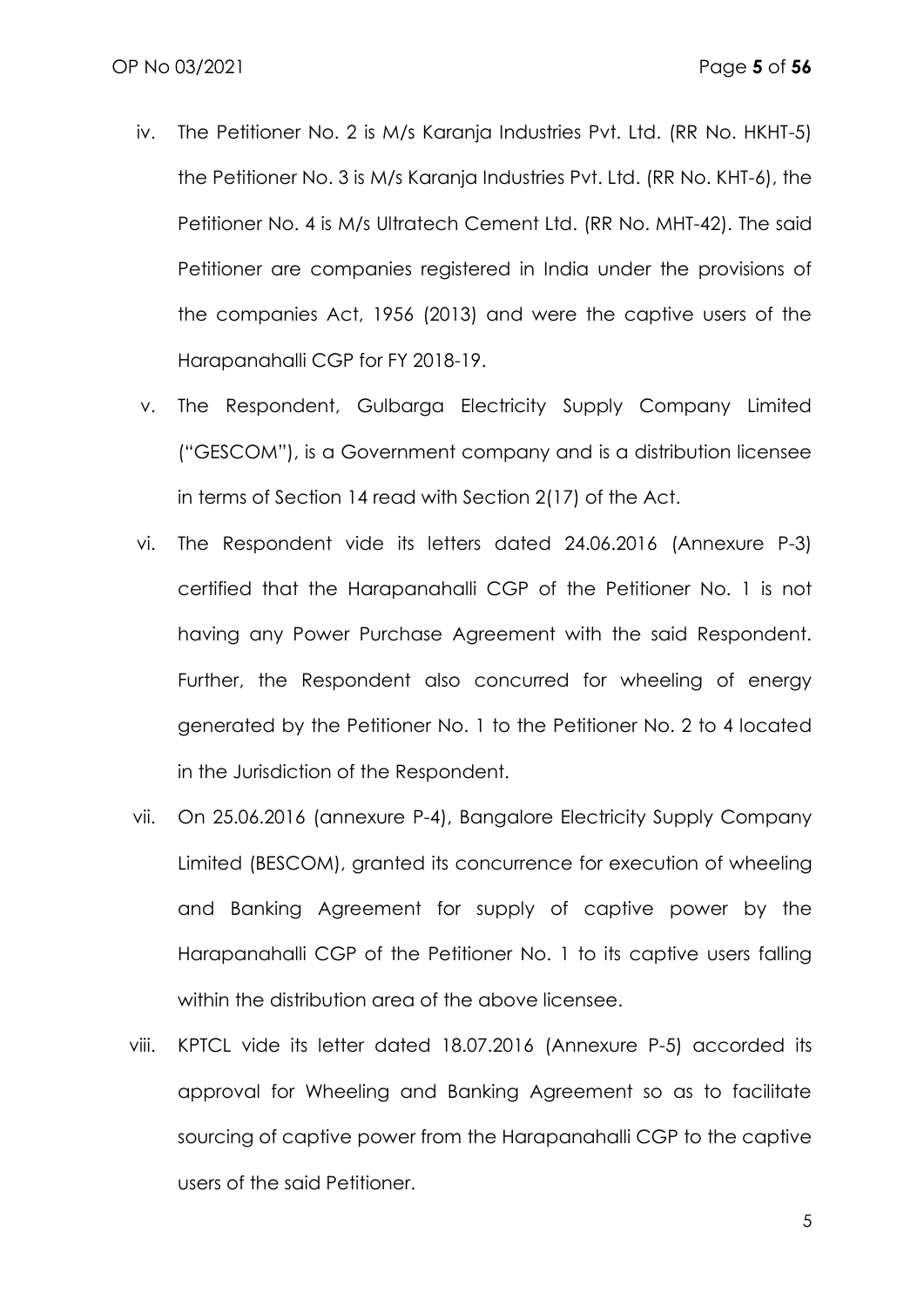- iv. The Petitioner No. 2 is M/s Karanja Industries Pvt. Ltd. (RR No. HKHT-5) the Petitioner No. 3 is M/s Karanja Industries Pvt. Ltd. (RR No. KHT-6), the Petitioner No. 4 is M/s Ultratech Cement Ltd. (RR No. MHT-42). The said Petitioner are companies registered in India under the provisions of the companies Act, 1956 (2013) and were the captive users of the Harapanahalli CGP for FY 2018-19.
- v. The Respondent, Gulbarga Electricity Supply Company Limited ("GESCOM"), is a Government company and is a distribution licensee in terms of Section 14 read with Section 2(17) of the Act.
- vi. The Respondent vide its letters dated 24.06.2016 (Annexure P-3) certified that the Harapanahalli CGP of the Petitioner No. 1 is not having any Power Purchase Agreement with the said Respondent. Further, the Respondent also concurred for wheeling of energy generated by the Petitioner No. 1 to the Petitioner No. 2 to 4 located in the Jurisdiction of the Respondent.
- vii. On 25.06.2016 (annexure P-4), Bangalore Electricity Supply Company Limited (BESCOM), granted its concurrence for execution of wheeling and Banking Agreement for supply of captive power by the Harapanahalli CGP of the Petitioner No. 1 to its captive users falling within the distribution area of the above licensee.
- viii. KPTCL vide its letter dated 18.07.2016 (Annexure P-5) accorded its approval for Wheeling and Banking Agreement so as to facilitate sourcing of captive power from the Harapanahalli CGP to the captive users of the said Petitioner.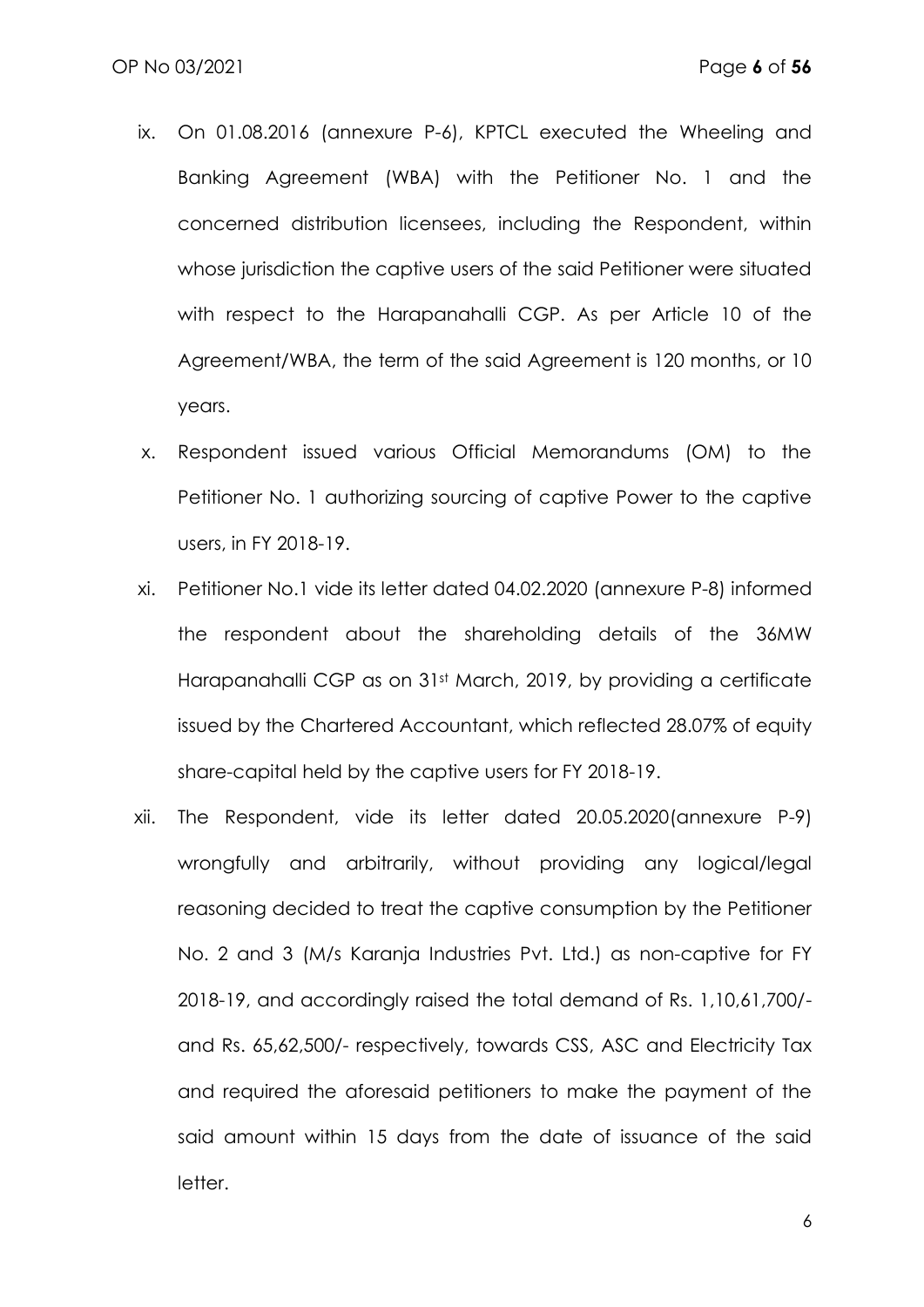- ix. On 01.08.2016 (annexure P-6), KPTCL executed the Wheeling and Banking Agreement (WBA) with the Petitioner No. 1 and the concerned distribution licensees, including the Respondent, within whose jurisdiction the captive users of the said Petitioner were situated with respect to the Harapanahalli CGP. As per Article 10 of the Agreement/WBA, the term of the said Agreement is 120 months, or 10 years.
- x. Respondent issued various Official Memorandums (OM) to the Petitioner No. 1 authorizing sourcing of captive Power to the captive users, in FY 2018-19.
- xi. Petitioner No.1 vide its letter dated 04.02.2020 (annexure P-8) informed the respondent about the shareholding details of the 36MW Harapanahalli CGP as on 31st March, 2019, by providing a certificate issued by the Chartered Accountant, which reflected 28.07% of equity share-capital held by the captive users for FY 2018-19.
- xii. The Respondent, vide its letter dated 20.05.2020(annexure P-9) wrongfully and arbitrarily, without providing any logical/legal reasoning decided to treat the captive consumption by the Petitioner No. 2 and 3 (M/s Karanja Industries Pvt. Ltd.) as non-captive for FY 2018-19, and accordingly raised the total demand of Rs. 1,10,61,700/ and Rs. 65,62,500/- respectively, towards CSS, ASC and Electricity Tax and required the aforesaid petitioners to make the payment of the said amount within 15 days from the date of issuance of the said letter.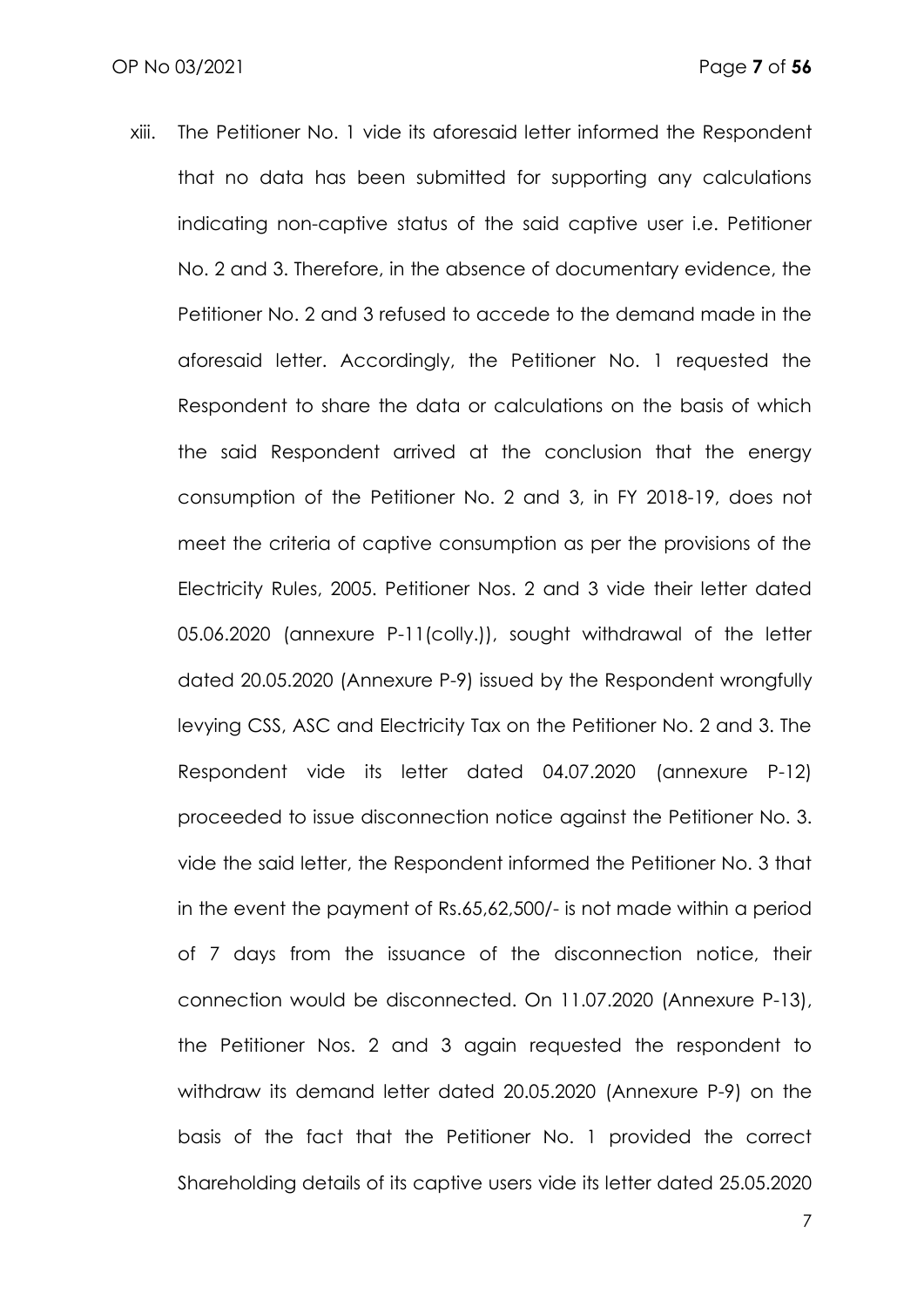xiii. The Petitioner No. 1 vide its aforesaid letter informed the Respondent that no data has been submitted for supporting any calculations indicating non-captive status of the said captive user i.e. Petitioner No. 2 and 3. Therefore, in the absence of documentary evidence, the Petitioner No. 2 and 3 refused to accede to the demand made in the aforesaid letter. Accordingly, the Petitioner No. 1 requested the Respondent to share the data or calculations on the basis of which the said Respondent arrived at the conclusion that the energy consumption of the Petitioner No. 2 and 3, in FY 2018-19, does not meet the criteria of captive consumption as per the provisions of the Electricity Rules, 2005. Petitioner Nos. 2 and 3 vide their letter dated 05.06.2020 (annexure P-11(colly.)), sought withdrawal of the letter dated 20.05.2020 (Annexure P-9) issued by the Respondent wrongfully levying CSS, ASC and Electricity Tax on the Petitioner No. 2 and 3. The Respondent vide its letter dated 04.07.2020 (annexure P-12) proceeded to issue disconnection notice against the Petitioner No. 3. vide the said letter, the Respondent informed the Petitioner No. 3 that in the event the payment of Rs.65,62,500/- is not made within a period of 7 days from the issuance of the disconnection notice, their connection would be disconnected. On 11.07.2020 (Annexure P-13), the Petitioner Nos. 2 and 3 again requested the respondent to withdraw its demand letter dated 20.05.2020 (Annexure P-9) on the basis of the fact that the Petitioner No. 1 provided the correct Shareholding details of its captive users vide its letter dated 25.05.2020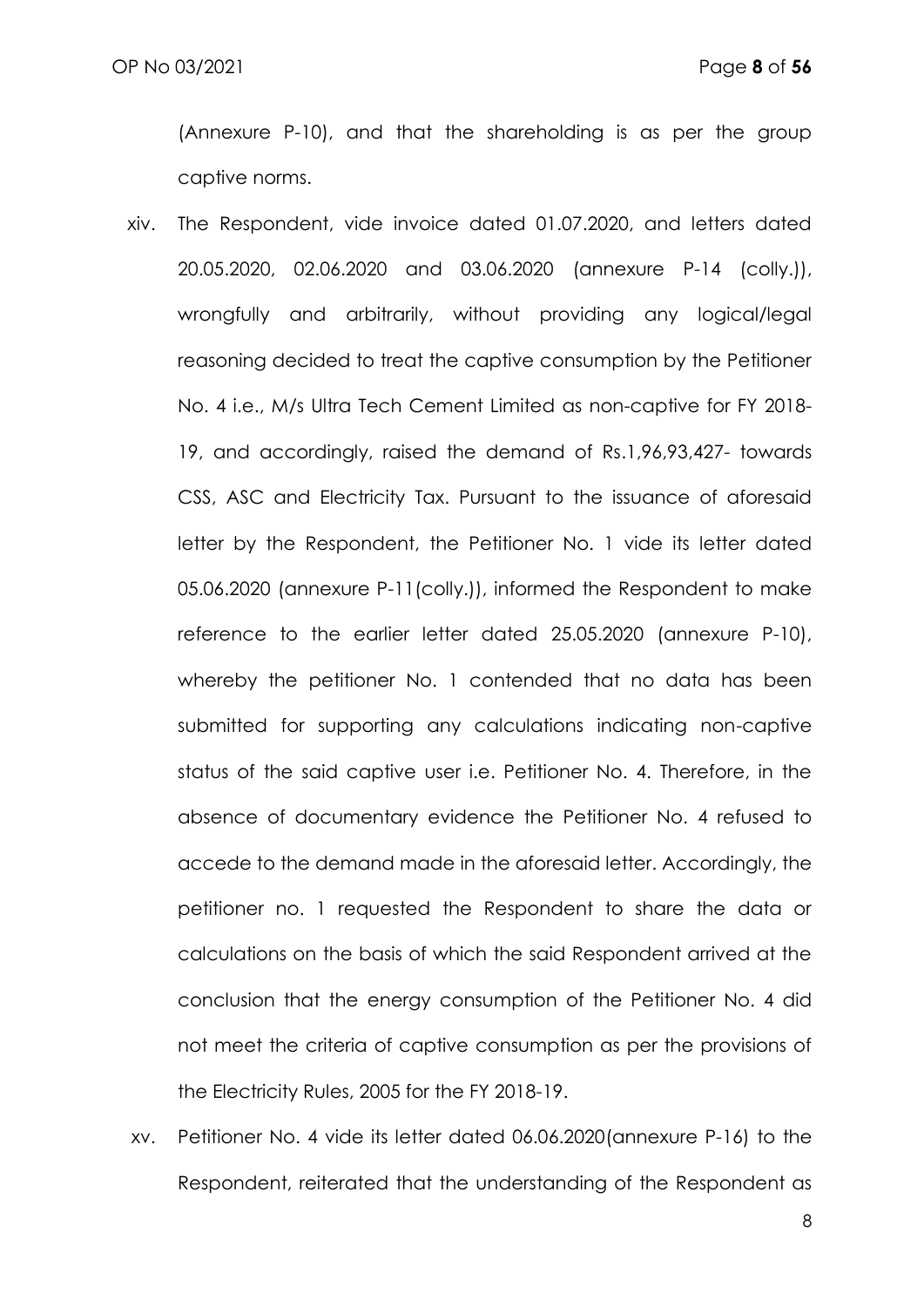(Annexure P-10), and that the shareholding is as per the group captive norms.

- xiv. The Respondent, vide invoice dated 01.07.2020, and letters dated 20.05.2020, 02.06.2020 and 03.06.2020 (annexure P-14 (colly.)), wrongfully and arbitrarily, without providing any logical/legal reasoning decided to treat the captive consumption by the Petitioner No. 4 i.e., M/s Ultra Tech Cement Limited as non-captive for FY 2018- 19, and accordingly, raised the demand of Rs.1,96,93,427- towards CSS, ASC and Electricity Tax. Pursuant to the issuance of aforesaid letter by the Respondent, the Petitioner No. 1 vide its letter dated 05.06.2020 (annexure P-11(colly.)), informed the Respondent to make reference to the earlier letter dated 25.05.2020 (annexure P-10), whereby the petitioner No. 1 contended that no data has been submitted for supporting any calculations indicating non-captive status of the said captive user i.e. Petitioner No. 4. Therefore, in the absence of documentary evidence the Petitioner No. 4 refused to accede to the demand made in the aforesaid letter. Accordingly, the petitioner no. 1 requested the Respondent to share the data or calculations on the basis of which the said Respondent arrived at the conclusion that the energy consumption of the Petitioner No. 4 did not meet the criteria of captive consumption as per the provisions of the Electricity Rules, 2005 for the FY 2018-19.
- xv. Petitioner No. 4 vide its letter dated 06.06.2020(annexure P-16) to the Respondent, reiterated that the understanding of the Respondent as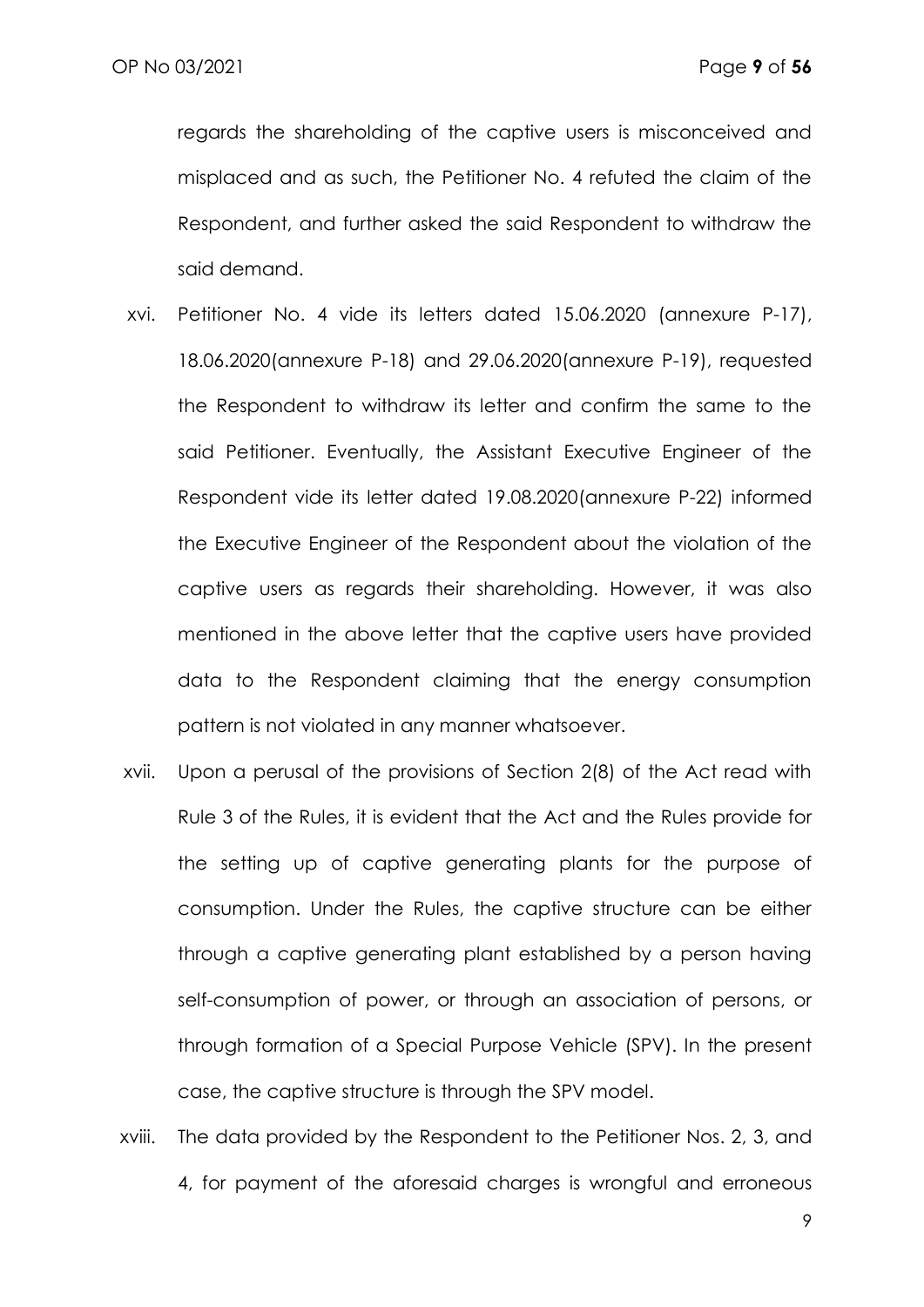regards the shareholding of the captive users is misconceived and misplaced and as such, the Petitioner No. 4 refuted the claim of the Respondent, and further asked the said Respondent to withdraw the said demand.

- xvi. Petitioner No. 4 vide its letters dated 15.06.2020 (annexure P-17), 18.06.2020(annexure P-18) and 29.06.2020(annexure P-19), requested the Respondent to withdraw its letter and confirm the same to the said Petitioner. Eventually, the Assistant Executive Engineer of the Respondent vide its letter dated 19.08.2020(annexure P-22) informed the Executive Engineer of the Respondent about the violation of the captive users as regards their shareholding. However, it was also mentioned in the above letter that the captive users have provided data to the Respondent claiming that the energy consumption pattern is not violated in any manner whatsoever.
- xvii. Upon a perusal of the provisions of Section 2(8) of the Act read with Rule 3 of the Rules, it is evident that the Act and the Rules provide for the setting up of captive generating plants for the purpose of consumption. Under the Rules, the captive structure can be either through a captive generating plant established by a person having self-consumption of power, or through an association of persons, or through formation of a Special Purpose Vehicle (SPV). In the present case, the captive structure is through the SPV model.
- xviii. The data provided by the Respondent to the Petitioner Nos. 2, 3, and 4, for payment of the aforesaid charges is wrongful and erroneous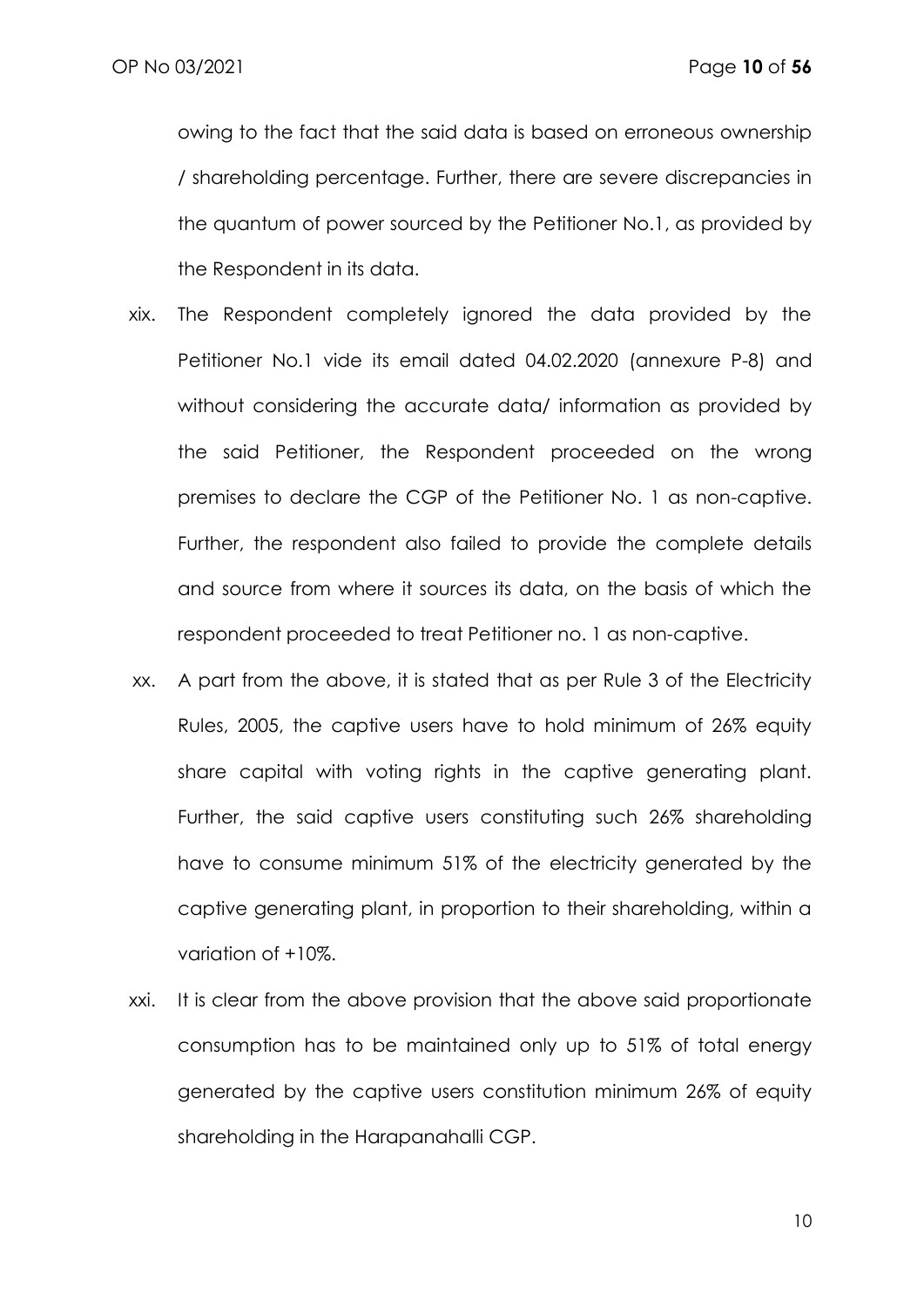owing to the fact that the said data is based on erroneous ownership / shareholding percentage. Further, there are severe discrepancies in the quantum of power sourced by the Petitioner No.1, as provided by the Respondent in its data.

- xix. The Respondent completely ignored the data provided by the Petitioner No.1 vide its email dated 04.02.2020 (annexure P-8) and without considering the accurate data/ information as provided by the said Petitioner, the Respondent proceeded on the wrong premises to declare the CGP of the Petitioner No. 1 as non-captive. Further, the respondent also failed to provide the complete details and source from where it sources its data, on the basis of which the respondent proceeded to treat Petitioner no. 1 as non-captive.
- xx. A part from the above, it is stated that as per Rule 3 of the Electricity Rules, 2005, the captive users have to hold minimum of 26% equity share capital with voting rights in the captive generating plant. Further, the said captive users constituting such 26% shareholding have to consume minimum 51% of the electricity generated by the captive generating plant, in proportion to their shareholding, within a variation of +10%.
- xxi. It is clear from the above provision that the above said proportionate consumption has to be maintained only up to 51% of total energy generated by the captive users constitution minimum 26% of equity shareholding in the Harapanahalli CGP.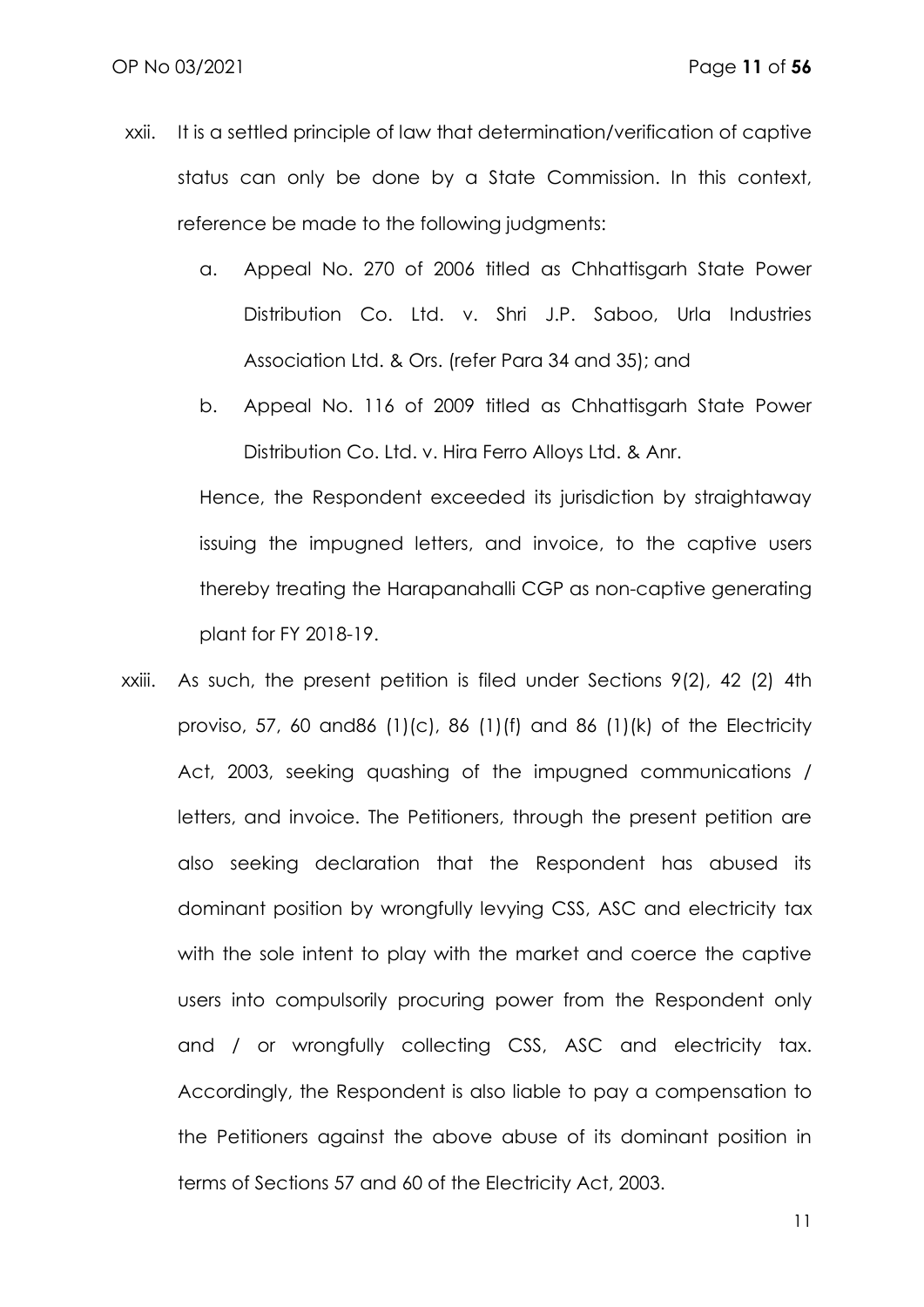- xxii. It is a settled principle of law that determination/verification of captive status can only be done by a State Commission. In this context, reference be made to the following judgments:
	- a. Appeal No. 270 of 2006 titled as Chhattisgarh State Power Distribution Co. Ltd. v. Shri J.P. Saboo, Urla Industries Association Ltd. & Ors. (refer Para 34 and 35); and
	- b. Appeal No. 116 of 2009 titled as Chhattisgarh State Power Distribution Co. Ltd. v. Hira Ferro Alloys Ltd. & Anr.

Hence, the Respondent exceeded its jurisdiction by straightaway issuing the impugned letters, and invoice, to the captive users thereby treating the Harapanahalli CGP as non-captive generating plant for FY 2018-19.

xxiii. As such, the present petition is filed under Sections 9(2), 42 (2) 4th proviso, 57, 60 and86 (1)(c), 86 (1)(f) and 86 (1)(k) of the Electricity Act, 2003, seeking quashing of the impugned communications / letters, and invoice. The Petitioners, through the present petition are also seeking declaration that the Respondent has abused its dominant position by wrongfully levying CSS, ASC and electricity tax with the sole intent to play with the market and coerce the captive users into compulsorily procuring power from the Respondent only and / or wrongfully collecting CSS, ASC and electricity tax. Accordingly, the Respondent is also liable to pay a compensation to the Petitioners against the above abuse of its dominant position in terms of Sections 57 and 60 of the Electricity Act, 2003.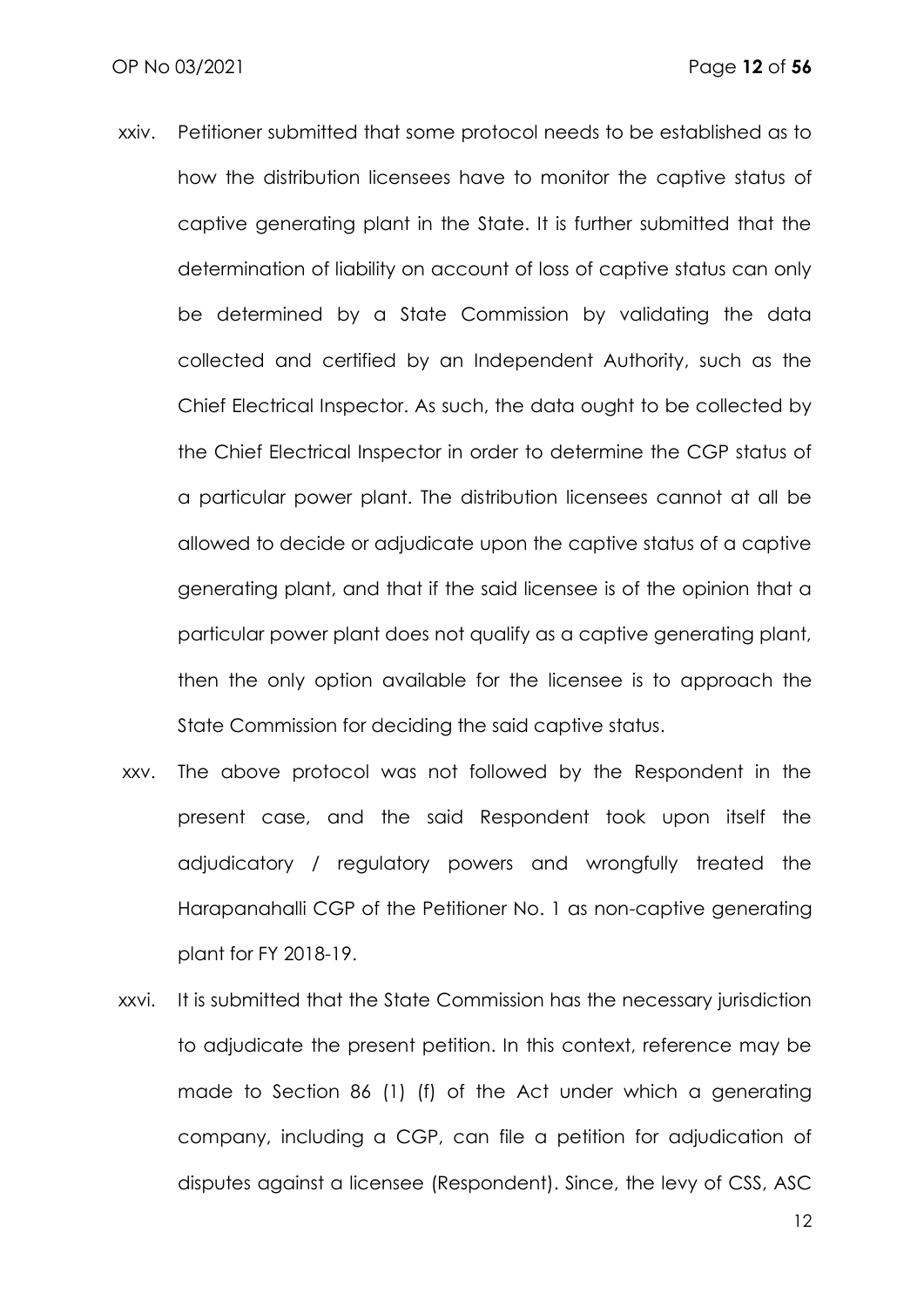- xxiv. Petitioner submitted that some protocol needs to be established as to how the distribution licensees have to monitor the captive status of captive generating plant in the State. It is further submitted that the determination of liability on account of loss of captive status can only be determined by a State Commission by validating the data collected and certified by an Independent Authority, such as the Chief Electrical Inspector. As such, the data ought to be collected by the Chief Electrical Inspector in order to determine the CGP status of a particular power plant. The distribution licensees cannot at all be allowed to decide or adjudicate upon the captive status of a captive generating plant, and that if the said licensee is of the opinion that a particular power plant does not qualify as a captive generating plant, then the only option available for the licensee is to approach the State Commission for deciding the said captive status.
- xxv. The above protocol was not followed by the Respondent in the present case, and the said Respondent took upon itself the adjudicatory / regulatory powers and wrongfully treated the Harapanahalli CGP of the Petitioner No. 1 as non-captive generating plant for FY 2018-19.
- xxvi. It is submitted that the State Commission has the necessary jurisdiction to adjudicate the present petition. In this context, reference may be made to Section 86 (1) (f) of the Act under which a generating company, including a CGP, can file a petition for adjudication of disputes against a licensee (Respondent). Since, the levy of CSS, ASC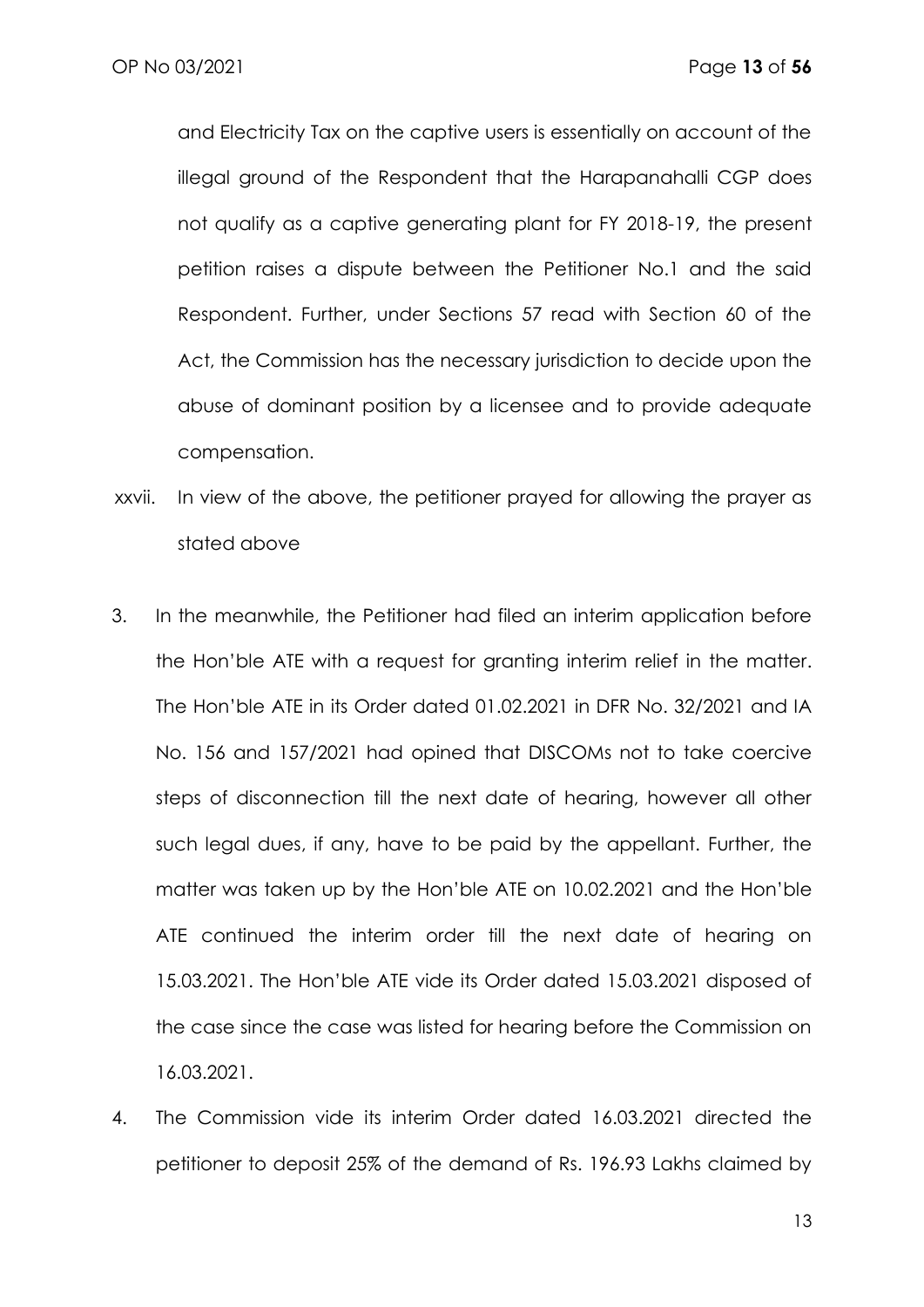and Electricity Tax on the captive users is essentially on account of the illegal ground of the Respondent that the Harapanahalli CGP does not qualify as a captive generating plant for FY 2018-19, the present petition raises a dispute between the Petitioner No.1 and the said Respondent. Further, under Sections 57 read with Section 60 of the Act, the Commission has the necessary jurisdiction to decide upon the abuse of dominant position by a licensee and to provide adequate compensation.

- xxvii. In view of the above, the petitioner prayed for allowing the prayer as stated above
- 3. In the meanwhile, the Petitioner had filed an interim application before the Hon'ble ATE with a request for granting interim relief in the matter. The Hon'ble ATE in its Order dated 01.02.2021 in DFR No. 32/2021 and IA No. 156 and 157/2021 had opined that DISCOMs not to take coercive steps of disconnection till the next date of hearing, however all other such legal dues, if any, have to be paid by the appellant. Further, the matter was taken up by the Hon'ble ATE on 10.02.2021 and the Hon'ble ATE continued the interim order till the next date of hearing on 15.03.2021. The Hon'ble ATE vide its Order dated 15.03.2021 disposed of the case since the case was listed for hearing before the Commission on 16.03.2021.
- 4. The Commission vide its interim Order dated 16.03.2021 directed the petitioner to deposit 25% of the demand of Rs. 196.93 Lakhs claimed by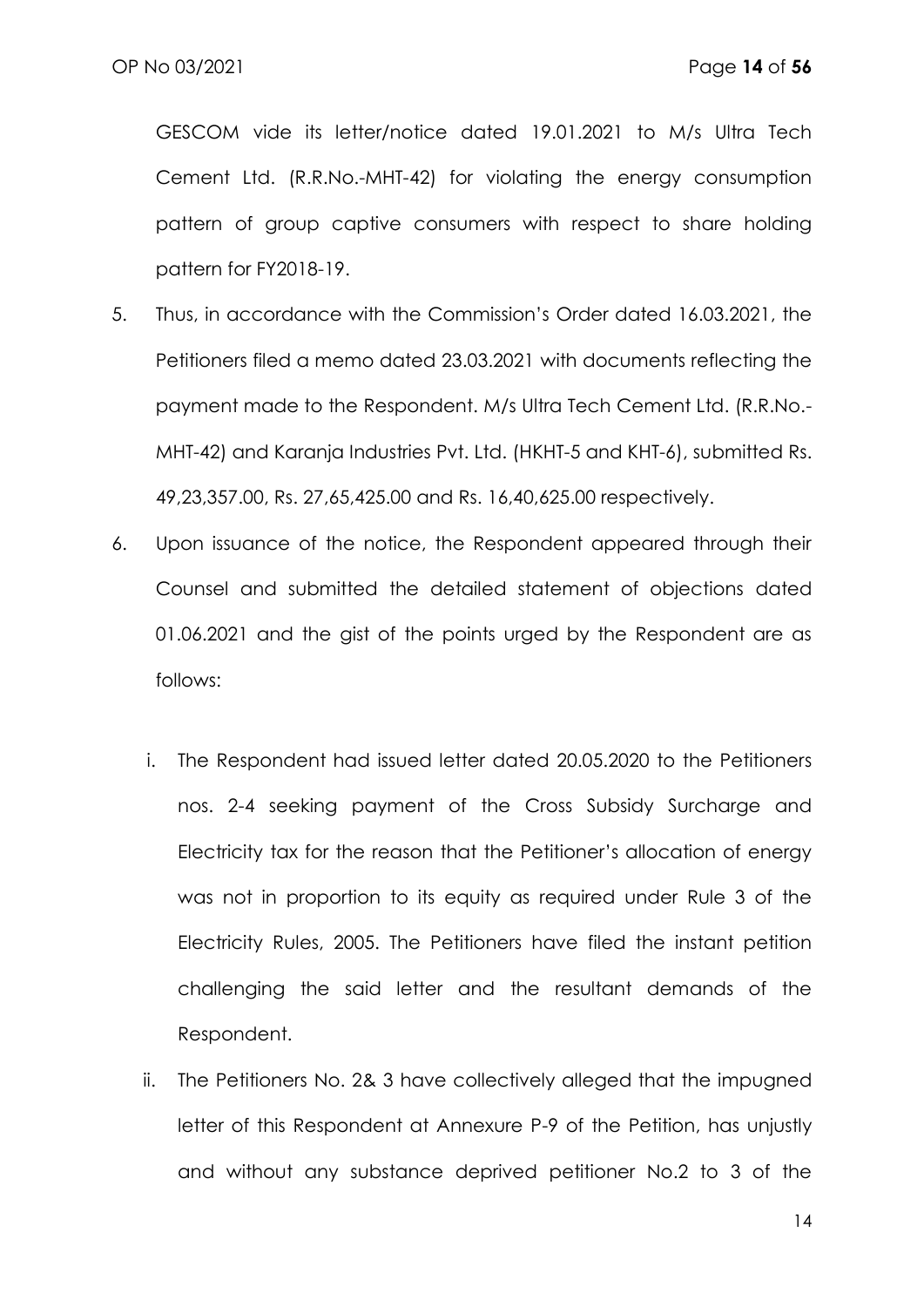GESCOM vide its letter/notice dated 19.01.2021 to M/s Ultra Tech Cement Ltd. (R.R.No.-MHT-42) for violating the energy consumption pattern of group captive consumers with respect to share holding pattern for FY2018-19.

- 5. Thus, in accordance with the Commission's Order dated 16.03.2021, the Petitioners filed a memo dated 23.03.2021 with documents reflecting the payment made to the Respondent. M/s Ultra Tech Cement Ltd. (R.R.No.- MHT-42) and Karanja Industries Pvt. Ltd. (HKHT-5 and KHT-6), submitted Rs. 49,23,357.00, Rs. 27,65,425.00 and Rs. 16,40,625.00 respectively.
- 6. Upon issuance of the notice, the Respondent appeared through their Counsel and submitted the detailed statement of objections dated 01.06.2021 and the gist of the points urged by the Respondent are as follows:
	- i. The Respondent had issued letter dated 20.05.2020 to the Petitioners nos. 2-4 seeking payment of the Cross Subsidy Surcharge and Electricity tax for the reason that the Petitioner's allocation of energy was not in proportion to its equity as required under Rule 3 of the Electricity Rules, 2005. The Petitioners have filed the instant petition challenging the said letter and the resultant demands of the Respondent.
	- ii. The Petitioners No. 2& 3 have collectively alleged that the impugned letter of this Respondent at Annexure P-9 of the Petition, has unjustly and without any substance deprived petitioner No.2 to 3 of the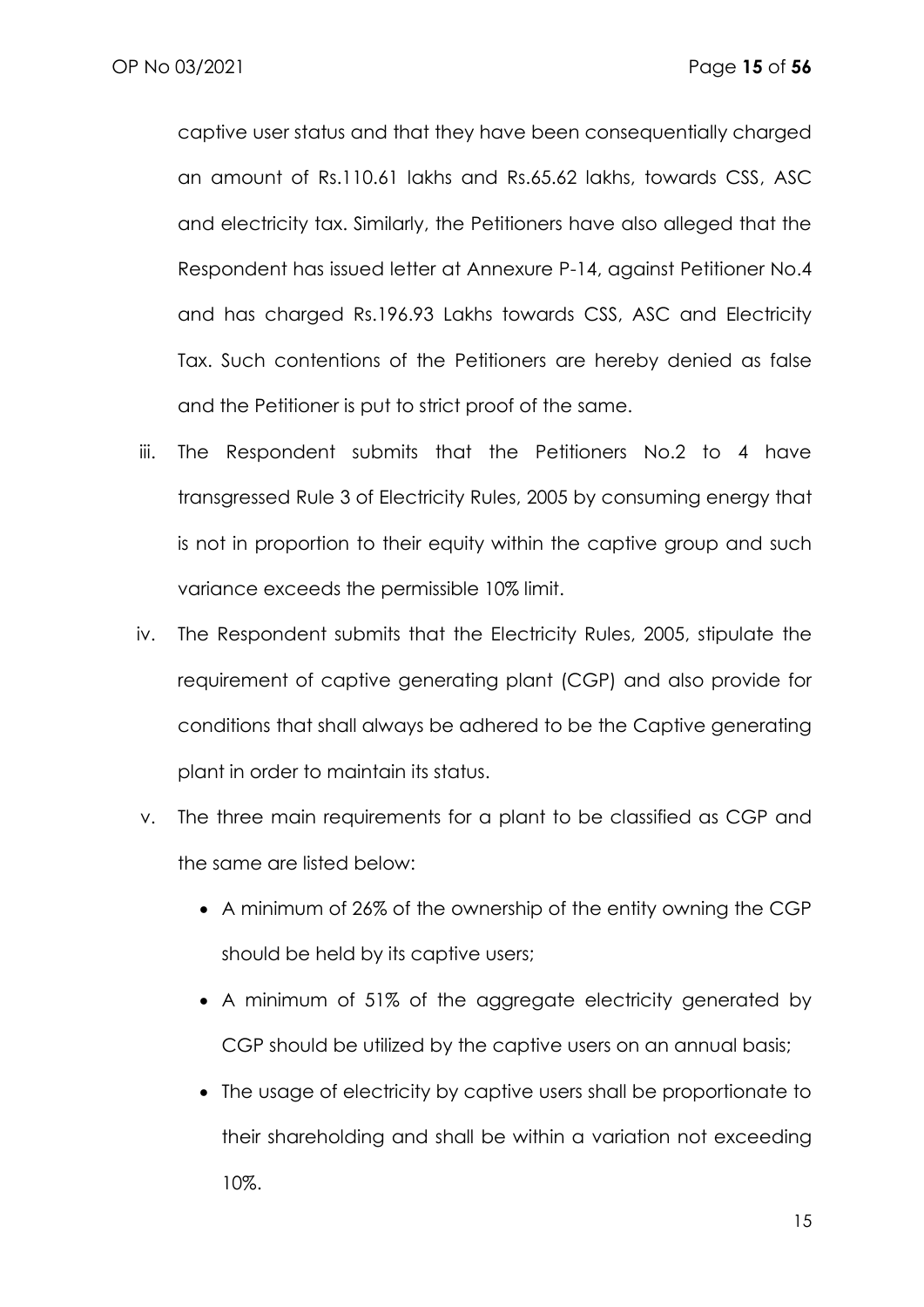captive user status and that they have been consequentially charged an amount of Rs.110.61 lakhs and Rs.65.62 lakhs, towards CSS, ASC and electricity tax. Similarly, the Petitioners have also alleged that the Respondent has issued letter at Annexure P-14, against Petitioner No.4 and has charged Rs.196.93 Lakhs towards CSS, ASC and Electricity Tax. Such contentions of the Petitioners are hereby denied as false and the Petitioner is put to strict proof of the same.

- iii. The Respondent submits that the Petitioners No.2 to 4 have transgressed Rule 3 of Electricity Rules, 2005 by consuming energy that is not in proportion to their equity within the captive group and such variance exceeds the permissible 10% limit.
- iv. The Respondent submits that the Electricity Rules, 2005, stipulate the requirement of captive generating plant (CGP) and also provide for conditions that shall always be adhered to be the Captive generating plant in order to maintain its status.
- v. The three main requirements for a plant to be classified as CGP and the same are listed below:
	- A minimum of 26% of the ownership of the entity owning the CGP should be held by its captive users;
	- A minimum of 51% of the aggregate electricity generated by CGP should be utilized by the captive users on an annual basis;
	- The usage of electricity by captive users shall be proportionate to their shareholding and shall be within a variation not exceeding 10%.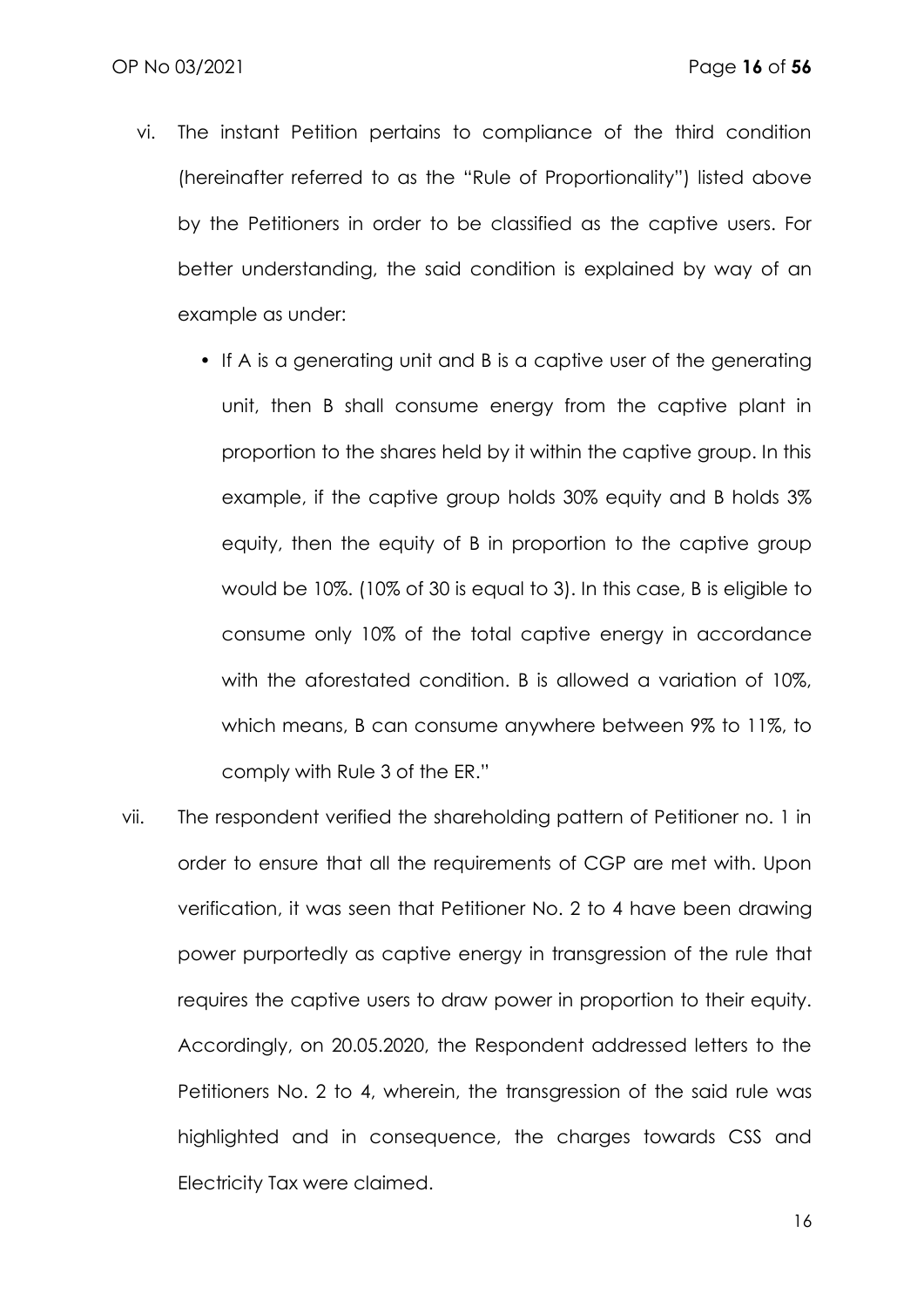- vi. The instant Petition pertains to compliance of the third condition (hereinafter referred to as the "Rule of Proportionality") listed above by the Petitioners in order to be classified as the captive users. For better understanding, the said condition is explained by way of an example as under:
	- If A is a generating unit and B is a captive user of the generating unit, then B shall consume energy from the captive plant in proportion to the shares held by it within the captive group. In this example, if the captive group holds 30% equity and B holds 3% equity, then the equity of B in proportion to the captive group would be 10%. (10% of 30 is equal to 3). In this case, B is eligible to consume only 10% of the total captive energy in accordance with the aforestated condition. B is allowed a variation of 10%, which means, B can consume anywhere between 9% to 11%, to comply with Rule 3 of the ER."
- vii. The respondent verified the shareholding pattern of Petitioner no. 1 in order to ensure that all the requirements of CGP are met with. Upon verification, it was seen that Petitioner No. 2 to 4 have been drawing power purportedly as captive energy in transgression of the rule that requires the captive users to draw power in proportion to their equity. Accordingly, on 20.05.2020, the Respondent addressed letters to the Petitioners No. 2 to 4, wherein, the transgression of the said rule was highlighted and in consequence, the charges towards CSS and Electricity Tax were claimed.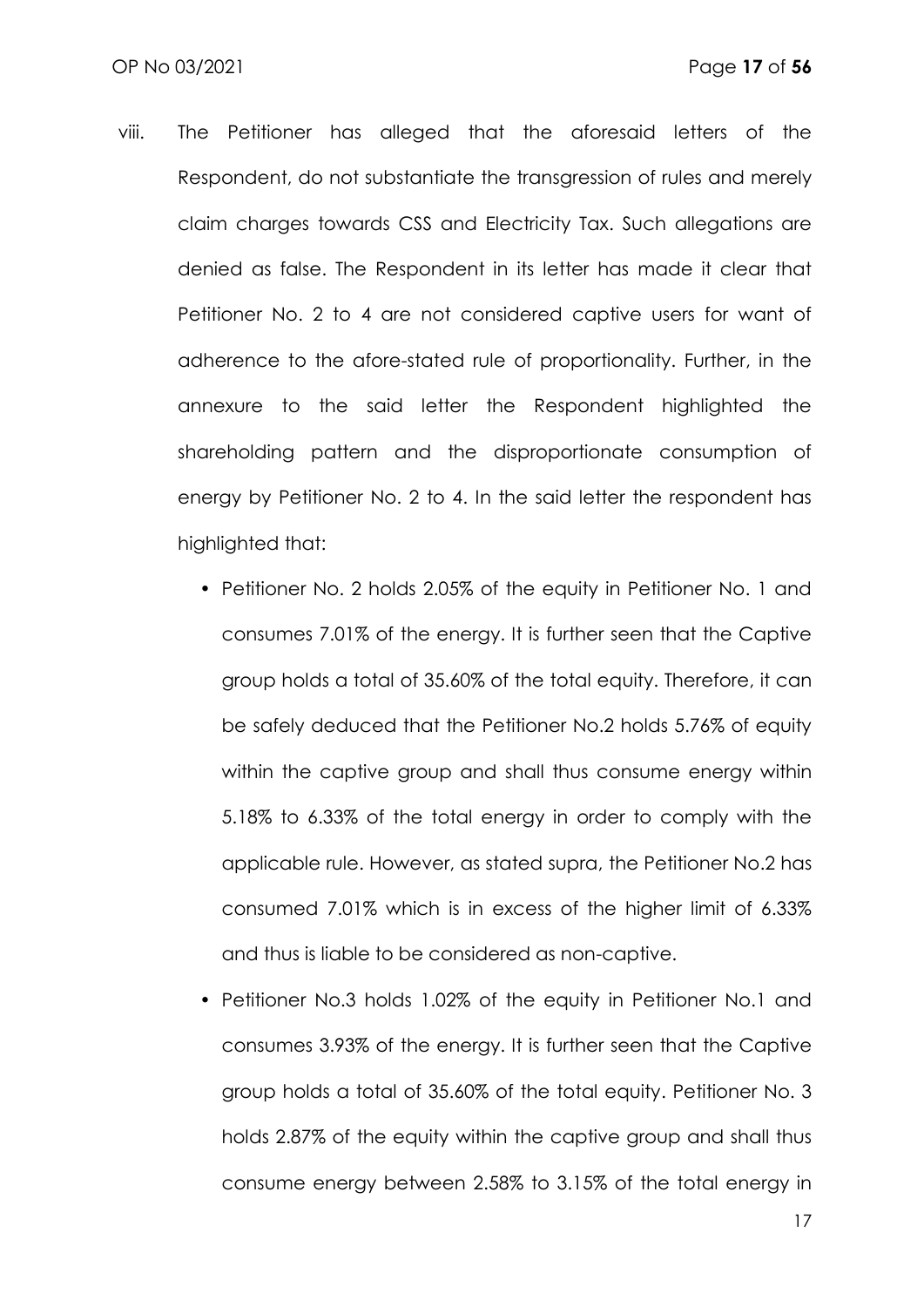- viii. The Petitioner has alleged that the aforesaid letters of the Respondent, do not substantiate the transgression of rules and merely claim charges towards CSS and Electricity Tax. Such allegations are denied as false. The Respondent in its letter has made it clear that Petitioner No. 2 to 4 are not considered captive users for want of adherence to the afore-stated rule of proportionality. Further, in the annexure to the said letter the Respondent highlighted the shareholding pattern and the disproportionate consumption of energy by Petitioner No. 2 to 4. In the said letter the respondent has highlighted that:
	- Petitioner No. 2 holds 2.05% of the equity in Petitioner No. 1 and consumes 7.01% of the energy. It is further seen that the Captive group holds a total of 35.60% of the total equity. Therefore, it can be safely deduced that the Petitioner No.2 holds 5.76% of equity within the captive group and shall thus consume energy within 5.18% to 6.33% of the total energy in order to comply with the applicable rule. However, as stated supra, the Petitioner No.2 has consumed 7.01% which is in excess of the higher limit of 6.33% and thus is liable to be considered as non-captive.
	- Petitioner No.3 holds 1.02% of the equity in Petitioner No.1 and consumes 3.93% of the energy. It is further seen that the Captive group holds a total of 35.60% of the total equity. Petitioner No. 3 holds 2.87% of the equity within the captive group and shall thus consume energy between 2.58% to 3.15% of the total energy in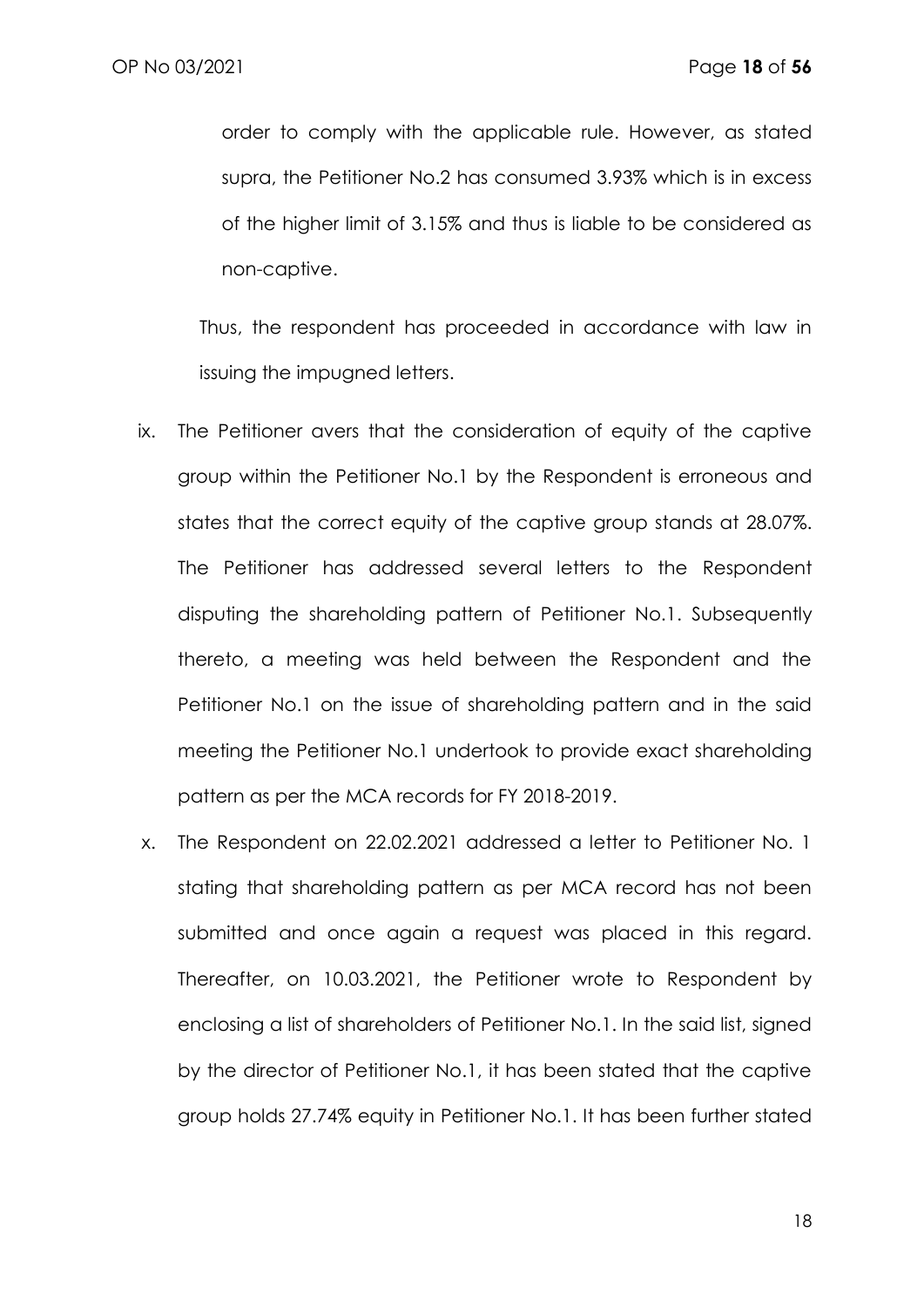order to comply with the applicable rule. However, as stated supra, the Petitioner No.2 has consumed 3.93% which is in excess of the higher limit of 3.15% and thus is liable to be considered as non-captive.

Thus, the respondent has proceeded in accordance with law in issuing the impugned letters.

- ix. The Petitioner avers that the consideration of equity of the captive group within the Petitioner No.1 by the Respondent is erroneous and states that the correct equity of the captive group stands at 28.07%. The Petitioner has addressed several letters to the Respondent disputing the shareholding pattern of Petitioner No.1. Subsequently thereto, a meeting was held between the Respondent and the Petitioner No.1 on the issue of shareholding pattern and in the said meeting the Petitioner No.1 undertook to provide exact shareholding pattern as per the MCA records for FY 2018-2019.
- x. The Respondent on 22.02.2021 addressed a letter to Petitioner No. 1 stating that shareholding pattern as per MCA record has not been submitted and once again a request was placed in this regard. Thereafter, on 10.03.2021, the Petitioner wrote to Respondent by enclosing a list of shareholders of Petitioner No.1. In the said list, signed by the director of Petitioner No.1, it has been stated that the captive group holds 27.74% equity in Petitioner No.1. It has been further stated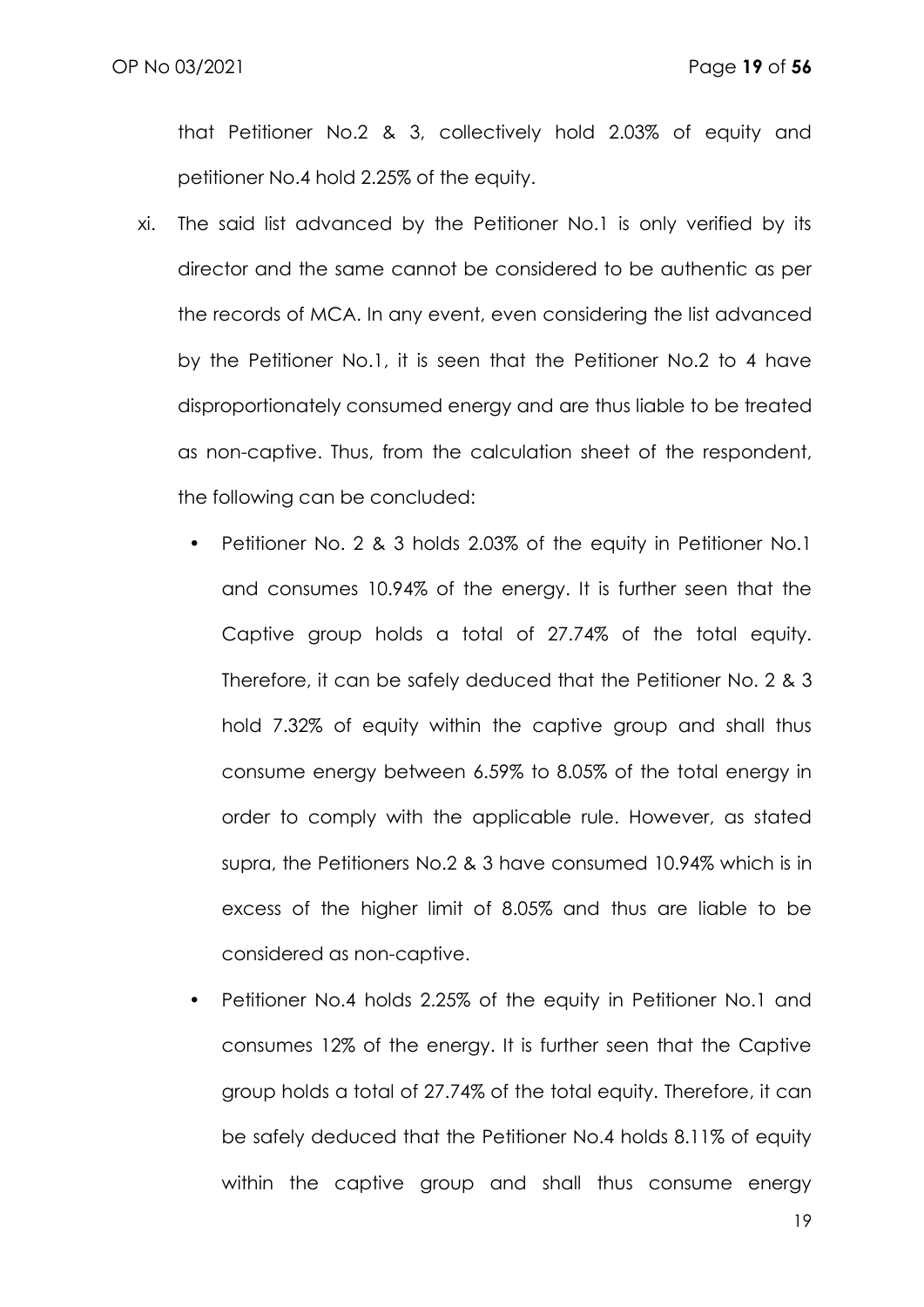that Petitioner No.2 & 3, collectively hold 2.03% of equity and petitioner No.4 hold 2.25% of the equity.

- xi. The said list advanced by the Petitioner No.1 is only verified by its director and the same cannot be considered to be authentic as per the records of MCA. In any event, even considering the list advanced by the Petitioner No.1, it is seen that the Petitioner No.2 to 4 have disproportionately consumed energy and are thus liable to be treated as non-captive. Thus, from the calculation sheet of the respondent, the following can be concluded:
	- Petitioner No. 2 & 3 holds 2.03% of the equity in Petitioner No.1 and consumes 10.94% of the energy. It is further seen that the Captive group holds a total of 27.74% of the total equity. Therefore, it can be safely deduced that the Petitioner No. 2 & 3 hold 7.32% of equity within the captive group and shall thus consume energy between 6.59% to 8.05% of the total energy in order to comply with the applicable rule. However, as stated supra, the Petitioners No.2 & 3 have consumed 10.94% which is in excess of the higher limit of 8.05% and thus are liable to be considered as non-captive.
	- Petitioner No.4 holds 2.25% of the equity in Petitioner No.1 and consumes 12% of the energy. It is further seen that the Captive group holds a total of 27.74% of the total equity. Therefore, it can be safely deduced that the Petitioner No.4 holds 8.11% of equity within the captive group and shall thus consume energy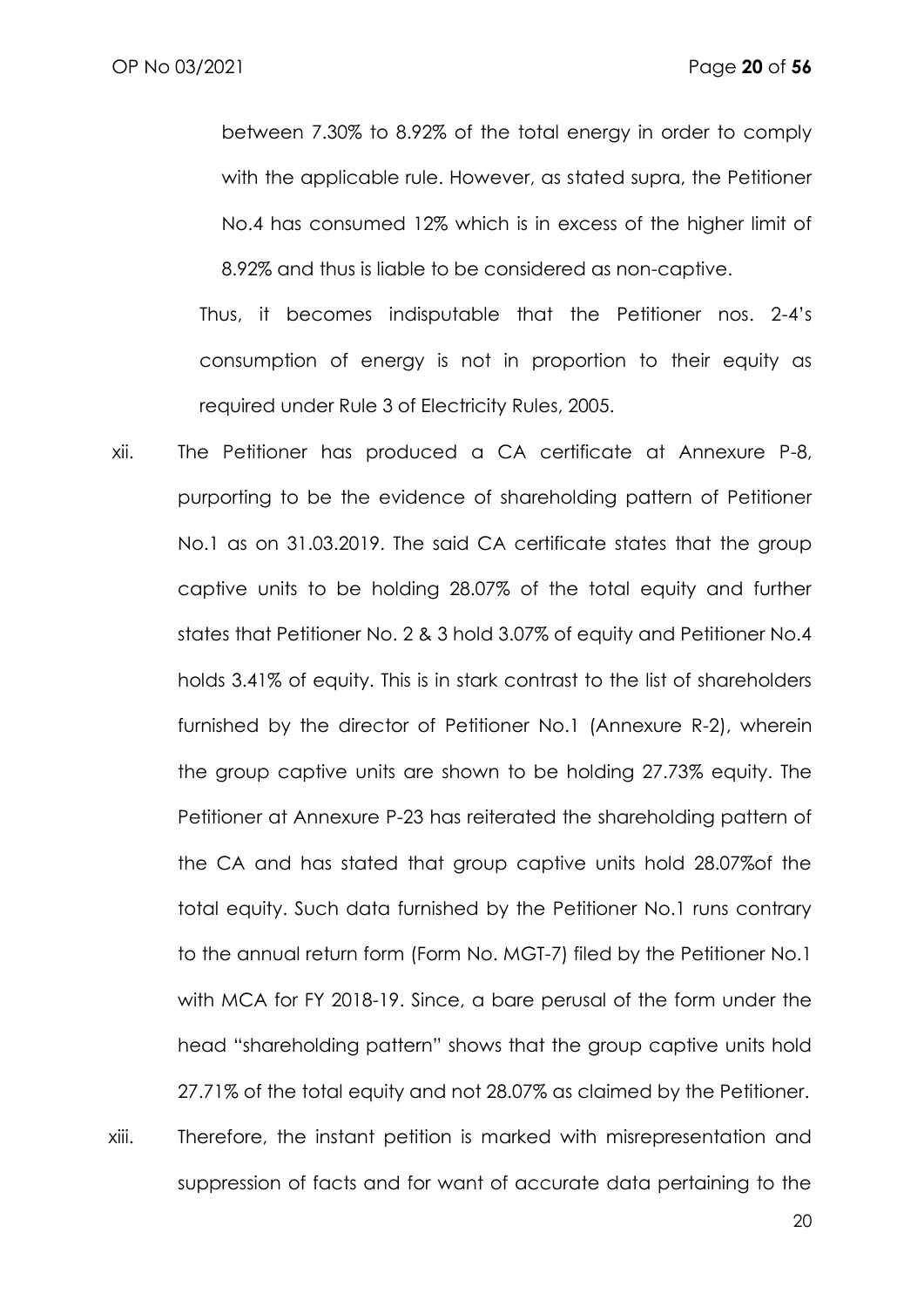between 7.30% to 8.92% of the total energy in order to comply with the applicable rule. However, as stated supra, the Petitioner No.4 has consumed 12% which is in excess of the higher limit of 8.92% and thus is liable to be considered as non-captive.

Thus, it becomes indisputable that the Petitioner nos. 2-4's consumption of energy is not in proportion to their equity as required under Rule 3 of Electricity Rules, 2005.

xii. The Petitioner has produced a CA certificate at Annexure P-8, purporting to be the evidence of shareholding pattern of Petitioner No.1 as on 31.03.2019. The said CA certificate states that the group captive units to be holding 28.07% of the total equity and further states that Petitioner No. 2 & 3 hold 3.07% of equity and Petitioner No.4 holds 3.41% of equity. This is in stark contrast to the list of shareholders furnished by the director of Petitioner No.1 (Annexure R-2), wherein the group captive units are shown to be holding 27.73% equity. The Petitioner at Annexure P-23 has reiterated the shareholding pattern of the CA and has stated that group captive units hold 28.07%of the total equity. Such data furnished by the Petitioner No.1 runs contrary to the annual return form (Form No. MGT-7) filed by the Petitioner No.1 with MCA for FY 2018-19. Since, a bare perusal of the form under the head "shareholding pattern" shows that the group captive units hold 27.71% of the total equity and not 28.07% as claimed by the Petitioner. xiii. Therefore, the instant petition is marked with misrepresentation and

suppression of facts and for want of accurate data pertaining to the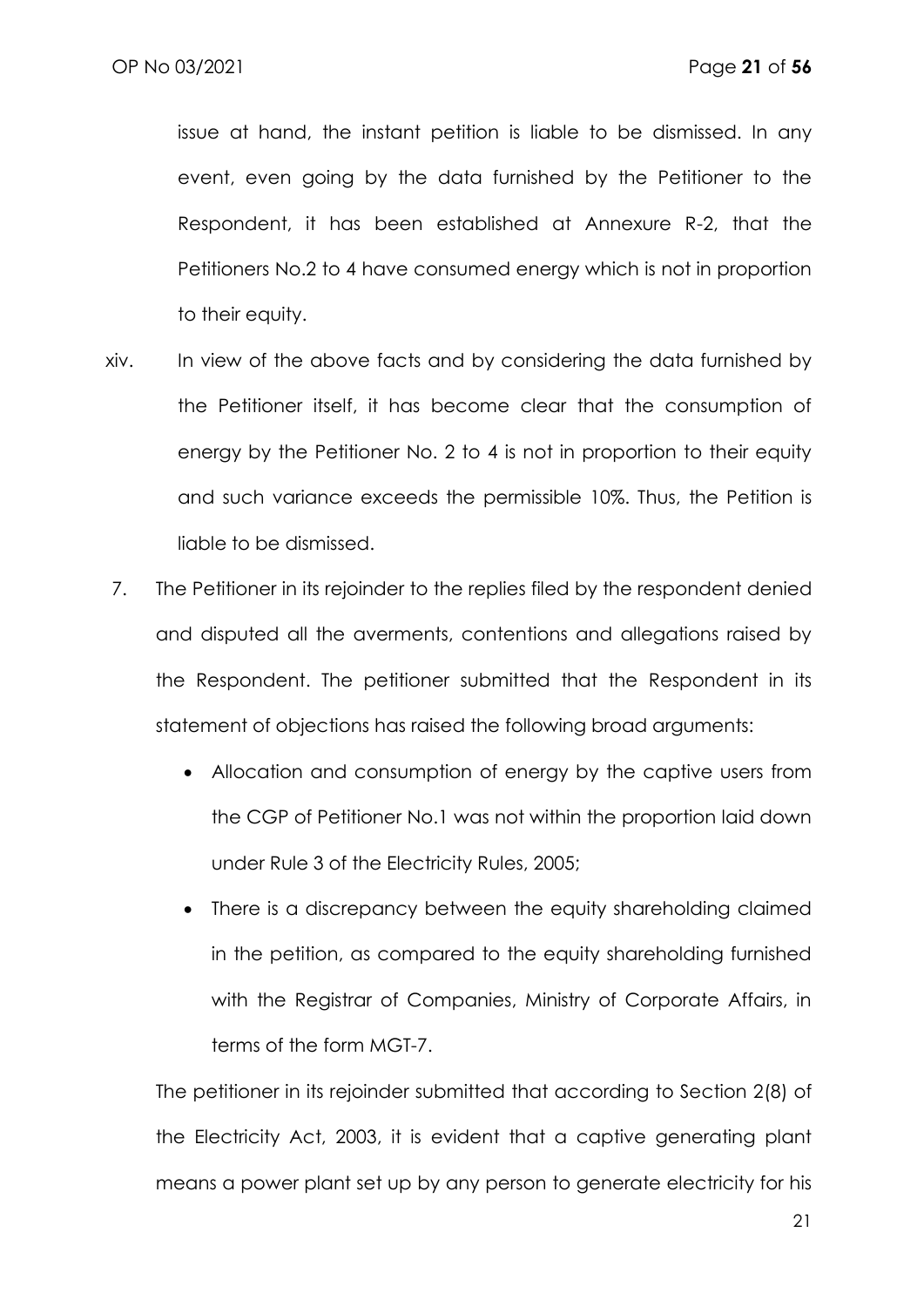issue at hand, the instant petition is liable to be dismissed. In any event, even going by the data furnished by the Petitioner to the Respondent, it has been established at Annexure R-2, that the Petitioners No.2 to 4 have consumed energy which is not in proportion to their equity.

- xiv. In view of the above facts and by considering the data furnished by the Petitioner itself, it has become clear that the consumption of energy by the Petitioner No. 2 to 4 is not in proportion to their equity and such variance exceeds the permissible 10%. Thus, the Petition is liable to be dismissed.
- 7. The Petitioner in its rejoinder to the replies filed by the respondent denied and disputed all the averments, contentions and allegations raised by the Respondent. The petitioner submitted that the Respondent in its statement of objections has raised the following broad arguments:
	- Allocation and consumption of energy by the captive users from the CGP of Petitioner No.1 was not within the proportion laid down under Rule 3 of the Electricity Rules, 2005;
	- There is a discrepancy between the equity shareholding claimed in the petition, as compared to the equity shareholding furnished with the Registrar of Companies, Ministry of Corporate Affairs, in terms of the form MGT-7.

The petitioner in its rejoinder submitted that according to Section 2(8) of the Electricity Act, 2003, it is evident that a captive generating plant means a power plant set up by any person to generate electricity for his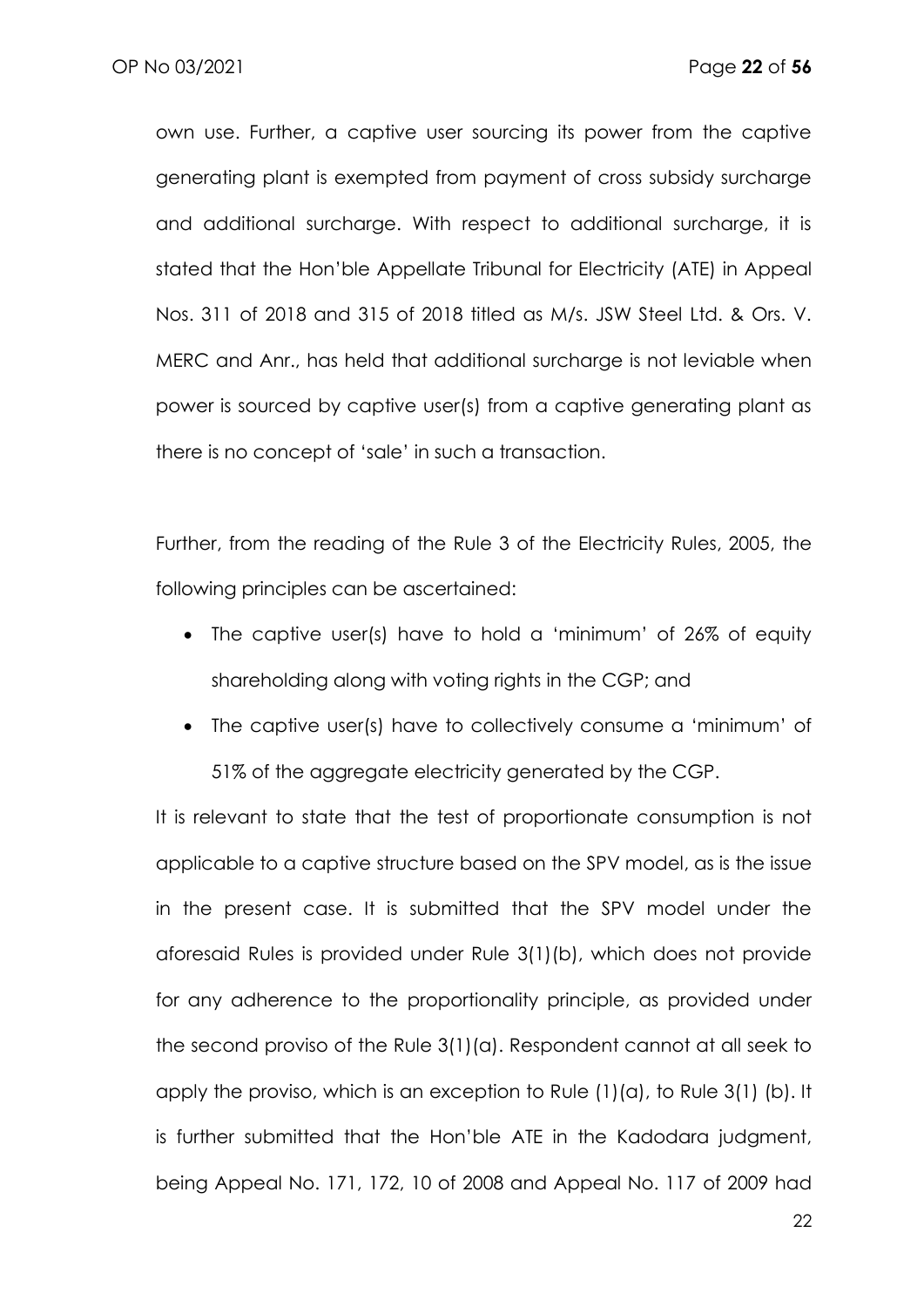own use. Further, a captive user sourcing its power from the captive generating plant is exempted from payment of cross subsidy surcharge and additional surcharge. With respect to additional surcharge, it is stated that the Hon'ble Appellate Tribunal for Electricity (ATE) in Appeal Nos. 311 of 2018 and 315 of 2018 titled as M/s. JSW Steel Ltd. & Ors. V. MERC and Anr., has held that additional surcharge is not leviable when power is sourced by captive user(s) from a captive generating plant as there is no concept of 'sale' in such a transaction.

Further, from the reading of the Rule 3 of the Electricity Rules, 2005, the following principles can be ascertained:

- The captive user(s) have to hold a 'minimum' of 26% of equity shareholding along with voting rights in the CGP; and
- The captive user(s) have to collectively consume a 'minimum' of 51% of the aggregate electricity generated by the CGP.

It is relevant to state that the test of proportionate consumption is not applicable to a captive structure based on the SPV model, as is the issue in the present case. It is submitted that the SPV model under the aforesaid Rules is provided under Rule 3(1)(b), which does not provide for any adherence to the proportionality principle, as provided under the second proviso of the Rule 3(1)(a). Respondent cannot at all seek to apply the proviso, which is an exception to Rule (1)(a), to Rule 3(1) (b). It is further submitted that the Hon'ble ATE in the Kadodara judgment, being Appeal No. 171, 172, 10 of 2008 and Appeal No. 117 of 2009 had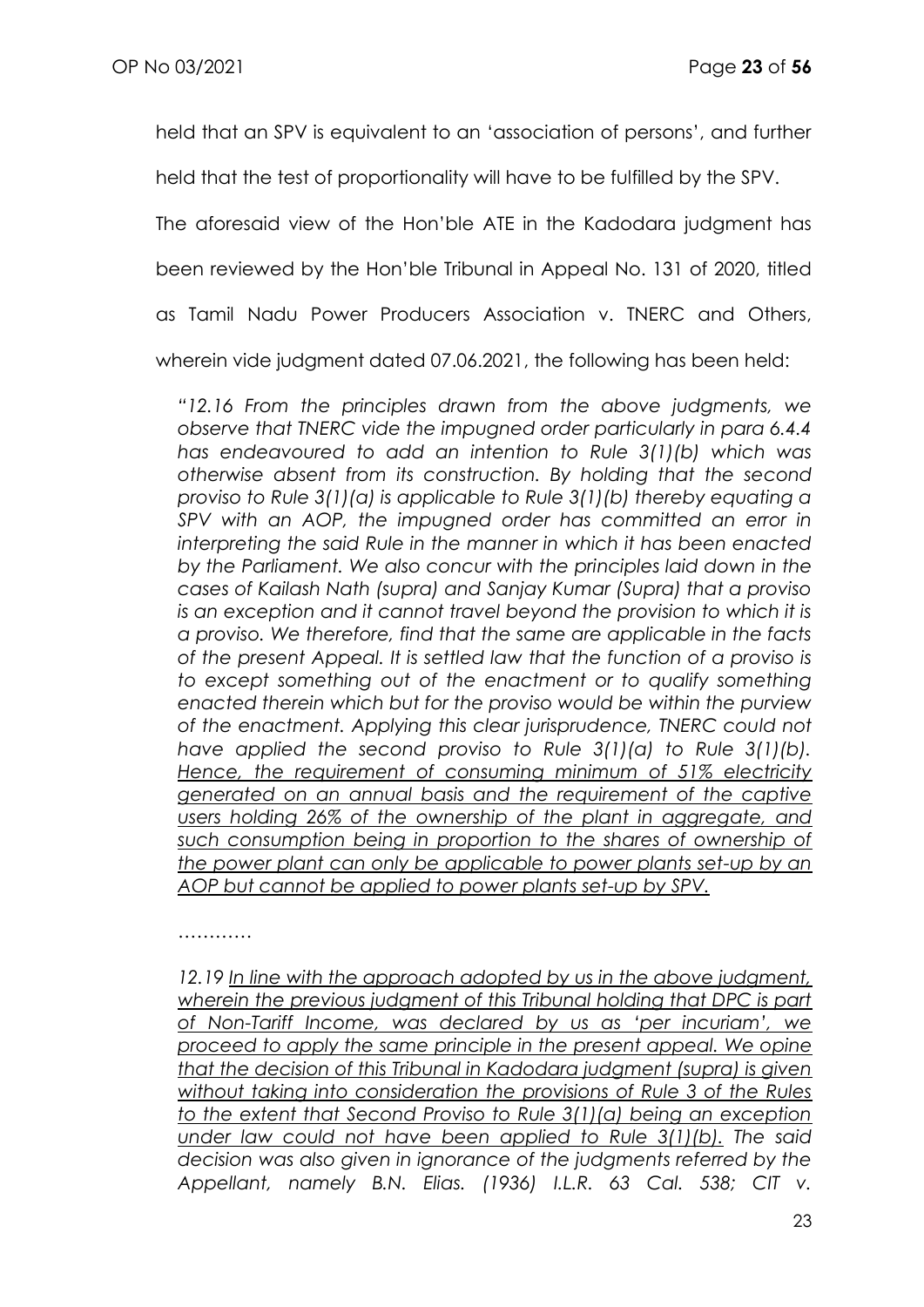held that an SPV is equivalent to an 'association of persons', and further

held that the test of proportionality will have to be fulfilled by the SPV.

The aforesaid view of the Hon'ble ATE in the Kadodara judgment has

been reviewed by the Hon'ble Tribunal in Appeal No. 131 of 2020, titled

as Tamil Nadu Power Producers Association v. TNERC and Others,

wherein vide judgment dated 07.06.2021, the following has been held:

*"12.16 From the principles drawn from the above judgments, we observe that TNERC vide the impugned order particularly in para 6.4.4 has endeavoured to add an intention to Rule 3(1)(b) which was otherwise absent from its construction. By holding that the second proviso to Rule 3(1)(a) is applicable to Rule 3(1)(b) thereby equating a SPV with an AOP, the impugned order has committed an error in interpreting the said Rule in the manner in which it has been enacted by the Parliament. We also concur with the principles laid down in the cases of Kailash Nath (supra) and Sanjay Kumar (Supra) that a proviso is an exception and it cannot travel beyond the provision to which it is a proviso. We therefore, find that the same are applicable in the facts of the present Appeal. It is settled law that the function of a proviso is*  to except something out of the enactment or to qualify something *enacted therein which but for the proviso would be within the purview of the enactment. Applying this clear jurisprudence, TNERC could not have applied the second proviso to Rule 3(1)(a) to Rule 3(1)(b). Hence, the requirement of consuming minimum of 51% electricity generated on an annual basis and the requirement of the captive users holding 26% of the ownership of the plant in aggregate, and such consumption being in proportion to the shares of ownership of the power plant can only be applicable to power plants set-up by an AOP but cannot be applied to power plants set-up by SPV.*

…………

*12.19 In line with the approach adopted by us in the above judgment,*  wherein the previous judgment of this Tribunal holding that DPC is part *of Non-Tariff Income, was declared by us as 'per incuriam', we proceed to apply the same principle in the present appeal. We opine that the decision of this Tribunal in Kadodara judgment (supra) is given without taking into consideration the provisions of Rule 3 of the Rules to the extent that Second Proviso to Rule 3(1)(a) being an exception under law could not have been applied to Rule 3(1)(b). The said decision was also given in ignorance of the judgments referred by the Appellant, namely B.N. Elias. (1936) I.L.R. 63 Cal. 538; CIT v.*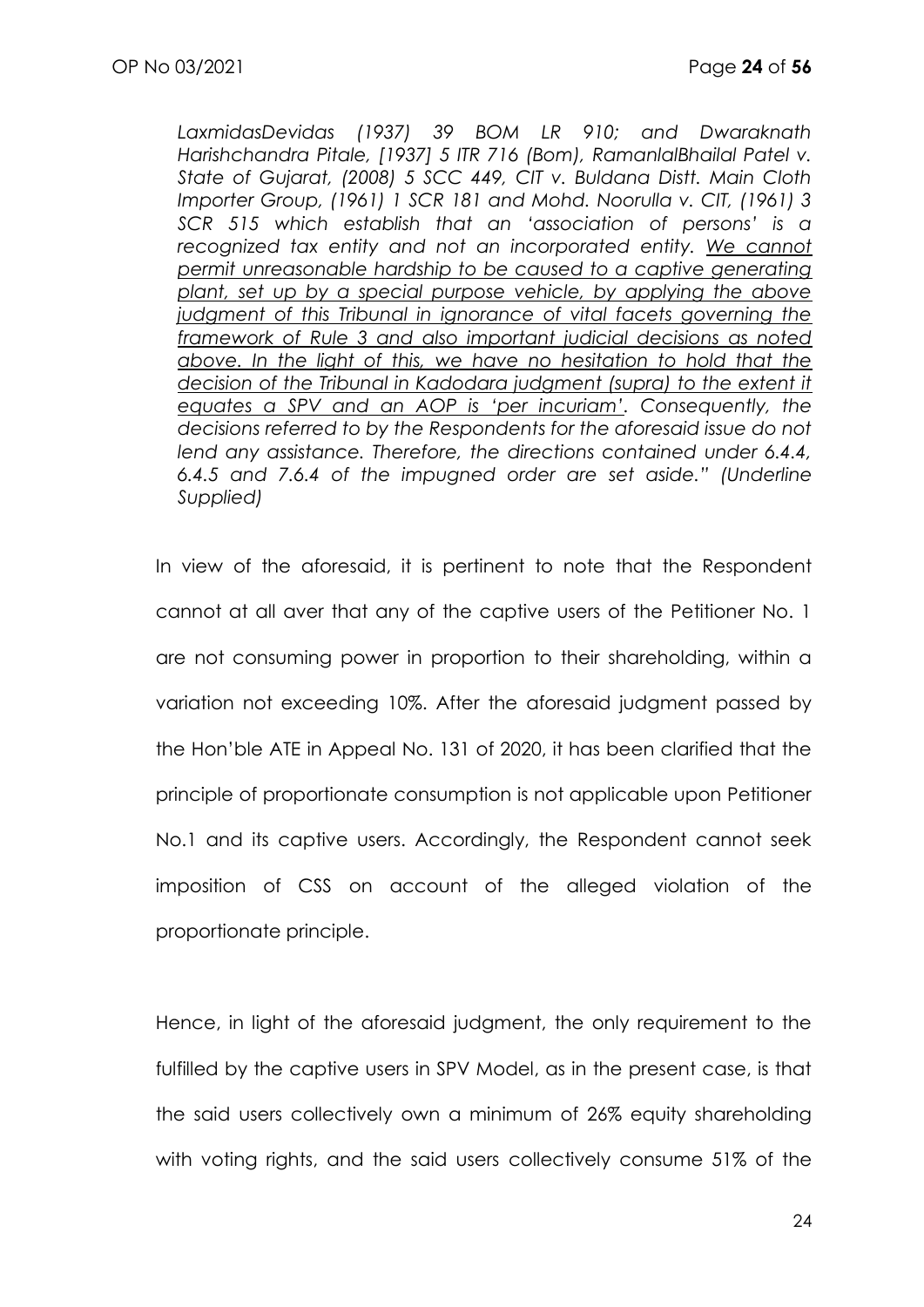*LaxmidasDevidas (1937) 39 BOM LR 910; and Dwaraknath Harishchandra Pitale, [1937] 5 ITR 716 (Bom), RamanlalBhailal Patel v. State of Gujarat, (2008) 5 SCC 449, CIT v. Buldana Distt. Main Cloth Importer Group, (1961) 1 SCR 181 and Mohd. Noorulla v. CIT, (1961) 3 SCR 515 which establish that an 'association of persons' is a*  recognized tax entity and not an incorporated entity. We cannot *permit unreasonable hardship to be caused to a captive generating plant, set up by a special purpose vehicle, by applying the above judgment of this Tribunal in ignorance of vital facets governing the framework of Rule 3 and also important judicial decisions as noted above. In the light of this, we have no hesitation to hold that the decision of the Tribunal in Kadodara judgment (supra) to the extent it equates a SPV and an AOP is 'per incuriam'. Consequently, the decisions referred to by the Respondents for the aforesaid issue do not lend any assistance. Therefore, the directions contained under 6.4.4, 6.4.5 and 7.6.4 of the impugned order are set aside." (Underline Supplied)*

In view of the aforesaid, it is pertinent to note that the Respondent cannot at all aver that any of the captive users of the Petitioner No. 1 are not consuming power in proportion to their shareholding, within a variation not exceeding 10%. After the aforesaid judgment passed by the Hon'ble ATE in Appeal No. 131 of 2020, it has been clarified that the principle of proportionate consumption is not applicable upon Petitioner No.1 and its captive users. Accordingly, the Respondent cannot seek imposition of CSS on account of the alleged violation of the proportionate principle.

Hence, in light of the aforesaid judgment, the only requirement to the fulfilled by the captive users in SPV Model, as in the present case, is that the said users collectively own a minimum of 26% equity shareholding with voting rights, and the said users collectively consume 51% of the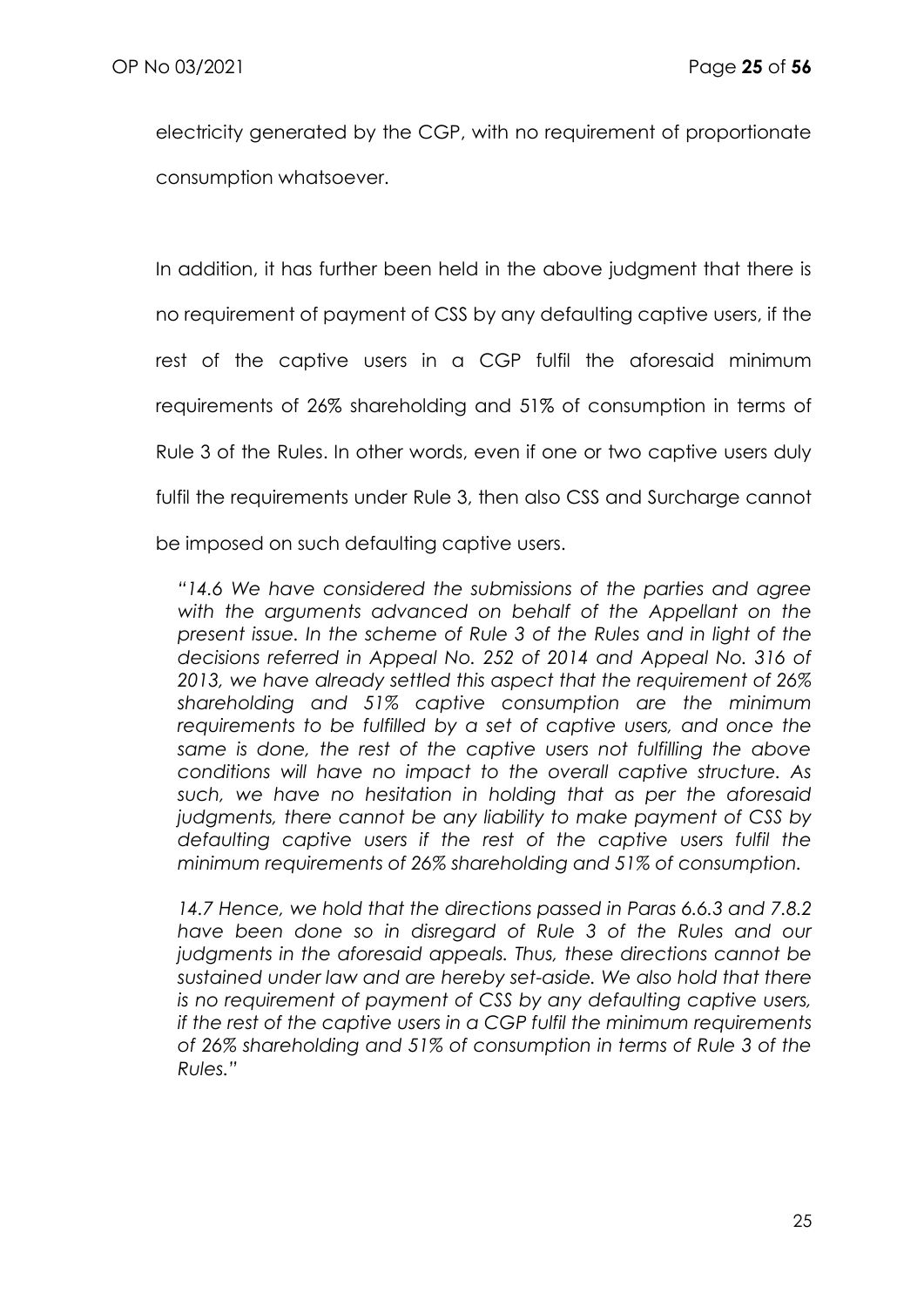electricity generated by the CGP, with no requirement of proportionate consumption whatsoever.

In addition, it has further been held in the above judgment that there is no requirement of payment of CSS by any defaulting captive users, if the rest of the captive users in a CGP fulfil the aforesaid minimum requirements of 26% shareholding and 51% of consumption in terms of Rule 3 of the Rules. In other words, even if one or two captive users duly fulfil the requirements under Rule 3, then also CSS and Surcharge cannot

be imposed on such defaulting captive users.

*"14.6 We have considered the submissions of the parties and agree with the arguments advanced on behalf of the Appellant on the present issue. In the scheme of Rule 3 of the Rules and in light of the decisions referred in Appeal No. 252 of 2014 and Appeal No. 316 of 2013, we have already settled this aspect that the requirement of 26% shareholding and 51% captive consumption are the minimum requirements to be fulfilled by a set of captive users, and once the same is done, the rest of the captive users not fulfilling the above conditions will have no impact to the overall captive structure. As such, we have no hesitation in holding that as per the aforesaid judgments, there cannot be any liability to make payment of CSS by defaulting captive users if the rest of the captive users fulfil the minimum requirements of 26% shareholding and 51% of consumption.*

*14.7 Hence, we hold that the directions passed in Paras 6.6.3 and 7.8.2 have been done so in disregard of Rule 3 of the Rules and our judgments in the aforesaid appeals. Thus, these directions cannot be sustained under law and are hereby set-aside. We also hold that there is no requirement of payment of CSS by any defaulting captive users, if the rest of the captive users in a CGP fulfil the minimum requirements of 26% shareholding and 51% of consumption in terms of Rule 3 of the Rules."*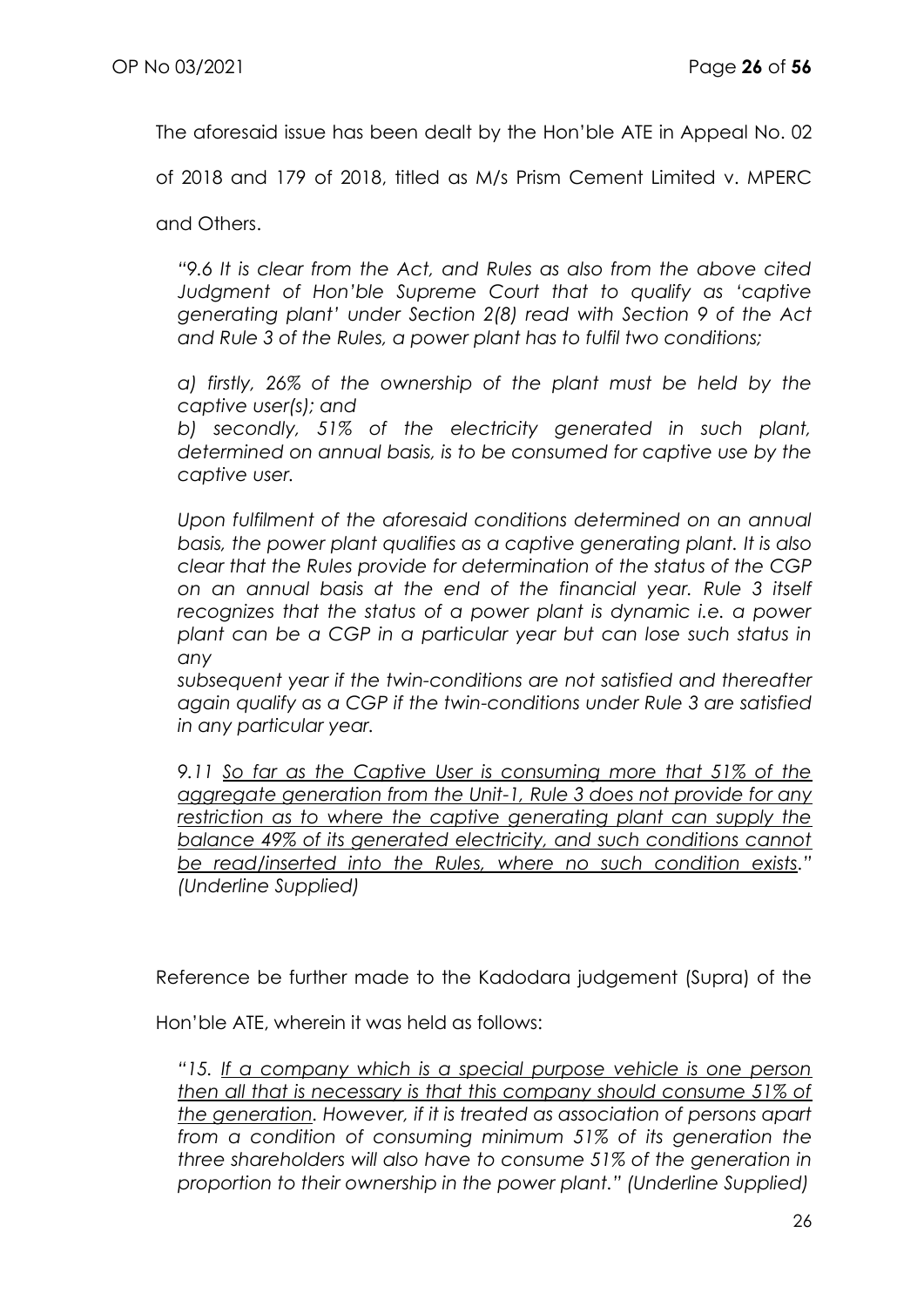The aforesaid issue has been dealt by the Hon'ble ATE in Appeal No. 02

of 2018 and 179 of 2018, titled as M/s Prism Cement Limited v. MPERC

and Others.

*"9.6 It is clear from the Act, and Rules as also from the above cited Judgment of Hon'ble Supreme Court that to qualify as 'captive generating plant' under Section 2(8) read with Section 9 of the Act and Rule 3 of the Rules, a power plant has to fulfil two conditions;*

*a) firstly, 26% of the ownership of the plant must be held by the captive user(s); and* 

*b) secondly, 51% of the electricity generated in such plant, determined on annual basis, is to be consumed for captive use by the captive user.*

*Upon fulfilment of the aforesaid conditions determined on an annual basis, the power plant qualifies as a captive generating plant. It is also clear that the Rules provide for determination of the status of the CGP on an annual basis at the end of the financial year. Rule 3 itself recognizes that the status of a power plant is dynamic i.e. a power plant can be a CGP in a particular year but can lose such status in any* 

*subsequent year if the twin-conditions are not satisfied and thereafter again qualify as a CGP if the twin-conditions under Rule 3 are satisfied in any particular year.*

*9.11 So far as the Captive User is consuming more that 51% of the aggregate generation from the Unit-1, Rule 3 does not provide for any*  restriction as to where the captive generating plant can supply the *balance 49% of its generated electricity, and such conditions cannot be read/inserted into the Rules, where no such condition exists." (Underline Supplied)*

Reference be further made to the Kadodara judgement (Supra) of the

Hon'ble ATE, wherein it was held as follows:

*"15. If a company which is a special purpose vehicle is one person then all that is necessary is that this company should consume 51% of the generation. However, if it is treated as association of persons apart from a condition of consuming minimum 51% of its generation the three shareholders will also have to consume 51% of the generation in proportion to their ownership in the power plant." (Underline Supplied)*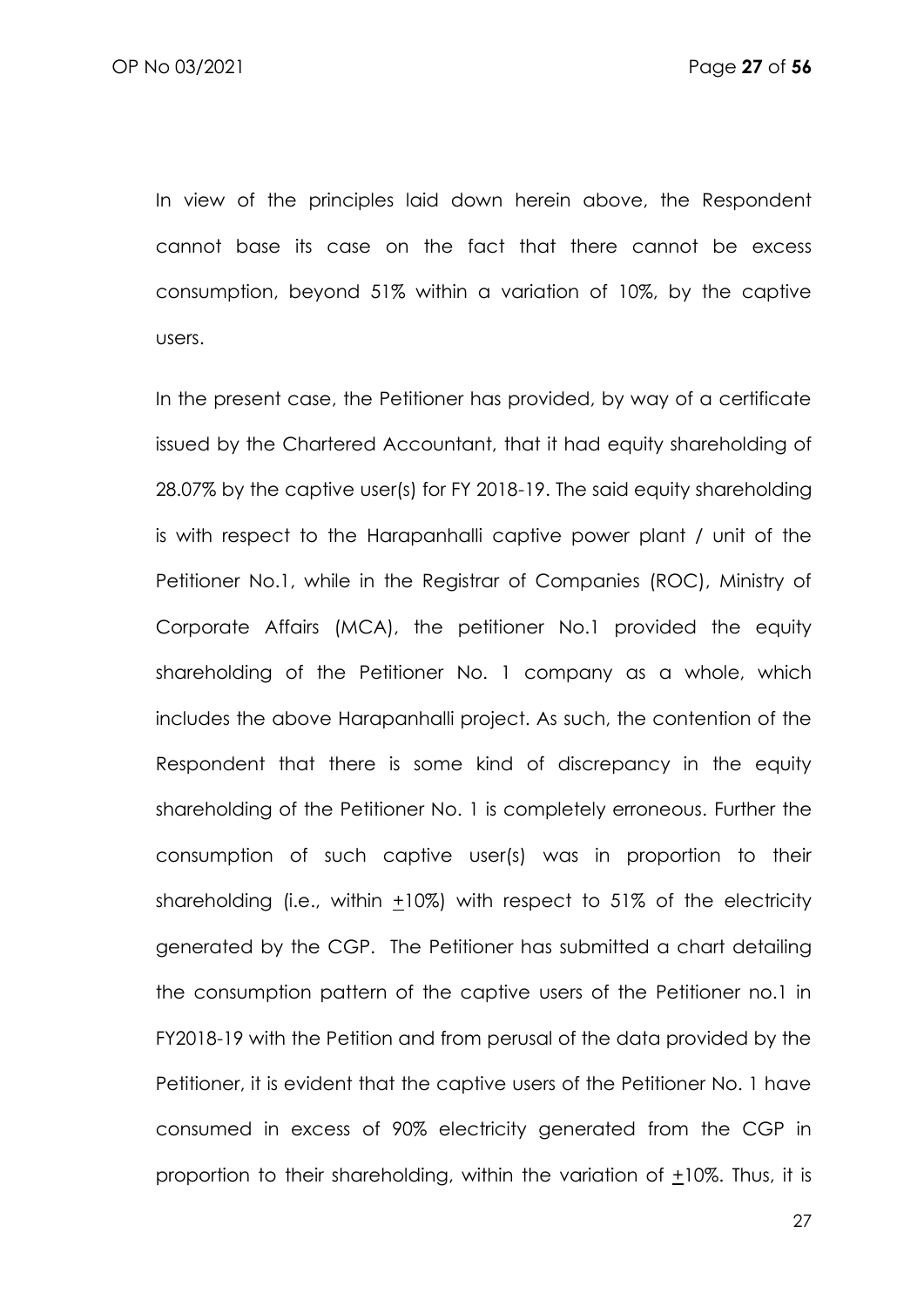In view of the principles laid down herein above, the Respondent cannot base its case on the fact that there cannot be excess consumption, beyond 51% within a variation of 10%, by the captive users.

In the present case, the Petitioner has provided, by way of a certificate issued by the Chartered Accountant, that it had equity shareholding of 28.07% by the captive user(s) for FY 2018-19. The said equity shareholding is with respect to the Harapanhalli captive power plant / unit of the Petitioner No.1, while in the Registrar of Companies (ROC), Ministry of Corporate Affairs (MCA), the petitioner No.1 provided the equity shareholding of the Petitioner No. 1 company as a whole, which includes the above Harapanhalli project. As such, the contention of the Respondent that there is some kind of discrepancy in the equity shareholding of the Petitioner No. 1 is completely erroneous. Further the consumption of such captive user(s) was in proportion to their shareholding (i.e., within +10%) with respect to 51% of the electricity generated by the CGP. The Petitioner has submitted a chart detailing the consumption pattern of the captive users of the Petitioner no.1 in FY2018-19 with the Petition and from perusal of the data provided by the Petitioner, it is evident that the captive users of the Petitioner No. 1 have consumed in excess of 90% electricity generated from the CGP in proportion to their shareholding, within the variation of +10%. Thus, it is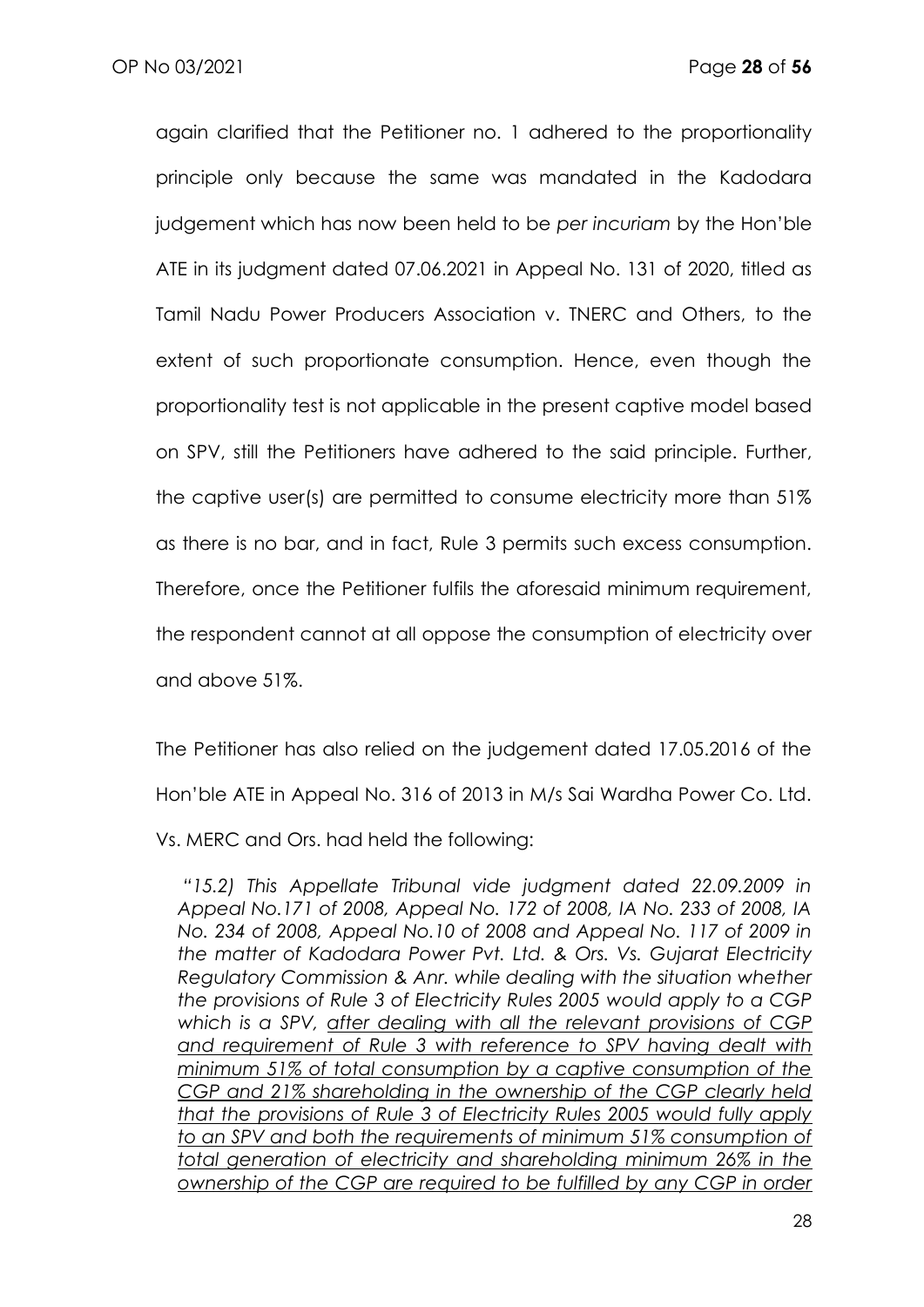again clarified that the Petitioner no. 1 adhered to the proportionality principle only because the same was mandated in the Kadodara judgement which has now been held to be *per incuriam* by the Hon'ble ATE in its judgment dated 07.06.2021 in Appeal No. 131 of 2020, titled as Tamil Nadu Power Producers Association v. TNERC and Others, to the extent of such proportionate consumption. Hence, even though the proportionality test is not applicable in the present captive model based on SPV, still the Petitioners have adhered to the said principle. Further, the captive user(s) are permitted to consume electricity more than 51% as there is no bar, and in fact, Rule 3 permits such excess consumption. Therefore, once the Petitioner fulfils the aforesaid minimum requirement, the respondent cannot at all oppose the consumption of electricity over and above 51%.

The Petitioner has also relied on the judgement dated 17.05.2016 of the Hon'ble ATE in Appeal No. 316 of 2013 in M/s Sai Wardha Power Co. Ltd.

Vs. MERC and Ors. had held the following:

*"15.2) This Appellate Tribunal vide judgment dated 22.09.2009 in Appeal No.171 of 2008, Appeal No. 172 of 2008, IA No. 233 of 2008, IA No. 234 of 2008, Appeal No.10 of 2008 and Appeal No. 117 of 2009 in the matter of Kadodara Power Pvt. Ltd. & Ors. Vs. Gujarat Electricity Regulatory Commission & Anr. while dealing with the situation whether the provisions of Rule 3 of Electricity Rules 2005 would apply to a CGP which is a SPV, after dealing with all the relevant provisions of CGP and requirement of Rule 3 with reference to SPV having dealt with minimum 51% of total consumption by a captive consumption of the CGP and 21% shareholding in the ownership of the CGP clearly held that the provisions of Rule 3 of Electricity Rules 2005 would fully apply to an SPV and both the requirements of minimum 51% consumption of total generation of electricity and shareholding minimum 26% in the ownership of the CGP are required to be fulfilled by any CGP in order*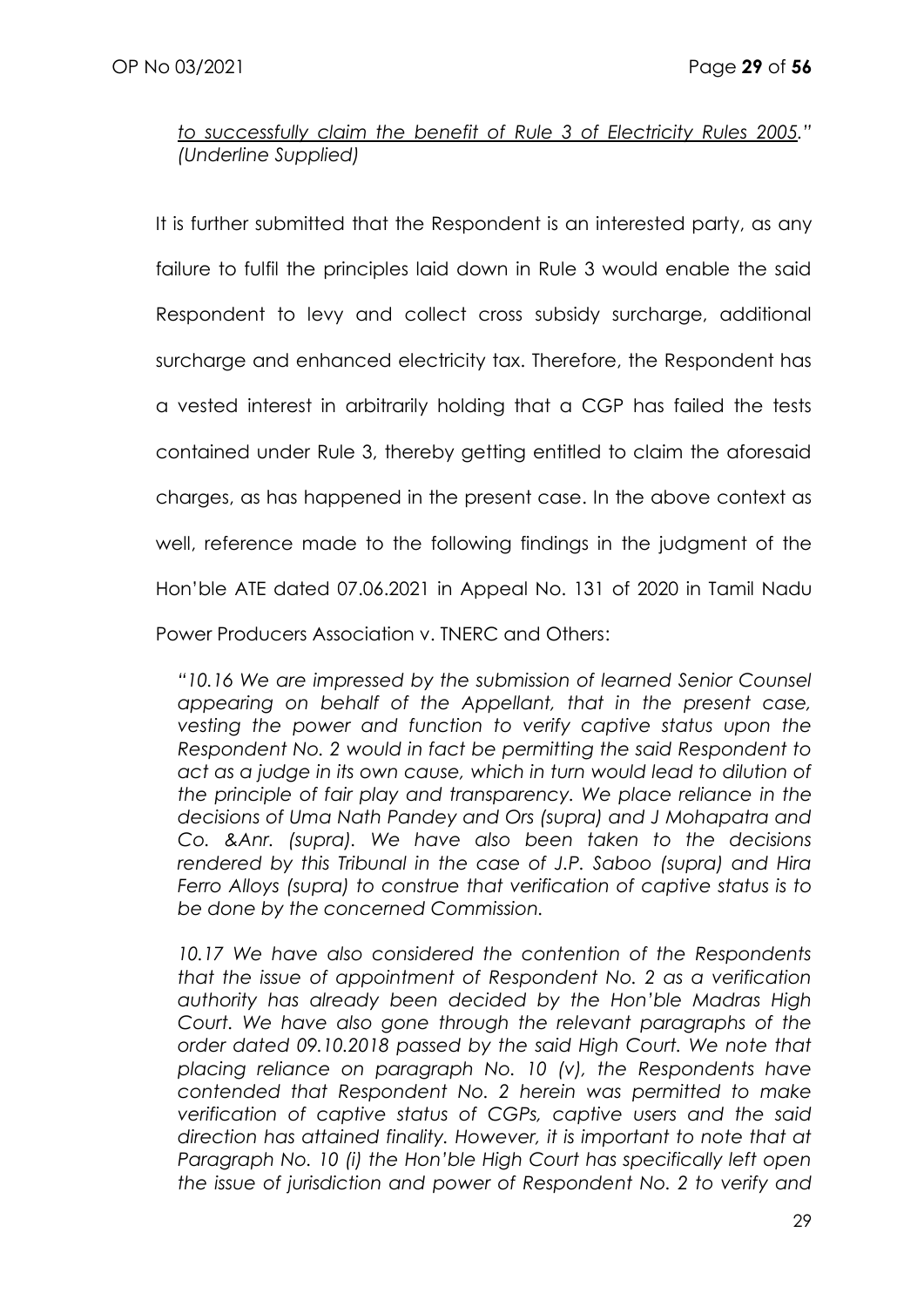*to successfully claim the benefit of Rule 3 of Electricity Rules 2005." (Underline Supplied)*

It is further submitted that the Respondent is an interested party, as any failure to fulfil the principles laid down in Rule 3 would enable the said Respondent to levy and collect cross subsidy surcharge, additional surcharge and enhanced electricity tax. Therefore, the Respondent has a vested interest in arbitrarily holding that a CGP has failed the tests contained under Rule 3, thereby getting entitled to claim the aforesaid charges, as has happened in the present case. In the above context as well, reference made to the following findings in the judgment of the Hon'ble ATE dated 07.06.2021 in Appeal No. 131 of 2020 in Tamil Nadu Power Producers Association v. TNERC and Others:

*"10.16 We are impressed by the submission of learned Senior Counsel appearing on behalf of the Appellant, that in the present case, vesting the power and function to verify captive status upon the Respondent No. 2 would in fact be permitting the said Respondent to act as a judge in its own cause, which in turn would lead to dilution of the principle of fair play and transparency. We place reliance in the decisions of Uma Nath Pandey and Ors (supra) and J Mohapatra and Co. &Anr. (supra). We have also been taken to the decisions rendered by this Tribunal in the case of J.P. Saboo (supra) and Hira Ferro Alloys (supra) to construe that verification of captive status is to be done by the concerned Commission.* 

10.17 We have also considered the contention of the Respondents *that the issue of appointment of Respondent No. 2 as a verification authority has already been decided by the Hon'ble Madras High Court. We have also gone through the relevant paragraphs of the order dated 09.10.2018 passed by the said High Court. We note that placing reliance on paragraph No. 10 (v), the Respondents have contended that Respondent No. 2 herein was permitted to make verification of captive status of CGPs, captive users and the said direction has attained finality. However, it is important to note that at Paragraph No. 10 (i) the Hon'ble High Court has specifically left open the issue of jurisdiction and power of Respondent No. 2 to verify and*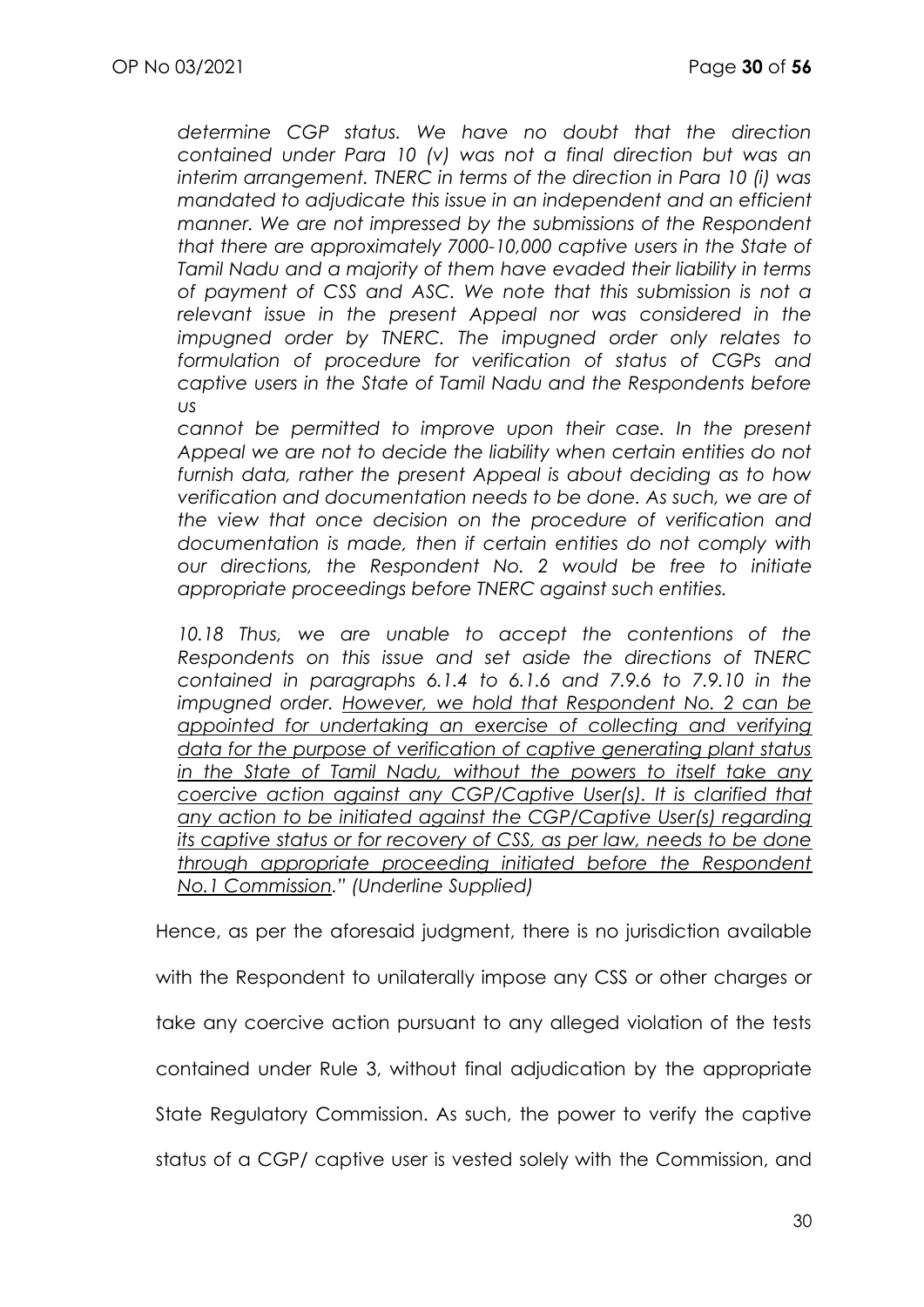*determine CGP status. We have no doubt that the direction contained under Para 10 (v) was not a final direction but was an interim arrangement. TNERC in terms of the direction in Para 10 (i) was mandated to adjudicate this issue in an independent and an efficient manner. We are not impressed by the submissions of the Respondent that there are approximately 7000-10,000 captive users in the State of Tamil Nadu and a majority of them have evaded their liability in terms of payment of CSS and ASC. We note that this submission is not a relevant issue in the present Appeal nor was considered in the impugned order by TNERC. The impugned order only relates to formulation of procedure for verification of status of CGPs and captive users in the State of Tamil Nadu and the Respondents before us* 

*cannot be permitted to improve upon their case. In the present Appeal we are not to decide the liability when certain entities do not furnish data, rather the present Appeal is about deciding as to how verification and documentation needs to be done. As such, we are of the view that once decision on the procedure of verification and documentation is made, then if certain entities do not comply with our directions, the Respondent No. 2 would be free to initiate appropriate proceedings before TNERC against such entities.*

10.18 Thus, we are unable to accept the contentions of the *Respondents on this issue and set aside the directions of TNERC contained in paragraphs 6.1.4 to 6.1.6 and 7.9.6 to 7.9.10 in the impugned order. However, we hold that Respondent No. 2 can be appointed for undertaking an exercise of collecting and verifying data for the purpose of verification of captive generating plant status in the State of Tamil Nadu, without the powers to itself take any coercive action against any CGP/Captive User(s). It is clarified that any action to be initiated against the CGP/Captive User(s) regarding its captive status or for recovery of CSS, as per law, needs to be done through appropriate proceeding initiated before the Respondent No.1 Commission." (Underline Supplied)*

Hence, as per the aforesaid judgment, there is no jurisdiction available with the Respondent to unilaterally impose any CSS or other charges or take any coercive action pursuant to any alleged violation of the tests contained under Rule 3, without final adjudication by the appropriate State Regulatory Commission. As such, the power to verify the captive status of a CGP/ captive user is vested solely with the Commission, and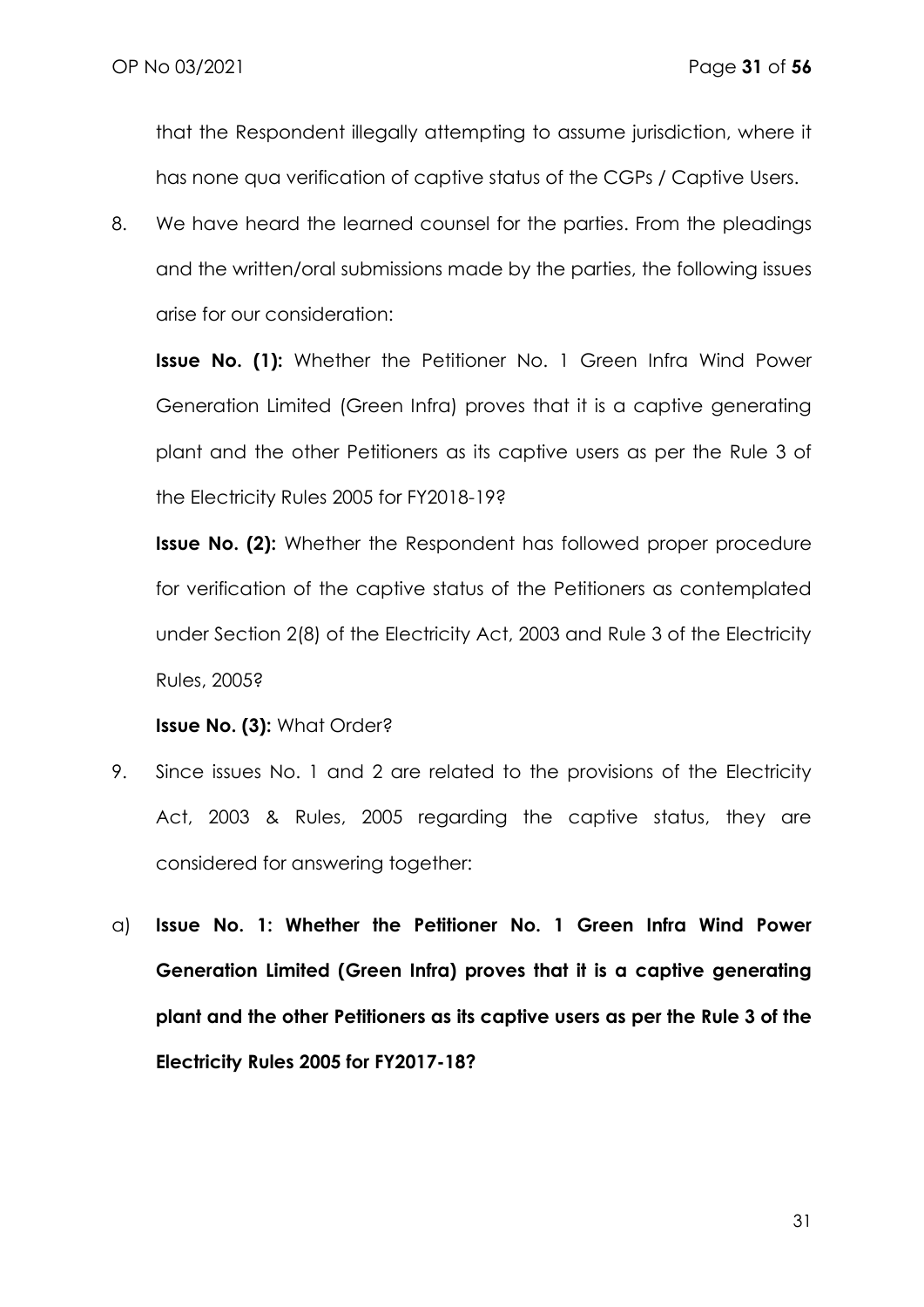that the Respondent illegally attempting to assume jurisdiction, where it has none qua verification of captive status of the CGPs / Captive Users.

8. We have heard the learned counsel for the parties. From the pleadings and the written/oral submissions made by the parties, the following issues arise for our consideration:

**Issue No. (1):** Whether the Petitioner No. 1 Green Infra Wind Power Generation Limited (Green Infra) proves that it is a captive generating plant and the other Petitioners as its captive users as per the Rule 3 of the Electricity Rules 2005 for FY2018-19?

**Issue No. (2):** Whether the Respondent has followed proper procedure for verification of the captive status of the Petitioners as contemplated under Section 2(8) of the Electricity Act, 2003 and Rule 3 of the Electricity Rules, 2005?

**Issue No. (3):** What Order?

- 9. Since issues No. 1 and 2 are related to the provisions of the Electricity Act, 2003 & Rules, 2005 regarding the captive status, they are considered for answering together:
- a) **Issue No. 1: Whether the Petitioner No. 1 Green Infra Wind Power Generation Limited (Green Infra) proves that it is a captive generating plant and the other Petitioners as its captive users as per the Rule 3 of the Electricity Rules 2005 for FY2017-18?**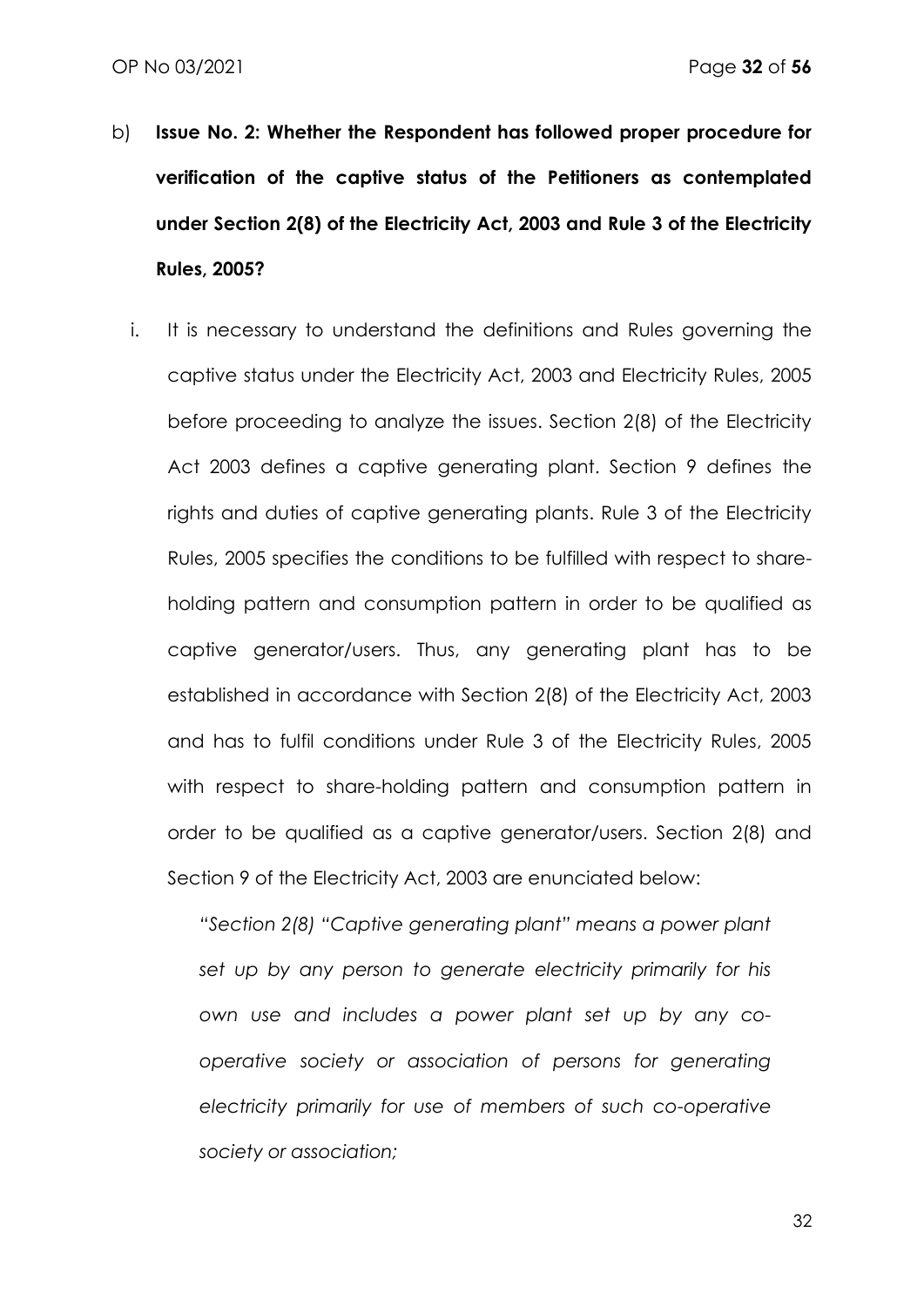- b) **Issue No. 2: Whether the Respondent has followed proper procedure for verification of the captive status of the Petitioners as contemplated under Section 2(8) of the Electricity Act, 2003 and Rule 3 of the Electricity Rules, 2005?**
	- i. It is necessary to understand the definitions and Rules governing the captive status under the Electricity Act, 2003 and Electricity Rules, 2005 before proceeding to analyze the issues. Section 2(8) of the Electricity Act 2003 defines a captive generating plant. Section 9 defines the rights and duties of captive generating plants. Rule 3 of the Electricity Rules, 2005 specifies the conditions to be fulfilled with respect to shareholding pattern and consumption pattern in order to be qualified as captive generator/users. Thus, any generating plant has to be established in accordance with Section 2(8) of the Electricity Act, 2003 and has to fulfil conditions under Rule 3 of the Electricity Rules, 2005 with respect to share-holding pattern and consumption pattern in order to be qualified as a captive generator/users. Section 2(8) and Section 9 of the Electricity Act, 2003 are enunciated below:

*"Section 2(8) "Captive generating plant" means a power plant set up by any person to generate electricity primarily for his own use and includes a power plant set up by any cooperative society or association of persons for generating electricity primarily for use of members of such co-operative society or association;*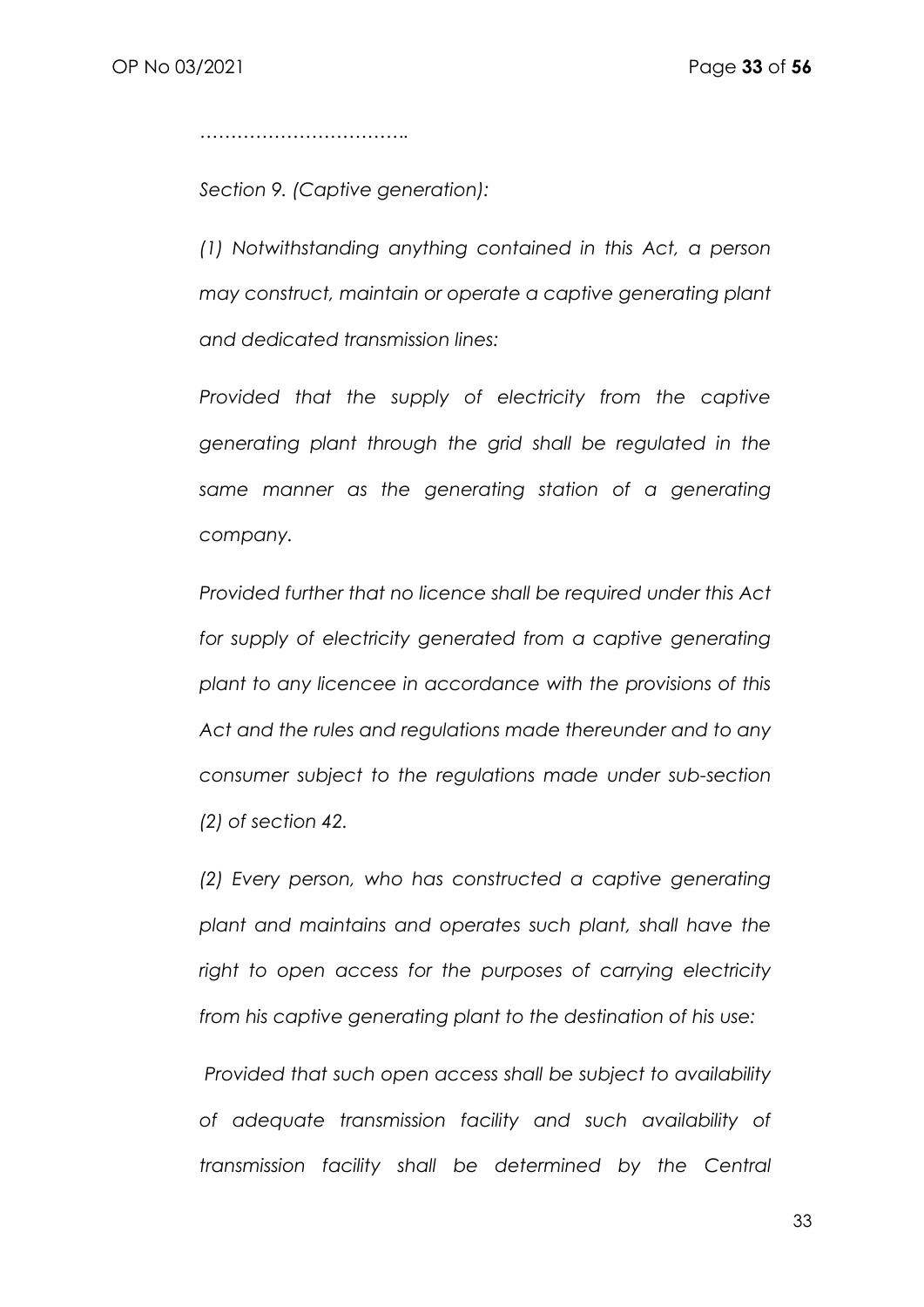*…………………………….*

*Section 9. (Captive generation):* 

*(1) Notwithstanding anything contained in this Act, a person may construct, maintain or operate a captive generating plant and dedicated transmission lines:* 

*Provided that the supply of electricity from the captive generating plant through the grid shall be regulated in the same manner as the generating station of a generating company.* 

*Provided further that no licence shall be required under this Act for supply of electricity generated from a captive generating plant to any licencee in accordance with the provisions of this Act and the rules and regulations made thereunder and to any consumer subject to the regulations made under sub-section (2) of section 42.* 

*(2) Every person, who has constructed a captive generating plant and maintains and operates such plant, shall have the right to open access for the purposes of carrying electricity from his captive generating plant to the destination of his use:* 

*Provided that such open access shall be subject to availability of adequate transmission facility and such availability of transmission facility shall be determined by the Central*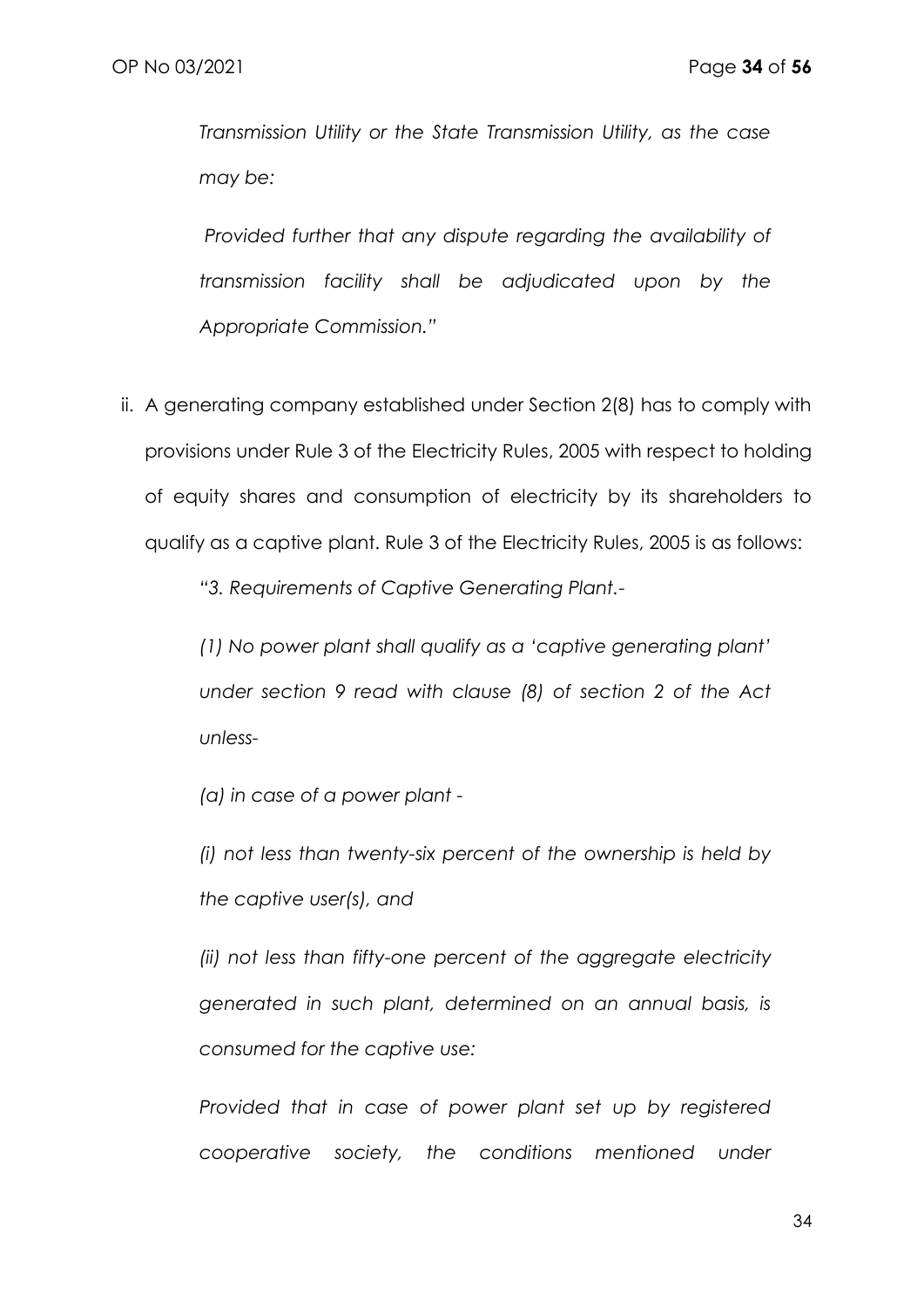*Transmission Utility or the State Transmission Utility, as the case may be:* 

*Provided further that any dispute regarding the availability of transmission facility shall be adjudicated upon by the Appropriate Commission."*

ii. A generating company established under Section 2(8) has to comply with provisions under Rule 3 of the Electricity Rules, 2005 with respect to holding of equity shares and consumption of electricity by its shareholders to qualify as a captive plant. Rule 3 of the Electricity Rules, 2005 is as follows:

*"3. Requirements of Captive Generating Plant.-*

*(1) No power plant shall qualify as a 'captive generating plant' under section 9 read with clause (8) of section 2 of the Act unless-*

*(a) in case of a power plant -*

*(i) not less than twenty-six percent of the ownership is held by the captive user(s), and* 

*(ii) not less than fifty-one percent of the aggregate electricity generated in such plant, determined on an annual basis, is consumed for the captive use:* 

*Provided that in case of power plant set up by registered cooperative society, the conditions mentioned under*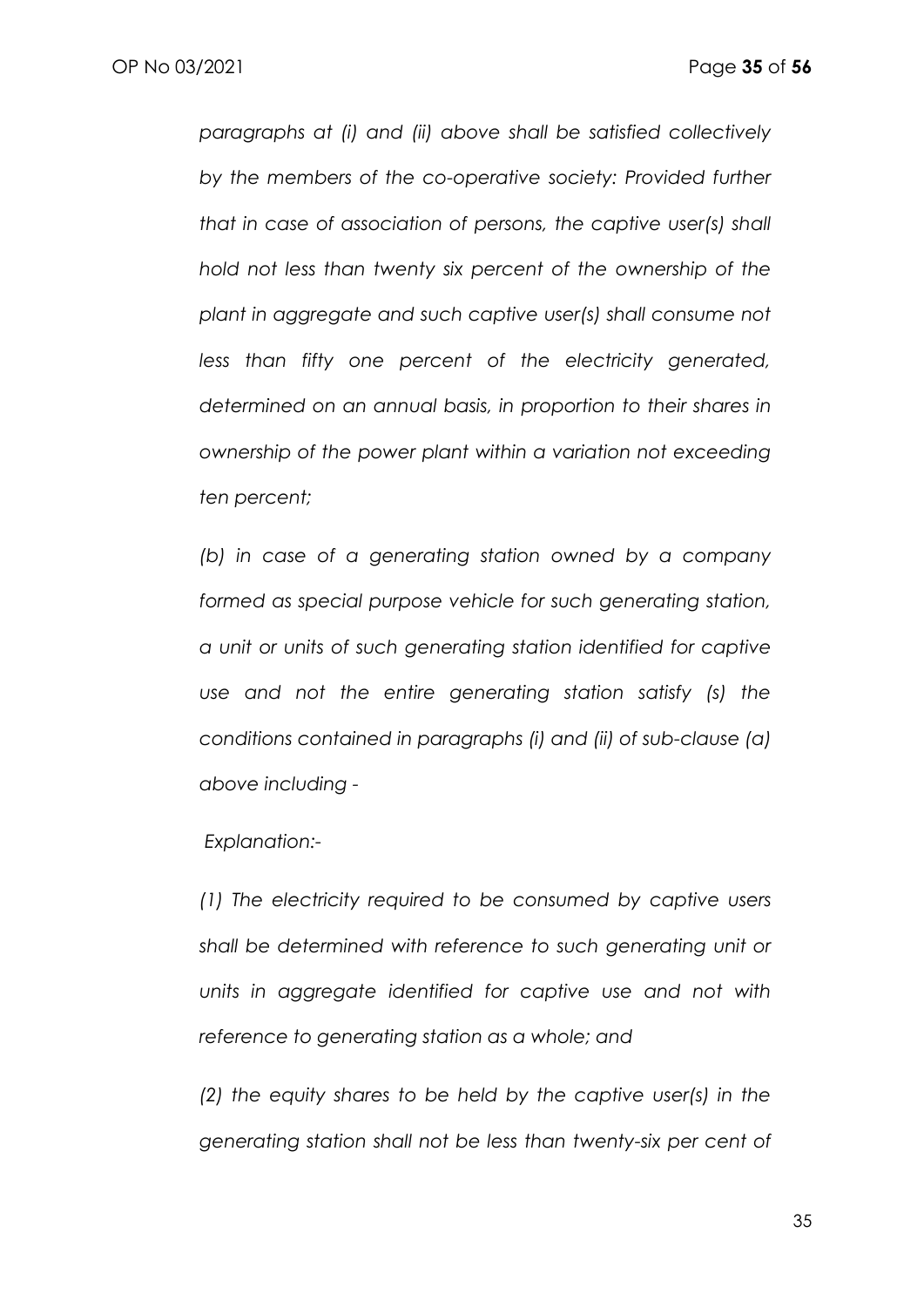*paragraphs at (i) and (ii) above shall be satisfied collectively by the members of the co-operative society: Provided further that in case of association of persons, the captive user(s) shall hold not less than twenty six percent of the ownership of the plant in aggregate and such captive user(s) shall consume not less than fifty one percent of the electricity generated, determined on an annual basis, in proportion to their shares in ownership of the power plant within a variation not exceeding ten percent;* 

*(b) in case of a generating station owned by a company formed as special purpose vehicle for such generating station, a unit or units of such generating station identified for captive use and not the entire generating station satisfy (s) the conditions contained in paragraphs (i) and (ii) of sub-clause (a) above including -*

*Explanation:-*

*(1) The electricity required to be consumed by captive users shall be determined with reference to such generating unit or units in aggregate identified for captive use and not with reference to generating station as a whole; and* 

*(2) the equity shares to be held by the captive user(s) in the generating station shall not be less than twenty-six per cent of*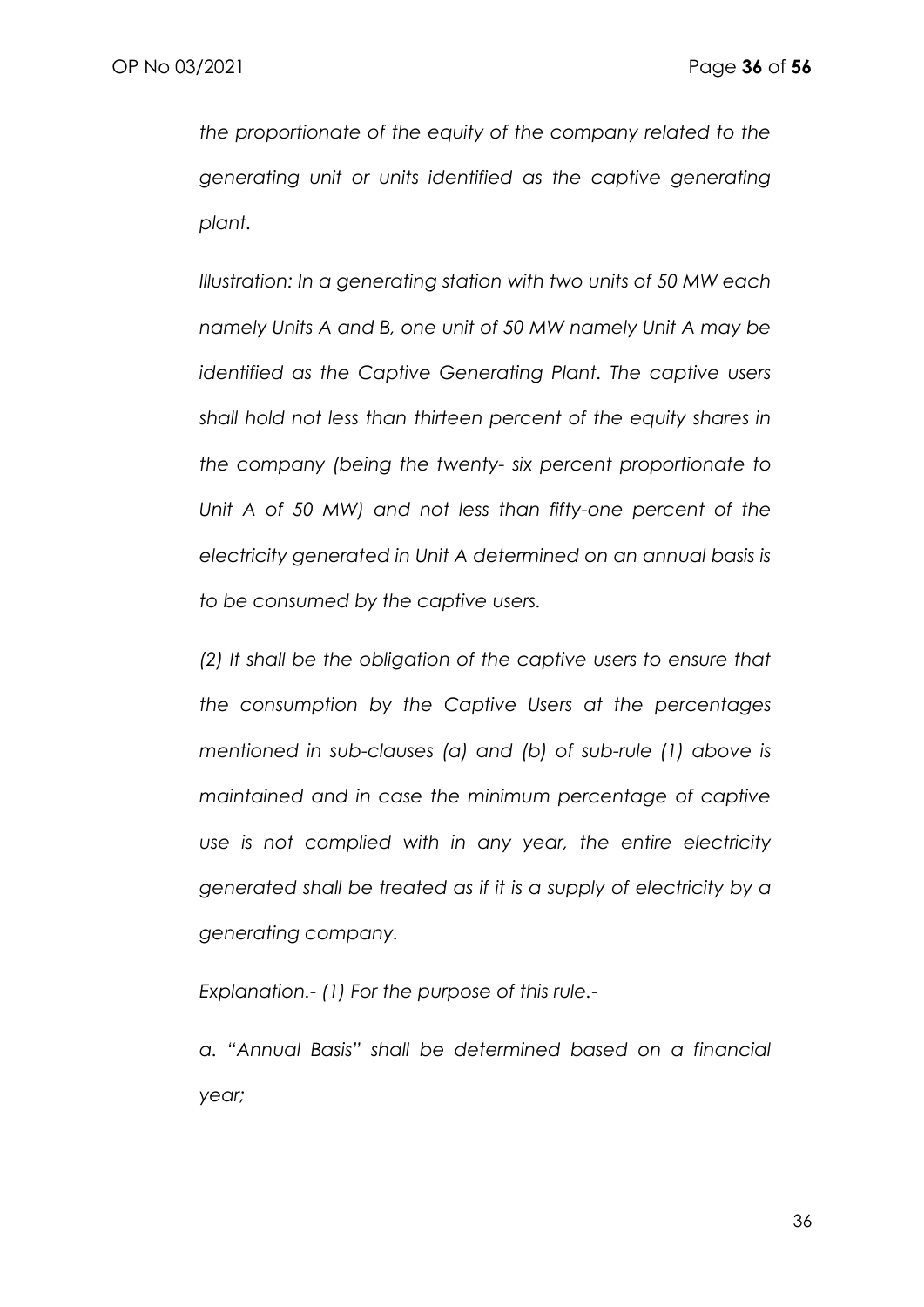*the proportionate of the equity of the company related to the generating unit or units identified as the captive generating plant.* 

*Illustration: In a generating station with two units of 50 MW each namely Units A and B, one unit of 50 MW namely Unit A may be identified as the Captive Generating Plant. The captive users shall hold not less than thirteen percent of the equity shares in the company (being the twenty- six percent proportionate to Unit A of 50 MW) and not less than fifty-one percent of the electricity generated in Unit A determined on an annual basis is to be consumed by the captive users.* 

*(2) It shall be the obligation of the captive users to ensure that the consumption by the Captive Users at the percentages mentioned in sub-clauses (a) and (b) of sub-rule (1) above is maintained and in case the minimum percentage of captive use is not complied with in any year, the entire electricity generated shall be treated as if it is a supply of electricity by a generating company.* 

*Explanation.- (1) For the purpose of this rule.-*

*a. "Annual Basis" shall be determined based on a financial year;*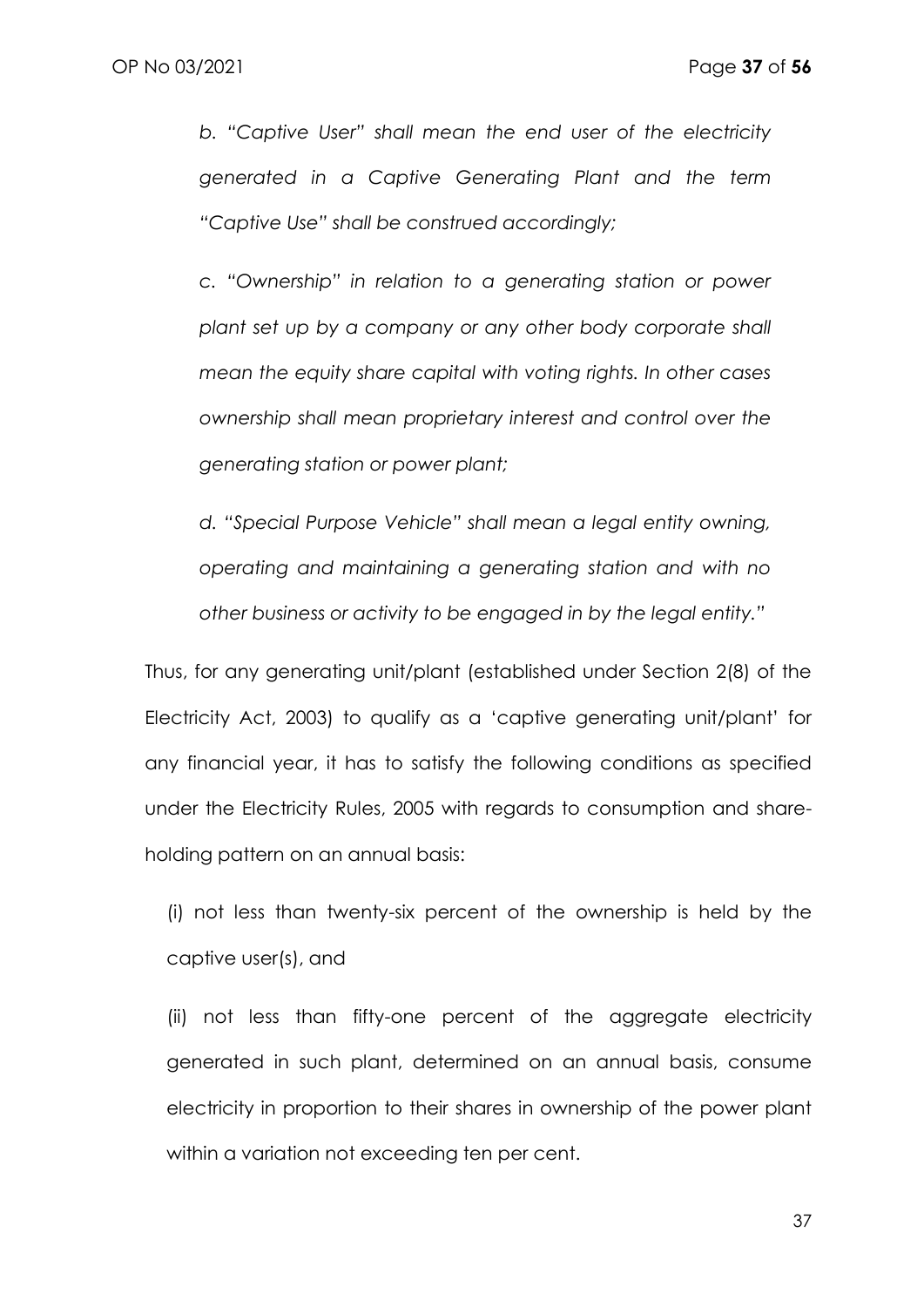*b. "Captive User" shall mean the end user of the electricity generated in a Captive Generating Plant and the term "Captive Use" shall be construed accordingly;* 

*c. "Ownership" in relation to a generating station or power plant set up by a company or any other body corporate shall mean the equity share capital with voting rights. In other cases ownership shall mean proprietary interest and control over the generating station or power plant;* 

*d. "Special Purpose Vehicle" shall mean a legal entity owning, operating and maintaining a generating station and with no other business or activity to be engaged in by the legal entity."*

Thus, for any generating unit/plant (established under Section 2(8) of the Electricity Act, 2003) to qualify as a 'captive generating unit/plant' for any financial year, it has to satisfy the following conditions as specified under the Electricity Rules, 2005 with regards to consumption and shareholding pattern on an annual basis:

(i) not less than twenty-six percent of the ownership is held by the captive user(s), and

(ii) not less than fifty-one percent of the aggregate electricity generated in such plant, determined on an annual basis, consume electricity in proportion to their shares in ownership of the power plant within a variation not exceeding ten per cent.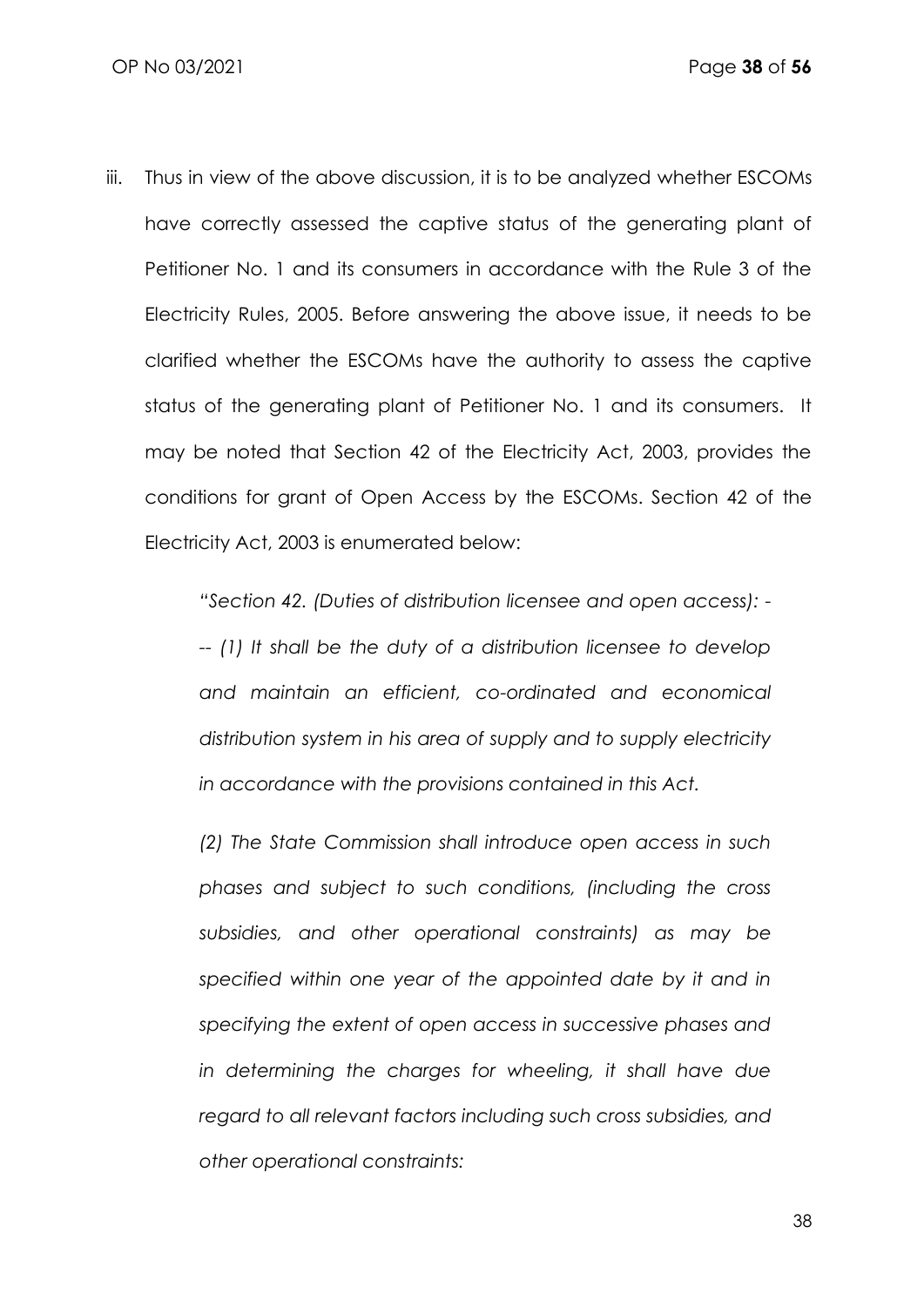iii. Thus in view of the above discussion, it is to be analyzed whether ESCOMs have correctly assessed the captive status of the generating plant of Petitioner No. 1 and its consumers in accordance with the Rule 3 of the Electricity Rules, 2005. Before answering the above issue, it needs to be clarified whether the ESCOMs have the authority to assess the captive status of the generating plant of Petitioner No. 1 and its consumers. It may be noted that Section 42 of the Electricity Act, 2003, provides the conditions for grant of Open Access by the ESCOMs. Section 42 of the Electricity Act, 2003 is enumerated below:

*"Section 42. (Duties of distribution licensee and open access): -*

*-- (1) It shall be the duty of a distribution licensee to develop and maintain an efficient, co-ordinated and economical distribution system in his area of supply and to supply electricity in accordance with the provisions contained in this Act.* 

*(2) The State Commission shall introduce open access in such phases and subject to such conditions, (including the cross subsidies, and other operational constraints) as may be specified within one year of the appointed date by it and in specifying the extent of open access in successive phases and in determining the charges for wheeling, it shall have due regard to all relevant factors including such cross subsidies, and other operational constraints:*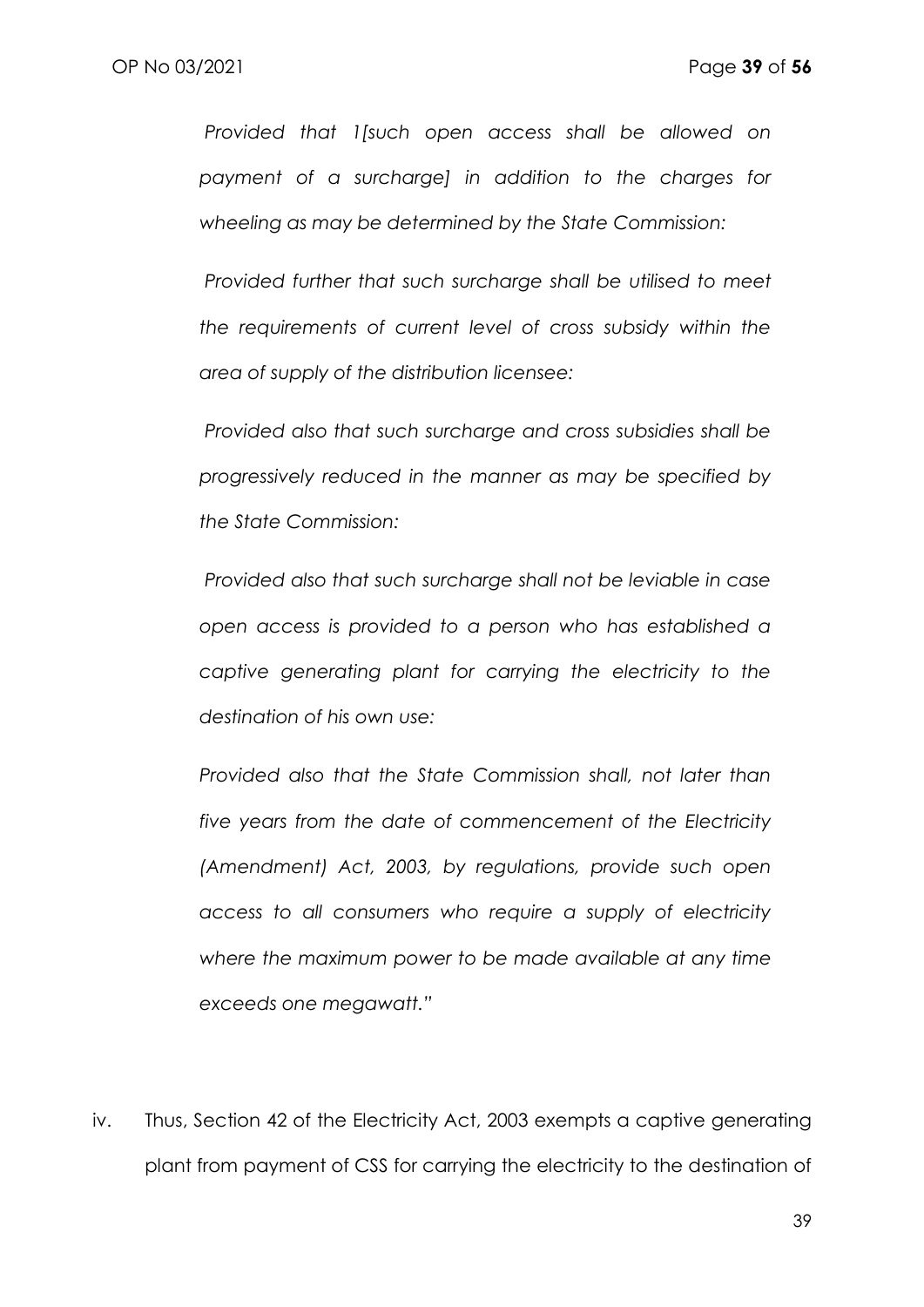*Provided that 1[such open access shall be allowed on payment of a surcharge] in addition to the charges for wheeling as may be determined by the State Commission:* 

*Provided further that such surcharge shall be utilised to meet the requirements of current level of cross subsidy within the area of supply of the distribution licensee:* 

*Provided also that such surcharge and cross subsidies shall be progressively reduced in the manner as may be specified by the State Commission:* 

*Provided also that such surcharge shall not be leviable in case open access is provided to a person who has established a captive generating plant for carrying the electricity to the destination of his own use:* 

*Provided also that the State Commission shall, not later than five years from the date of commencement of the Electricity (Amendment) Act, 2003, by regulations, provide such open access to all consumers who require a supply of electricity where the maximum power to be made available at any time exceeds one megawatt."* 

iv. Thus, Section 42 of the Electricity Act, 2003 exempts a captive generating plant from payment of CSS for carrying the electricity to the destination of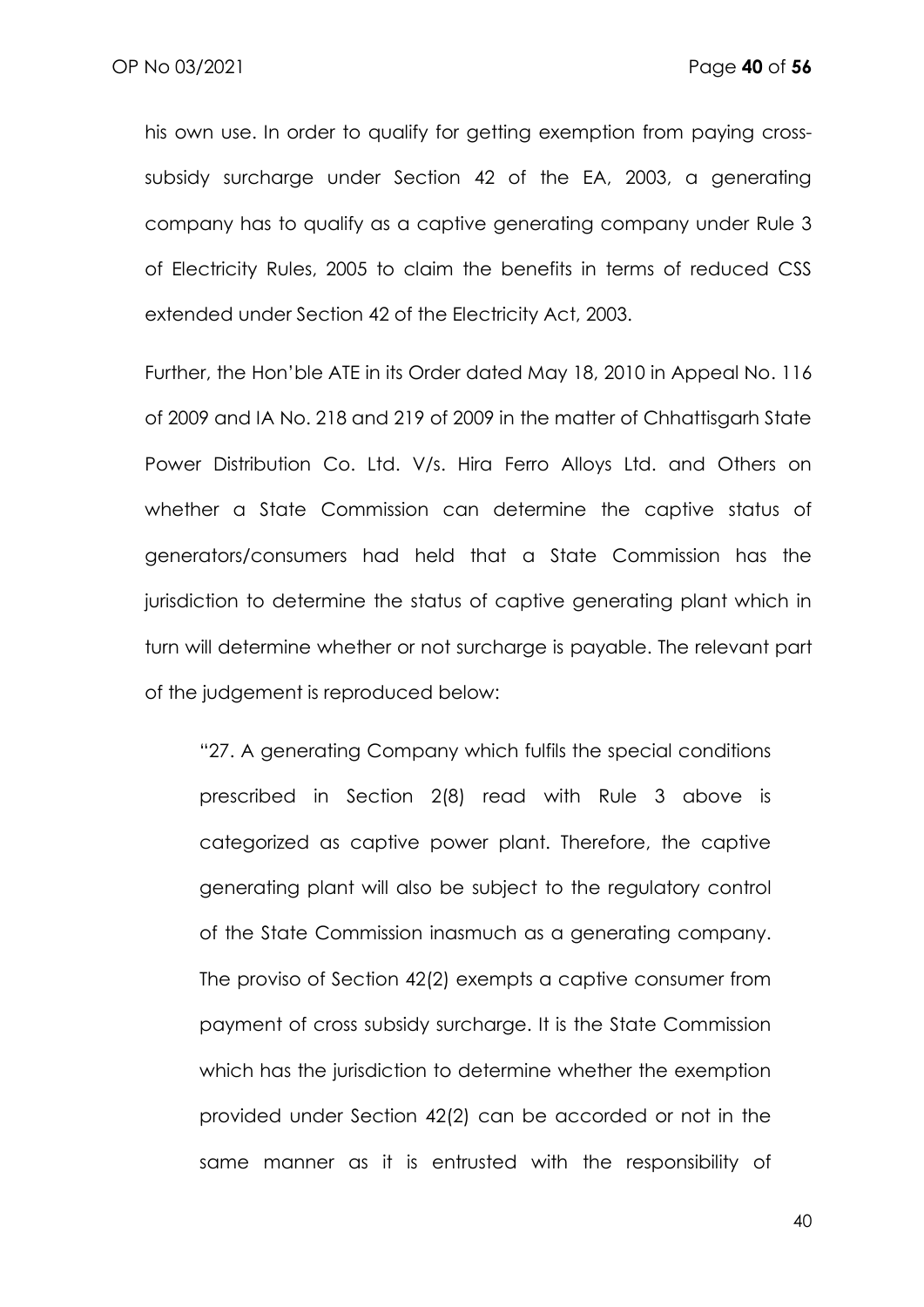his own use. In order to qualify for getting exemption from paying crosssubsidy surcharge under Section 42 of the EA, 2003, a generating company has to qualify as a captive generating company under Rule 3 of Electricity Rules, 2005 to claim the benefits in terms of reduced CSS extended under Section 42 of the Electricity Act, 2003.

Further, the Hon'ble ATE in its Order dated May 18, 2010 in Appeal No. 116 of 2009 and IA No. 218 and 219 of 2009 in the matter of Chhattisgarh State Power Distribution Co. Ltd. V/s. Hira Ferro Alloys Ltd. and Others on whether a State Commission can determine the captive status of generators/consumers had held that a State Commission has the jurisdiction to determine the status of captive generating plant which in turn will determine whether or not surcharge is payable. The relevant part of the judgement is reproduced below:

"27. A generating Company which fulfils the special conditions prescribed in Section 2(8) read with Rule 3 above is categorized as captive power plant. Therefore, the captive generating plant will also be subject to the regulatory control of the State Commission inasmuch as a generating company. The proviso of Section 42(2) exempts a captive consumer from payment of cross subsidy surcharge. It is the State Commission which has the jurisdiction to determine whether the exemption provided under Section 42(2) can be accorded or not in the same manner as it is entrusted with the responsibility of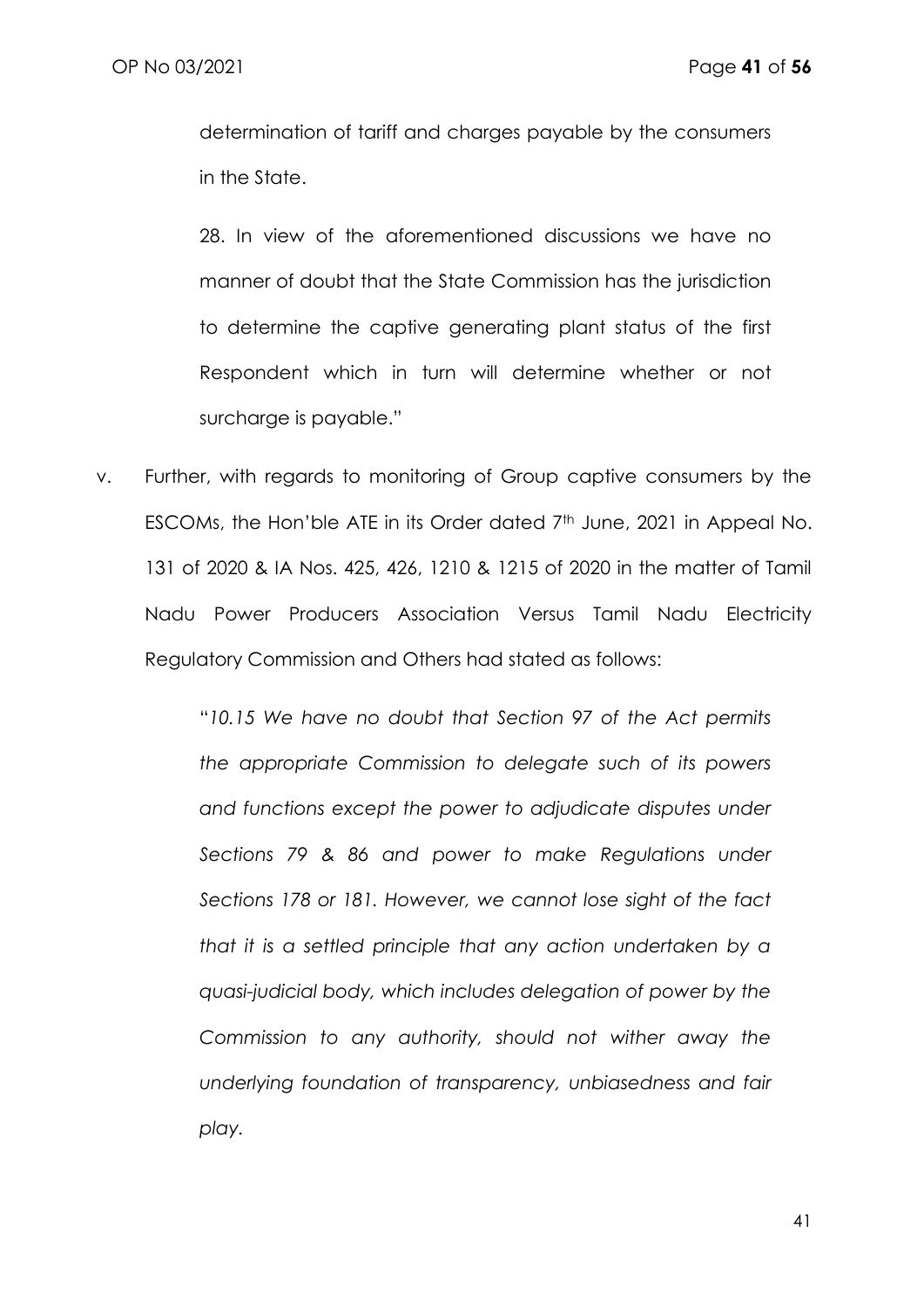determination of tariff and charges payable by the consumers in the State.

28. In view of the aforementioned discussions we have no manner of doubt that the State Commission has the jurisdiction to determine the captive generating plant status of the first Respondent which in turn will determine whether or not surcharge is payable."

v. Further, with regards to monitoring of Group captive consumers by the ESCOMs, the Hon'ble ATE in its Order dated 7<sup>th</sup> June, 2021 in Appeal No. 131 of 2020 & IA Nos. 425, 426, 1210 & 1215 of 2020 in the matter of Tamil Nadu Power Producers Association Versus Tamil Nadu Electricity Regulatory Commission and Others had stated as follows:

> "*10.15 We have no doubt that Section 97 of the Act permits the appropriate Commission to delegate such of its powers and functions except the power to adjudicate disputes under Sections 79 & 86 and power to make Regulations under Sections 178 or 181. However, we cannot lose sight of the fact that it is a settled principle that any action undertaken by a quasi-judicial body, which includes delegation of power by the Commission to any authority, should not wither away the underlying foundation of transparency, unbiasedness and fair play.*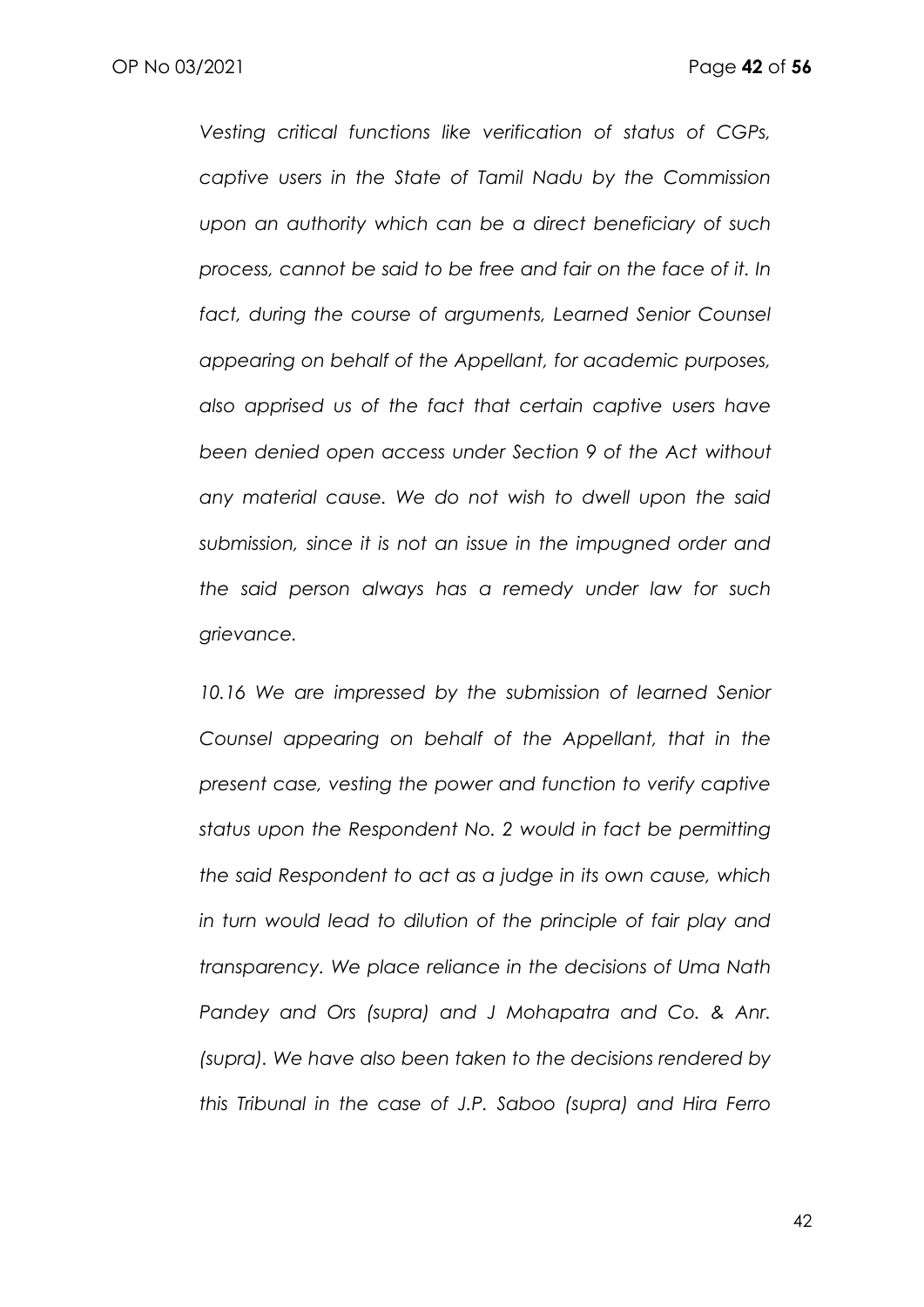*Vesting critical functions like verification of status of CGPs, captive users in the State of Tamil Nadu by the Commission upon an authority which can be a direct beneficiary of such process, cannot be said to be free and fair on the face of it. In*  fact, during the course of arguments, Learned Senior Counsel *appearing on behalf of the Appellant, for academic purposes, also apprised us of the fact that certain captive users have been denied open access under Section 9 of the Act without any material cause. We do not wish to dwell upon the said submission, since it is not an issue in the impugned order and the said person always has a remedy under law for such grievance.*

10.16 We are impressed by the submission of learned Senior *Counsel appearing on behalf of the Appellant, that in the present case, vesting the power and function to verify captive status upon the Respondent No. 2 would in fact be permitting the said Respondent to act as a judge in its own cause, which in turn would lead to dilution of the principle of fair play and transparency. We place reliance in the decisions of Uma Nath*  Pandey and Ors (supra) and J Mohapatra and Co. & Anr. *(supra). We have also been taken to the decisions rendered by this Tribunal in the case of J.P. Saboo (supra) and Hira Ferro*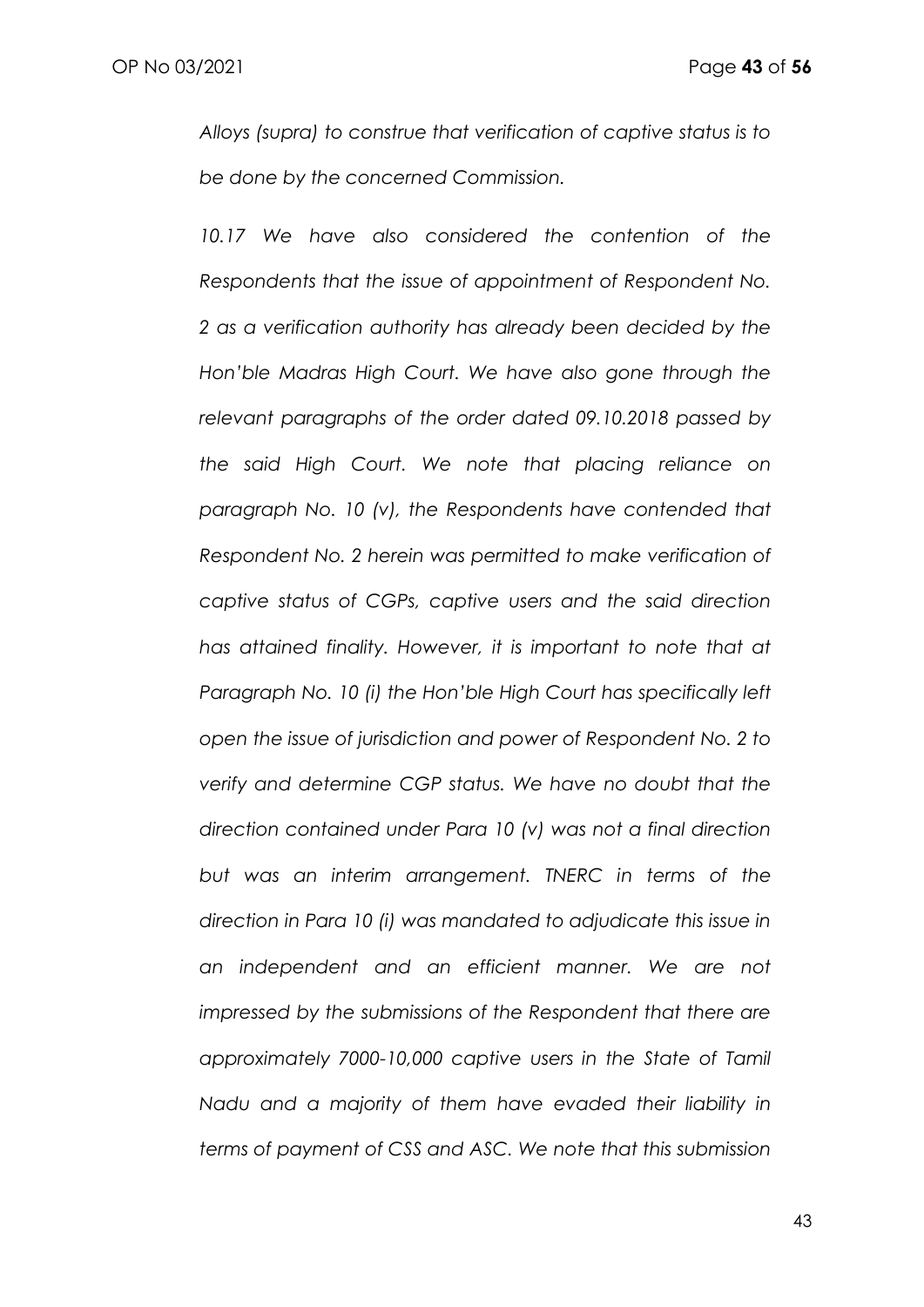*Alloys (supra) to construe that verification of captive status is to be done by the concerned Commission.*

*10.17 We have also considered the contention of the Respondents that the issue of appointment of Respondent No. 2 as a verification authority has already been decided by the Hon'ble Madras High Court. We have also gone through the relevant paragraphs of the order dated 09.10.2018 passed by the said High Court. We note that placing reliance on paragraph No. 10 (v), the Respondents have contended that Respondent No. 2 herein was permitted to make verification of captive status of CGPs, captive users and the said direction has attained finality. However, it is important to note that at Paragraph No. 10 (i) the Hon'ble High Court has specifically left open the issue of jurisdiction and power of Respondent No. 2 to verify and determine CGP status. We have no doubt that the direction contained under Para 10 (v) was not a final direction but was an interim arrangement. TNERC in terms of the direction in Para 10 (i) was mandated to adjudicate this issue in an independent and an efficient manner. We are not impressed by the submissions of the Respondent that there are approximately 7000-10,000 captive users in the State of Tamil Nadu and a majority of them have evaded their liability in terms of payment of CSS and ASC. We note that this submission*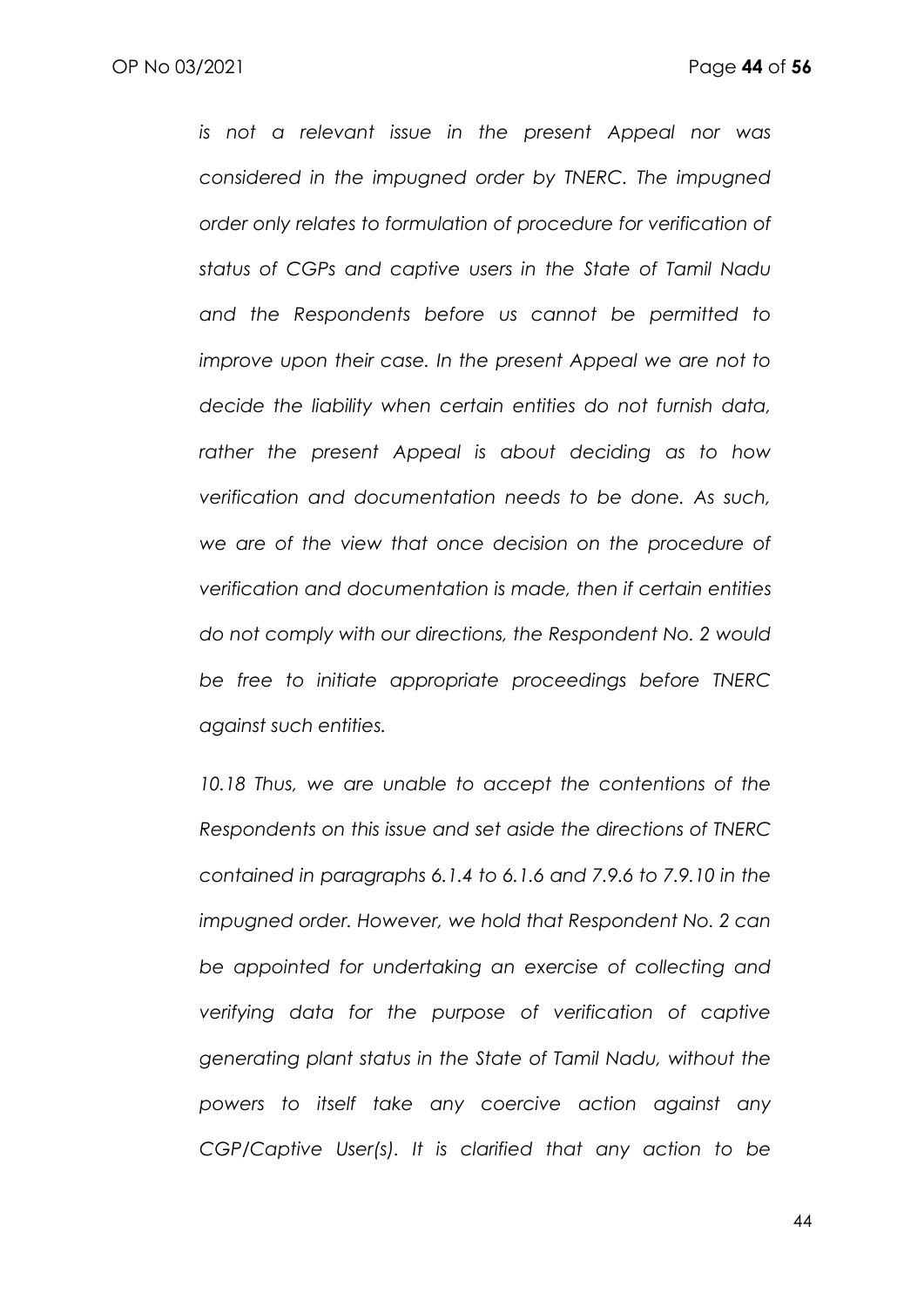*is not a relevant issue in the present Appeal nor was considered in the impugned order by TNERC. The impugned order only relates to formulation of procedure for verification of status of CGPs and captive users in the State of Tamil Nadu and the Respondents before us cannot be permitted to improve upon their case. In the present Appeal we are not to decide the liability when certain entities do not furnish data, rather the present Appeal is about deciding as to how verification and documentation needs to be done. As such, we are of the view that once decision on the procedure of verification and documentation is made, then if certain entities do not comply with our directions, the Respondent No. 2 would be free to initiate appropriate proceedings before TNERC against such entities.*

10.18 Thus, we are unable to accept the contentions of the *Respondents on this issue and set aside the directions of TNERC contained in paragraphs 6.1.4 to 6.1.6 and 7.9.6 to 7.9.10 in the impugned order. However, we hold that Respondent No. 2 can be appointed for undertaking an exercise of collecting and verifying data for the purpose of verification of captive generating plant status in the State of Tamil Nadu, without the powers to itself take any coercive action against any CGP/Captive User(s). It is clarified that any action to be*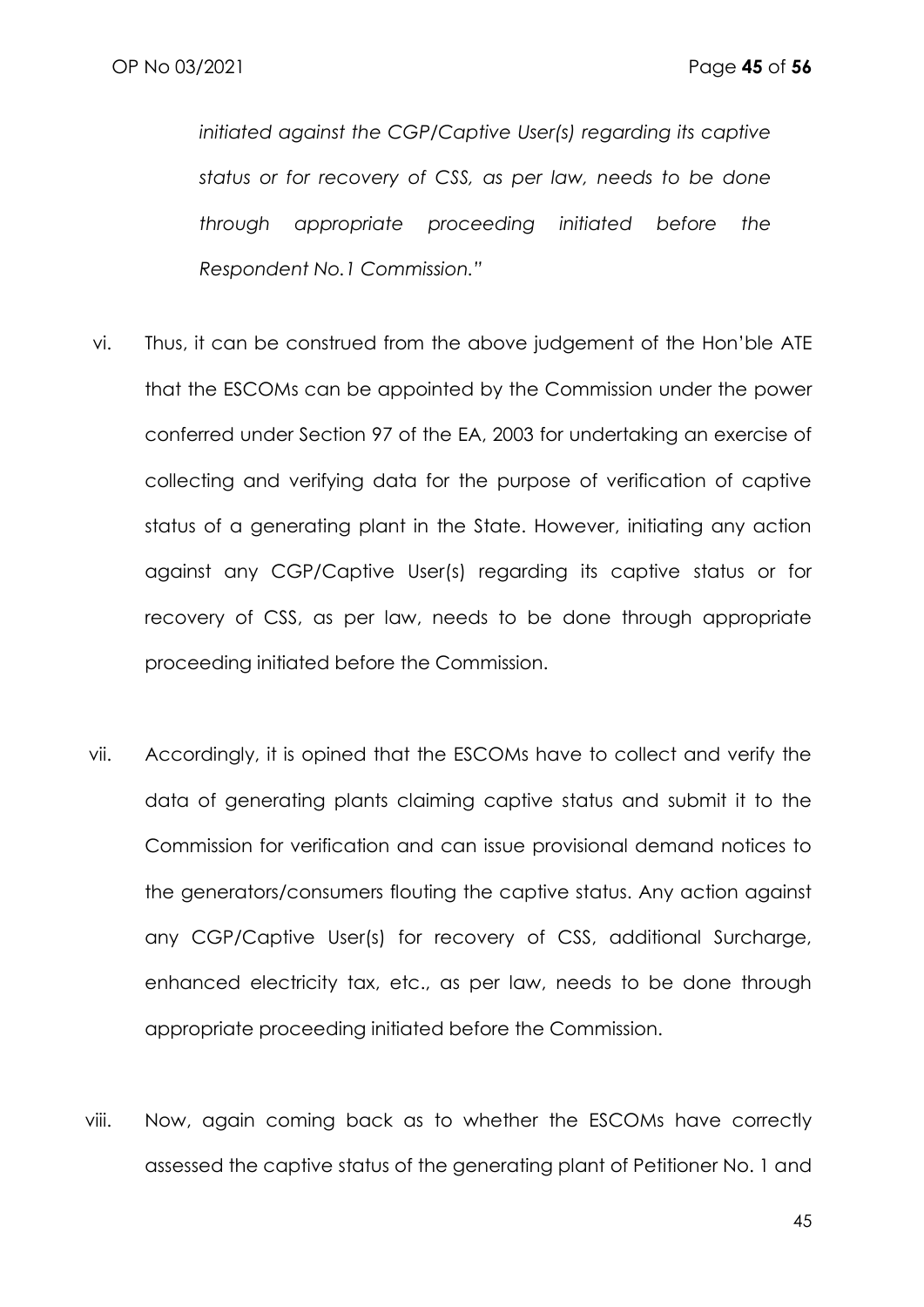*initiated against the CGP/Captive User(s) regarding its captive status or for recovery of CSS, as per law, needs to be done through appropriate proceeding initiated before the Respondent No.1 Commission."*

- vi. Thus, it can be construed from the above judgement of the Hon'ble ATE that the ESCOMs can be appointed by the Commission under the power conferred under Section 97 of the EA, 2003 for undertaking an exercise of collecting and verifying data for the purpose of verification of captive status of a generating plant in the State. However, initiating any action against any CGP/Captive User(s) regarding its captive status or for recovery of CSS, as per law, needs to be done through appropriate proceeding initiated before the Commission.
- vii. Accordingly, it is opined that the ESCOMs have to collect and verify the data of generating plants claiming captive status and submit it to the Commission for verification and can issue provisional demand notices to the generators/consumers flouting the captive status. Any action against any CGP/Captive User(s) for recovery of CSS, additional Surcharge, enhanced electricity tax, etc., as per law, needs to be done through appropriate proceeding initiated before the Commission.
- viii. Now, again coming back as to whether the ESCOMs have correctly assessed the captive status of the generating plant of Petitioner No. 1 and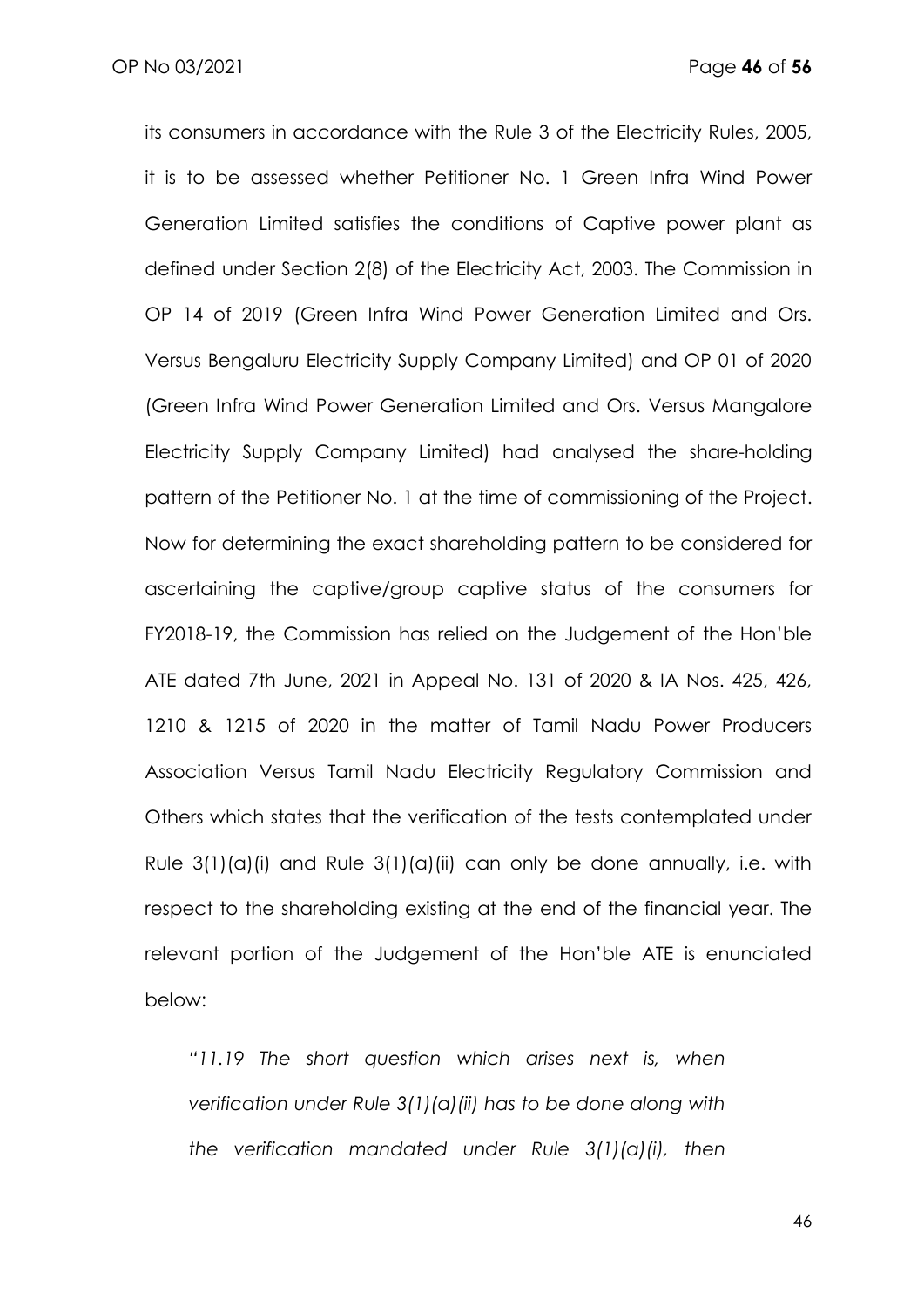OP No 03/2021 Page **46** of **56**

its consumers in accordance with the Rule 3 of the Electricity Rules, 2005, it is to be assessed whether Petitioner No. 1 Green Infra Wind Power Generation Limited satisfies the conditions of Captive power plant as defined under Section 2(8) of the Electricity Act, 2003. The Commission in OP 14 of 2019 (Green Infra Wind Power Generation Limited and Ors. Versus Bengaluru Electricity Supply Company Limited) and OP 01 of 2020 (Green Infra Wind Power Generation Limited and Ors. Versus Mangalore Electricity Supply Company Limited) had analysed the share-holding pattern of the Petitioner No. 1 at the time of commissioning of the Project. Now for determining the exact shareholding pattern to be considered for ascertaining the captive/group captive status of the consumers for FY2018-19, the Commission has relied on the Judgement of the Hon'ble ATE dated 7th June, 2021 in Appeal No. 131 of 2020 & IA Nos. 425, 426, 1210 & 1215 of 2020 in the matter of Tamil Nadu Power Producers Association Versus Tamil Nadu Electricity Regulatory Commission and Others which states that the verification of the tests contemplated under Rule  $3(1)(a)(i)$  and Rule  $3(1)(a)(ii)$  can only be done annually, i.e. with respect to the shareholding existing at the end of the financial year. The relevant portion of the Judgement of the Hon'ble ATE is enunciated below:

*"11.19 The short question which arises next is, when verification under Rule 3(1)(a)(ii) has to be done along with the verification mandated under Rule 3(1)(a)(i), then*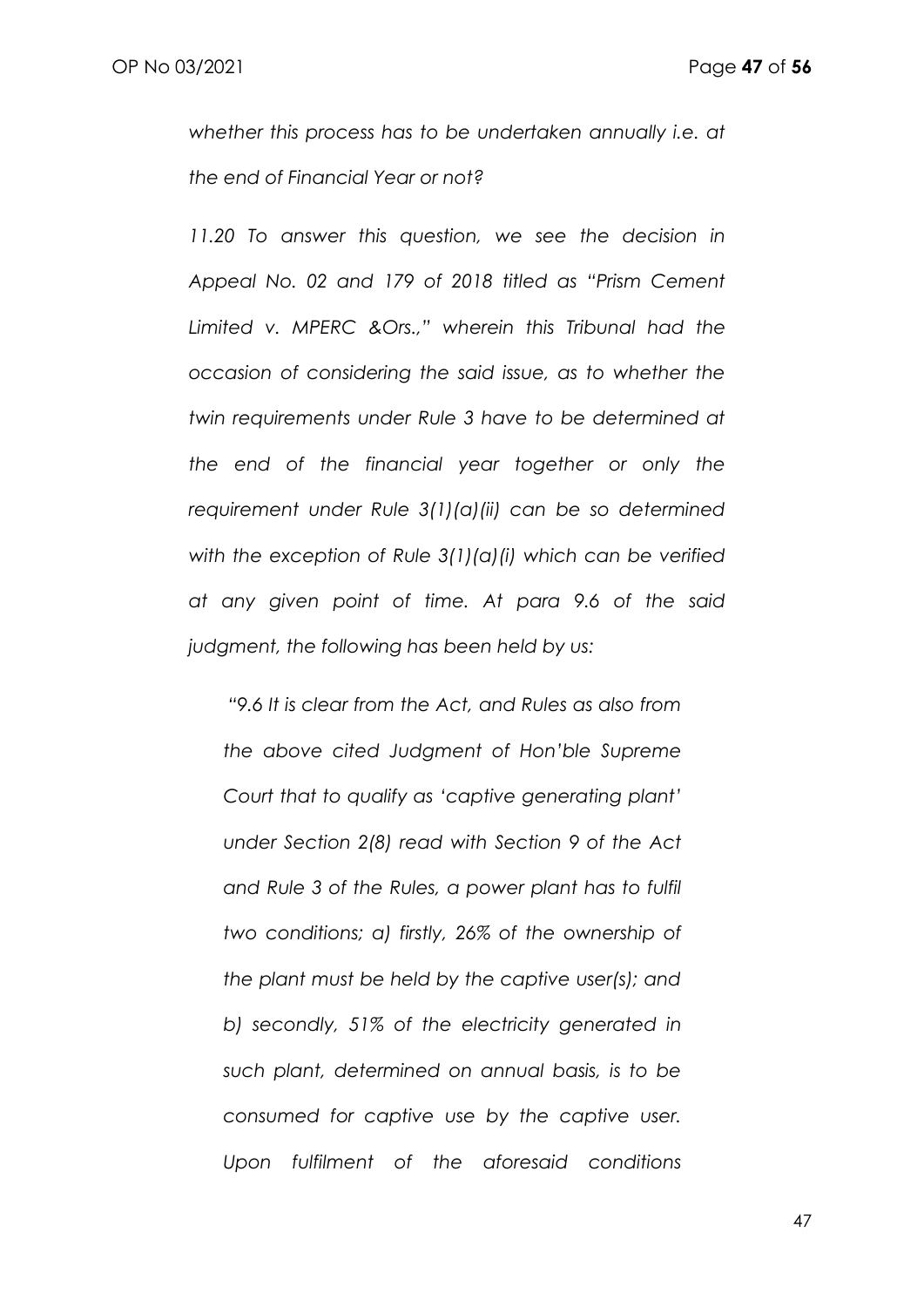*whether this process has to be undertaken annually i.e. at the end of Financial Year or not?* 

*11.20 To answer this question, we see the decision in Appeal No. 02 and 179 of 2018 titled as "Prism Cement Limited v. MPERC &Ors.," wherein this Tribunal had the occasion of considering the said issue, as to whether the twin requirements under Rule 3 have to be determined at the end of the financial year together or only the requirement under Rule 3(1)(a)(ii) can be so determined with the exception of Rule 3(1)(a)(i) which can be verified at any given point of time. At para 9.6 of the said judgment, the following has been held by us:*

*"9.6 It is clear from the Act, and Rules as also from the above cited Judgment of Hon'ble Supreme Court that to qualify as 'captive generating plant' under Section 2(8) read with Section 9 of the Act and Rule 3 of the Rules, a power plant has to fulfil two conditions; a) firstly, 26% of the ownership of the plant must be held by the captive user(s); and b) secondly, 51% of the electricity generated in such plant, determined on annual basis, is to be consumed for captive use by the captive user. Upon fulfilment of the aforesaid conditions*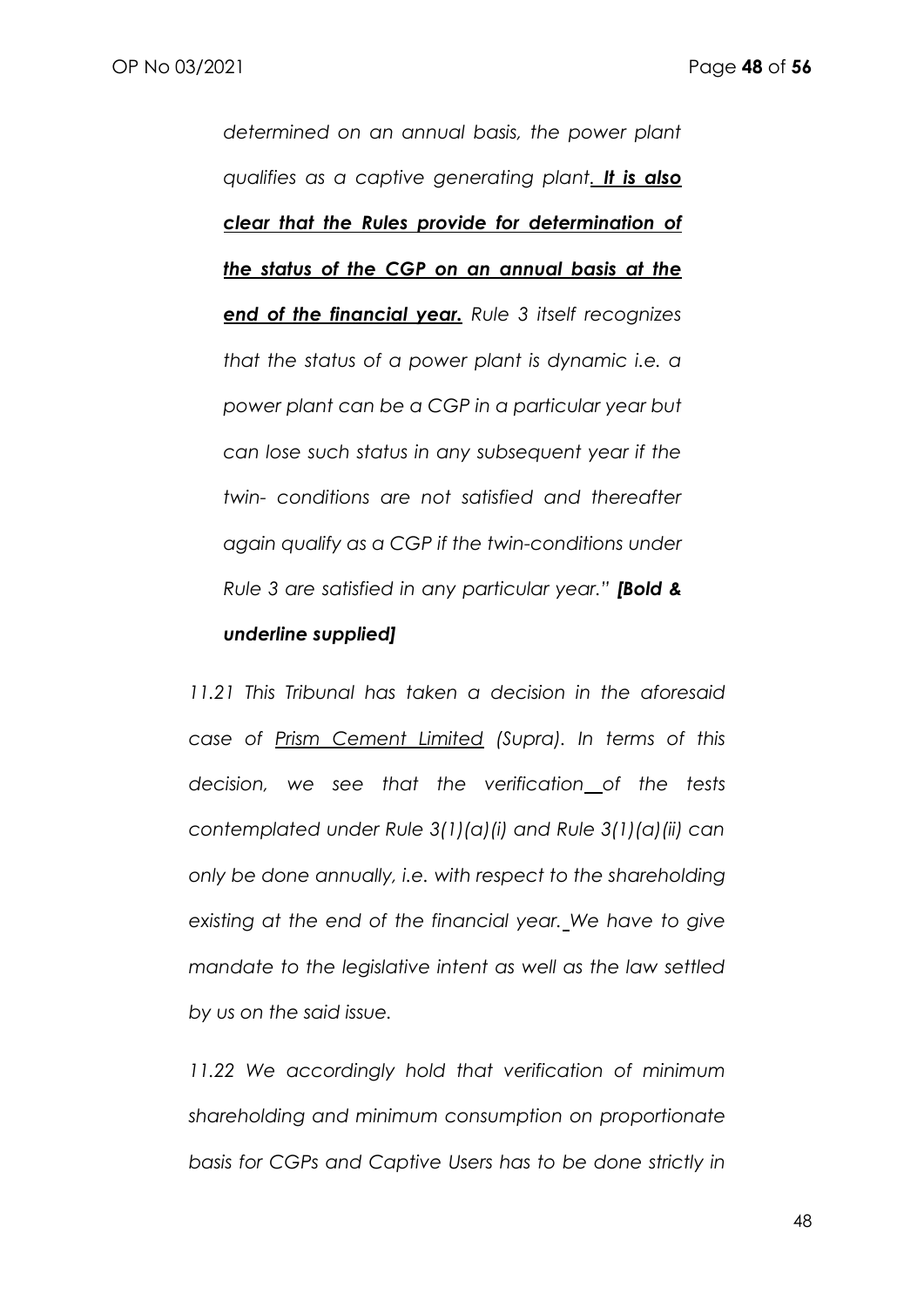*determined on an annual basis, the power plant qualifies as a captive generating plant. It is also clear that the Rules provide for determination of the status of the CGP on an annual basis at the end of the financial year. Rule 3 itself recognizes that the status of a power plant is dynamic i.e. a power plant can be a CGP in a particular year but can lose such status in any subsequent year if the twin- conditions are not satisfied and thereafter again qualify as a CGP if the twin-conditions under Rule 3 are satisfied in any particular year." [Bold &* 

#### *underline supplied]*

*11.21 This Tribunal has taken a decision in the aforesaid case of Prism Cement Limited (Supra). In terms of this decision, we see that the verification of the tests contemplated under Rule 3(1)(a)(i) and Rule 3(1)(a)(ii) can only be done annually, i.e. with respect to the shareholding existing at the end of the financial year. We have to give mandate to the legislative intent as well as the law settled by us on the said issue.* 

*11.22 We accordingly hold that verification of minimum shareholding and minimum consumption on proportionate basis for CGPs and Captive Users has to be done strictly in*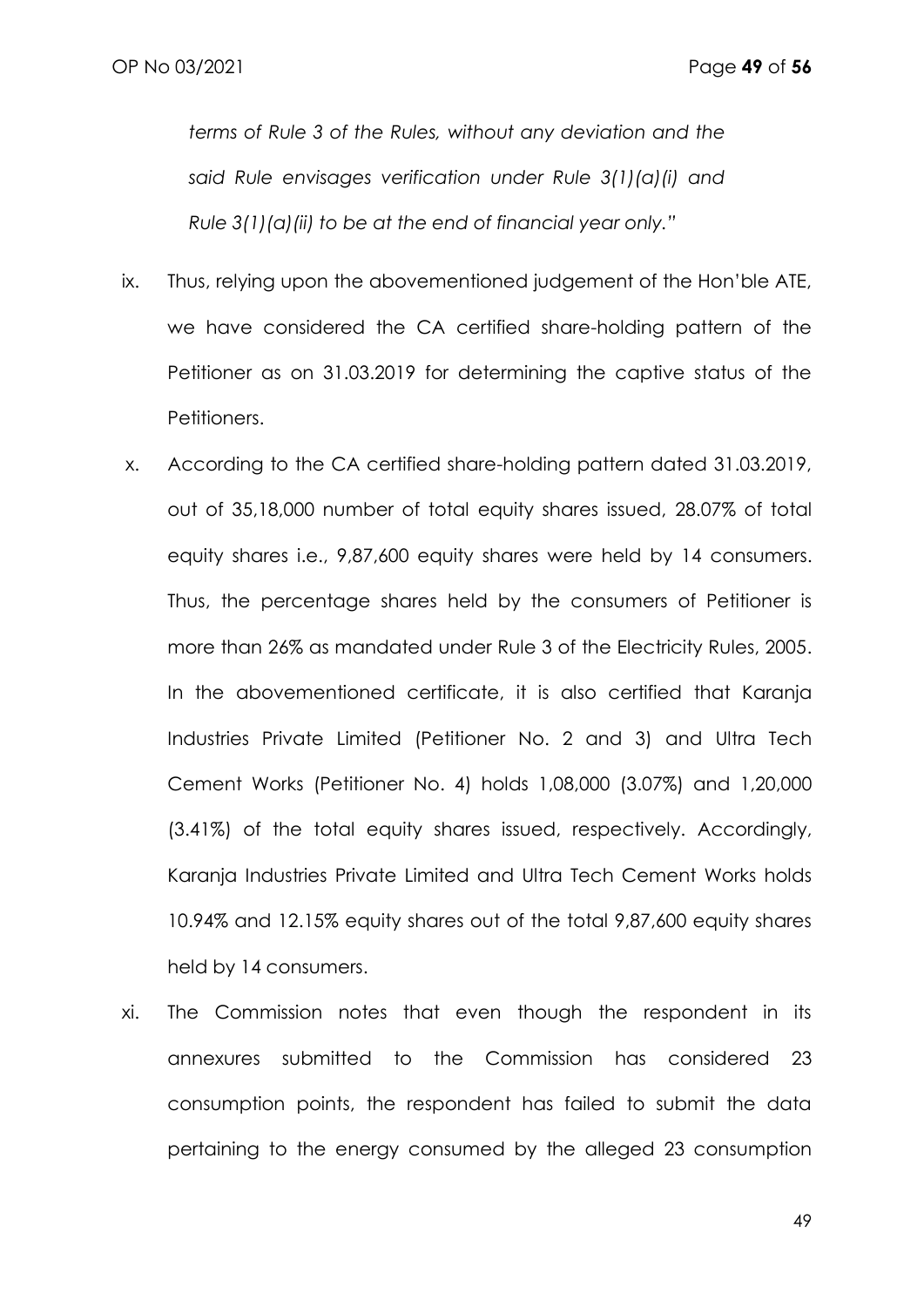*terms of Rule 3 of the Rules, without any deviation and the said Rule envisages verification under Rule 3(1)(a)(i) and Rule 3(1)(a)(ii) to be at the end of financial year only."* 

- ix. Thus, relying upon the abovementioned judgement of the Hon'ble ATE, we have considered the CA certified share-holding pattern of the Petitioner as on 31.03.2019 for determining the captive status of the Petitioners.
- x. According to the CA certified share-holding pattern dated 31.03.2019, out of 35,18,000 number of total equity shares issued, 28.07% of total equity shares i.e., 9,87,600 equity shares were held by 14 consumers. Thus, the percentage shares held by the consumers of Petitioner is more than 26% as mandated under Rule 3 of the Electricity Rules, 2005. In the abovementioned certificate, it is also certified that Karanja Industries Private Limited (Petitioner No. 2 and 3) and Ultra Tech Cement Works (Petitioner No. 4) holds 1,08,000 (3.07%) and 1,20,000 (3.41%) of the total equity shares issued, respectively. Accordingly, Karanja Industries Private Limited and Ultra Tech Cement Works holds 10.94% and 12.15% equity shares out of the total 9,87,600 equity shares held by 14 consumers.
- xi. The Commission notes that even though the respondent in its annexures submitted to the Commission has considered 23 consumption points, the respondent has failed to submit the data pertaining to the energy consumed by the alleged 23 consumption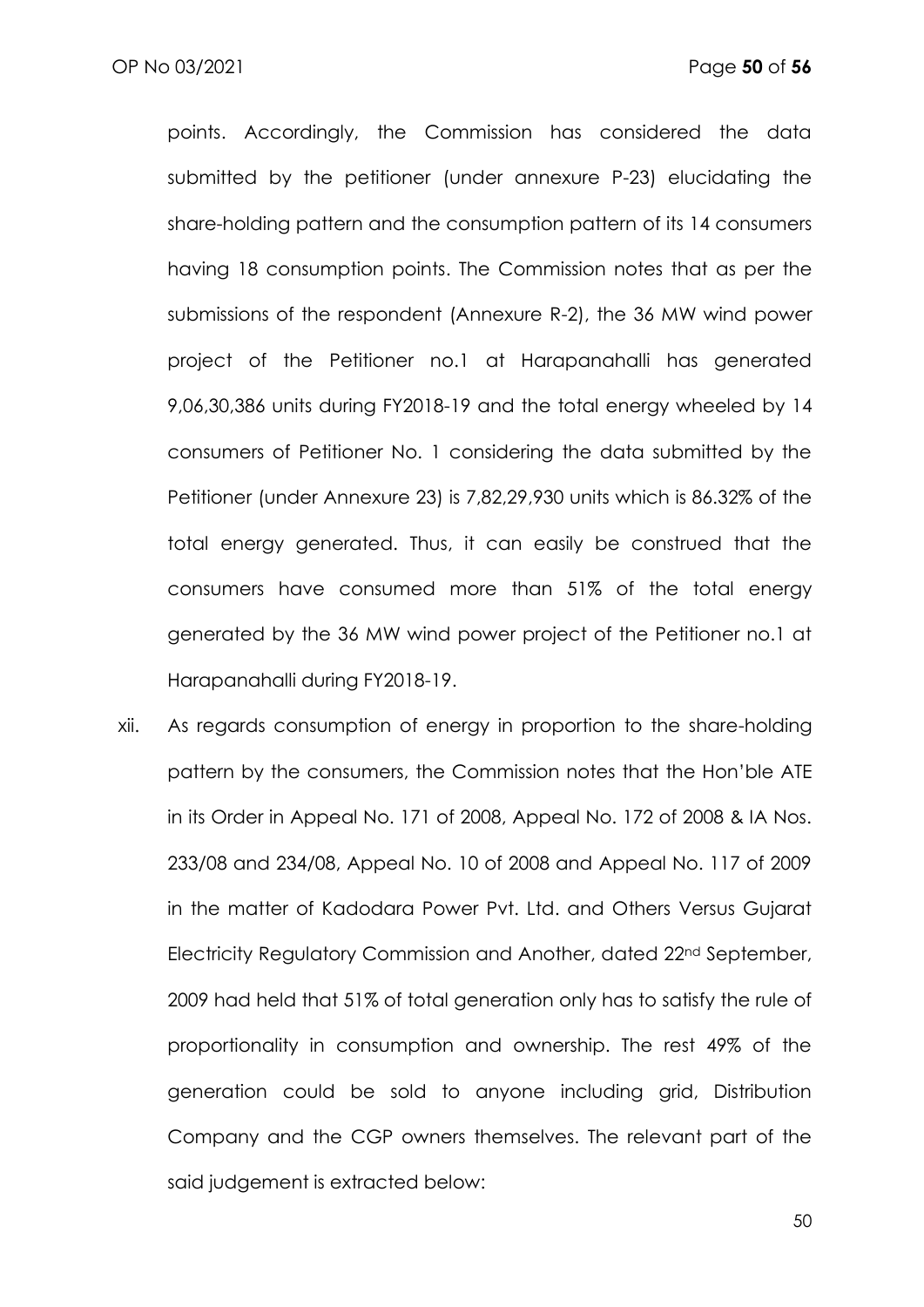points. Accordingly, the Commission has considered the data submitted by the petitioner (under annexure P-23) elucidating the share-holding pattern and the consumption pattern of its 14 consumers having 18 consumption points. The Commission notes that as per the submissions of the respondent (Annexure R-2), the 36 MW wind power project of the Petitioner no.1 at Harapanahalli has generated 9,06,30,386 units during FY2018-19 and the total energy wheeled by 14 consumers of Petitioner No. 1 considering the data submitted by the Petitioner (under Annexure 23) is 7,82,29,930 units which is 86.32% of the total energy generated. Thus, it can easily be construed that the consumers have consumed more than 51% of the total energy generated by the 36 MW wind power project of the Petitioner no.1 at Harapanahalli during FY2018-19.

xii. As regards consumption of energy in proportion to the share-holding pattern by the consumers, the Commission notes that the Hon'ble ATE in its Order in Appeal No. 171 of 2008, Appeal No. 172 of 2008 & IA Nos. 233/08 and 234/08, Appeal No. 10 of 2008 and Appeal No. 117 of 2009 in the matter of Kadodara Power Pvt. Ltd. and Others Versus Gujarat Electricity Regulatory Commission and Another, dated 22nd September, 2009 had held that 51% of total generation only has to satisfy the rule of proportionality in consumption and ownership. The rest 49% of the generation could be sold to anyone including grid, Distribution Company and the CGP owners themselves. The relevant part of the said judgement is extracted below: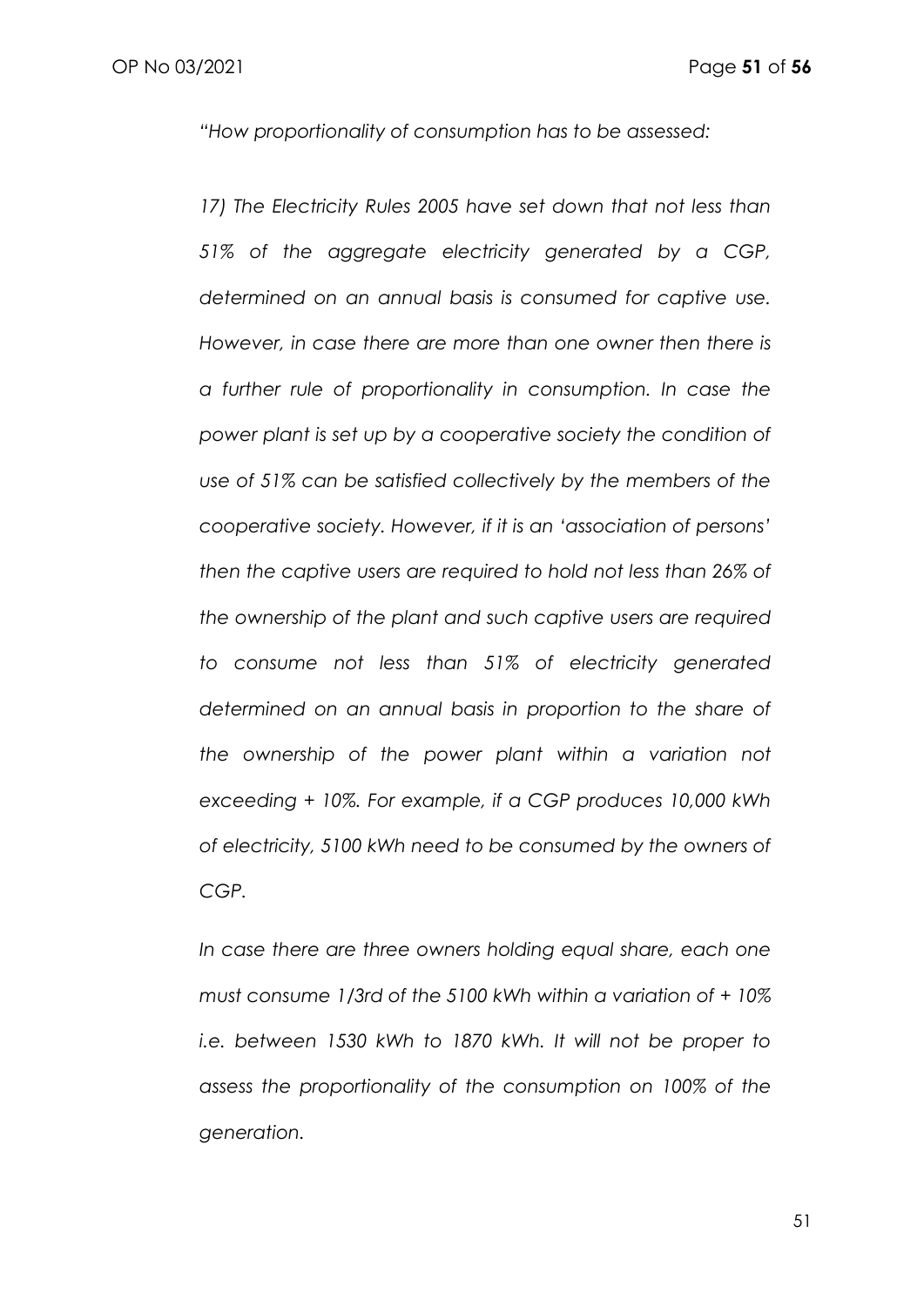*"How proportionality of consumption has to be assessed:* 

17) The Electricity Rules 2005 have set down that not less than *51% of the aggregate electricity generated by a CGP, determined on an annual basis is consumed for captive use. However, in case there are more than one owner then there is a further rule of proportionality in consumption. In case the power plant is set up by a cooperative society the condition of use of 51% can be satisfied collectively by the members of the cooperative society. However, if it is an 'association of persons' then the captive users are required to hold not less than 26% of the ownership of the plant and such captive users are required to consume not less than 51% of electricity generated determined on an annual basis in proportion to the share of the ownership of the power plant within a variation not exceeding + 10%. For example, if a CGP produces 10,000 kWh of electricity, 5100 kWh need to be consumed by the owners of CGP.* 

*In case there are three owners holding equal share, each one must consume 1/3rd of the 5100 kWh within a variation of + 10% i.e. between 1530 kWh to 1870 kWh. It will not be proper to assess the proportionality of the consumption on 100% of the generation.*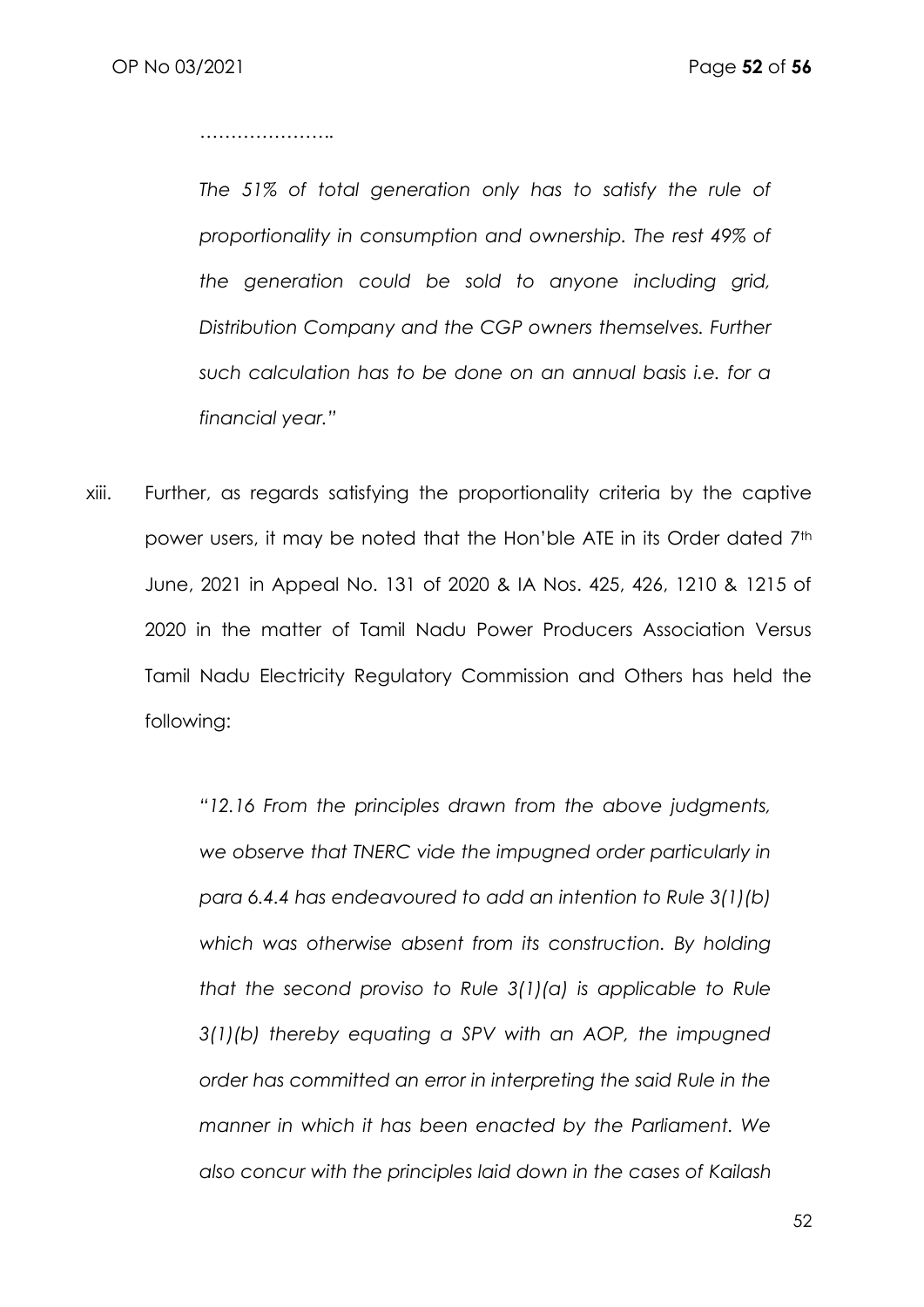*………………….*

*The 51% of total generation only has to satisfy the rule of proportionality in consumption and ownership. The rest 49% of the generation could be sold to anyone including grid, Distribution Company and the CGP owners themselves. Further such calculation has to be done on an annual basis i.e. for a financial year."*

xiii. Further, as regards satisfying the proportionality criteria by the captive power users, it may be noted that the Hon'ble ATE in its Order dated 7th June, 2021 in Appeal No. 131 of 2020 & IA Nos. 425, 426, 1210 & 1215 of 2020 in the matter of Tamil Nadu Power Producers Association Versus Tamil Nadu Electricity Regulatory Commission and Others has held the following:

> *"12.16 From the principles drawn from the above judgments, we observe that TNERC vide the impugned order particularly in para 6.4.4 has endeavoured to add an intention to Rule 3(1)(b) which was otherwise absent from its construction. By holding that the second proviso to Rule 3(1)(a) is applicable to Rule 3(1)(b) thereby equating a SPV with an AOP, the impugned order has committed an error in interpreting the said Rule in the manner in which it has been enacted by the Parliament. We also concur with the principles laid down in the cases of Kailash*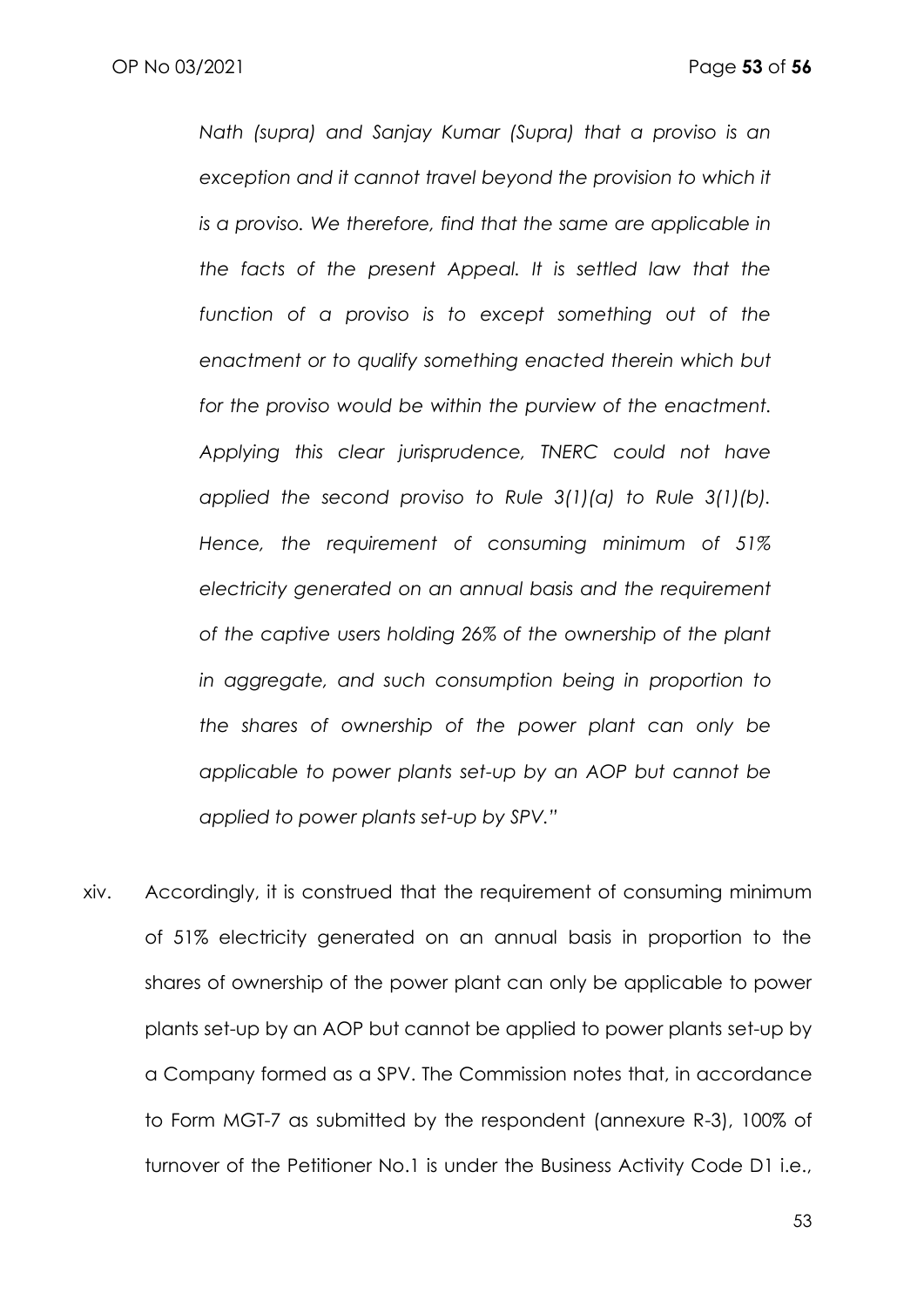*Nath (supra) and Sanjay Kumar (Supra) that a proviso is an*  exception and it cannot travel beyond the provision to which it *is a proviso. We therefore, find that the same are applicable in the facts of the present Appeal. It is settled law that the function of a proviso is to except something out of the enactment or to qualify something enacted therein which but for the proviso would be within the purview of the enactment. Applying this clear jurisprudence, TNERC could not have applied the second proviso to Rule 3(1)(a) to Rule 3(1)(b). Hence, the requirement of consuming minimum of 51% electricity generated on an annual basis and the requirement of the captive users holding 26% of the ownership of the plant in aggregate, and such consumption being in proportion to the shares of ownership of the power plant can only be applicable to power plants set-up by an AOP but cannot be applied to power plants set-up by SPV."*

xiv. Accordingly, it is construed that the requirement of consuming minimum of 51% electricity generated on an annual basis in proportion to the shares of ownership of the power plant can only be applicable to power plants set-up by an AOP but cannot be applied to power plants set-up by a Company formed as a SPV. The Commission notes that, in accordance to Form MGT-7 as submitted by the respondent (annexure R-3), 100% of turnover of the Petitioner No.1 is under the Business Activity Code D1 i.e.,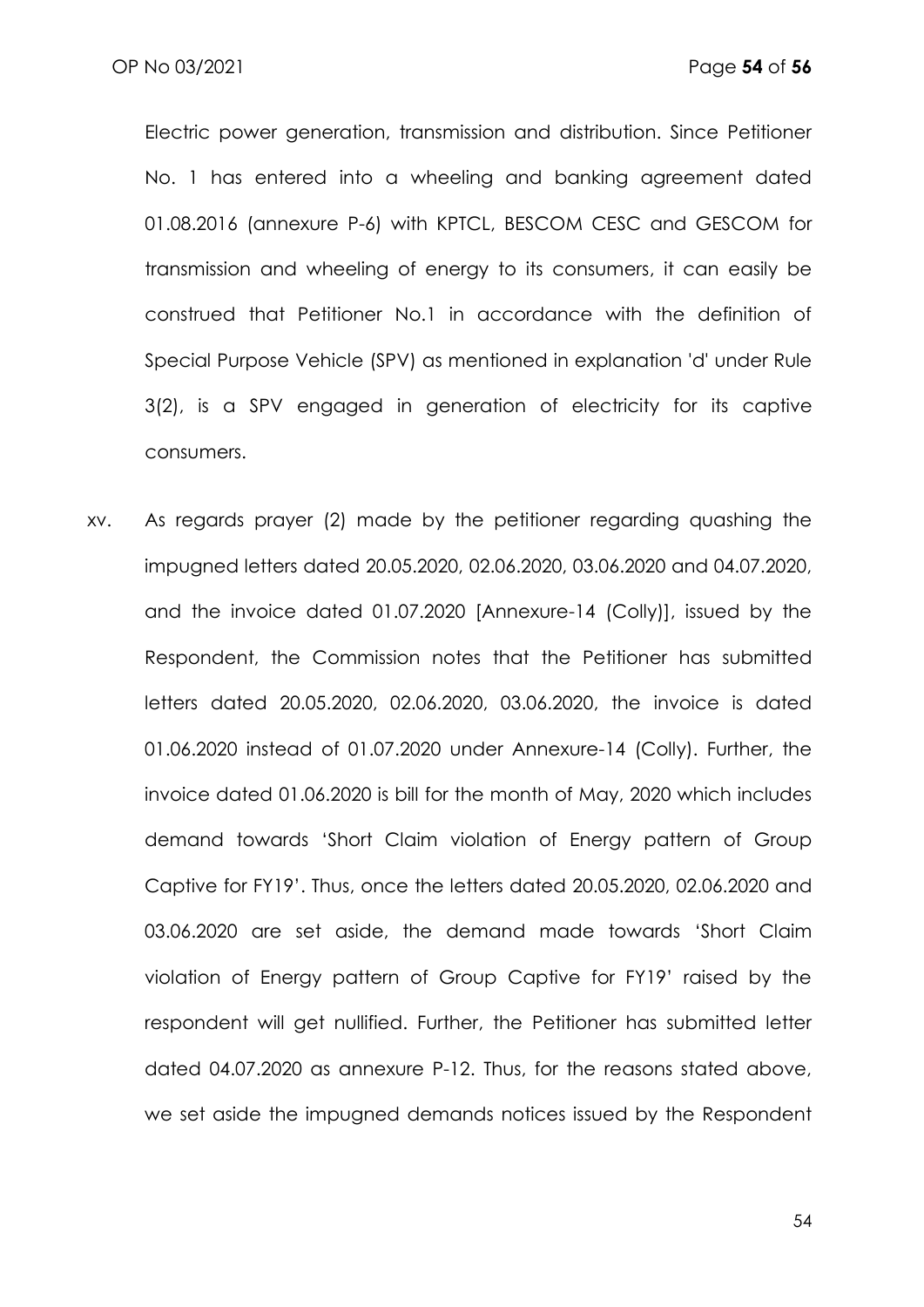Electric power generation, transmission and distribution. Since Petitioner No. 1 has entered into a wheeling and banking agreement dated 01.08.2016 (annexure P-6) with KPTCL, BESCOM CESC and GESCOM for transmission and wheeling of energy to its consumers, it can easily be construed that Petitioner No.1 in accordance with the definition of Special Purpose Vehicle (SPV) as mentioned in explanation 'd' under Rule 3(2), is a SPV engaged in generation of electricity for its captive consumers.

xv. As regards prayer (2) made by the petitioner regarding quashing the impugned letters dated 20.05.2020, 02.06.2020, 03.06.2020 and 04.07.2020, and the invoice dated 01.07.2020 [Annexure-14 (Colly)], issued by the Respondent, the Commission notes that the Petitioner has submitted letters dated 20.05.2020, 02.06.2020, 03.06.2020, the invoice is dated 01.06.2020 instead of 01.07.2020 under Annexure-14 (Colly). Further, the invoice dated 01.06.2020 is bill for the month of May, 2020 which includes demand towards 'Short Claim violation of Energy pattern of Group Captive for FY19'. Thus, once the letters dated 20.05.2020, 02.06.2020 and 03.06.2020 are set aside, the demand made towards 'Short Claim violation of Energy pattern of Group Captive for FY19' raised by the respondent will get nullified. Further, the Petitioner has submitted letter dated 04.07.2020 as annexure P-12. Thus, for the reasons stated above, we set aside the impugned demands notices issued by the Respondent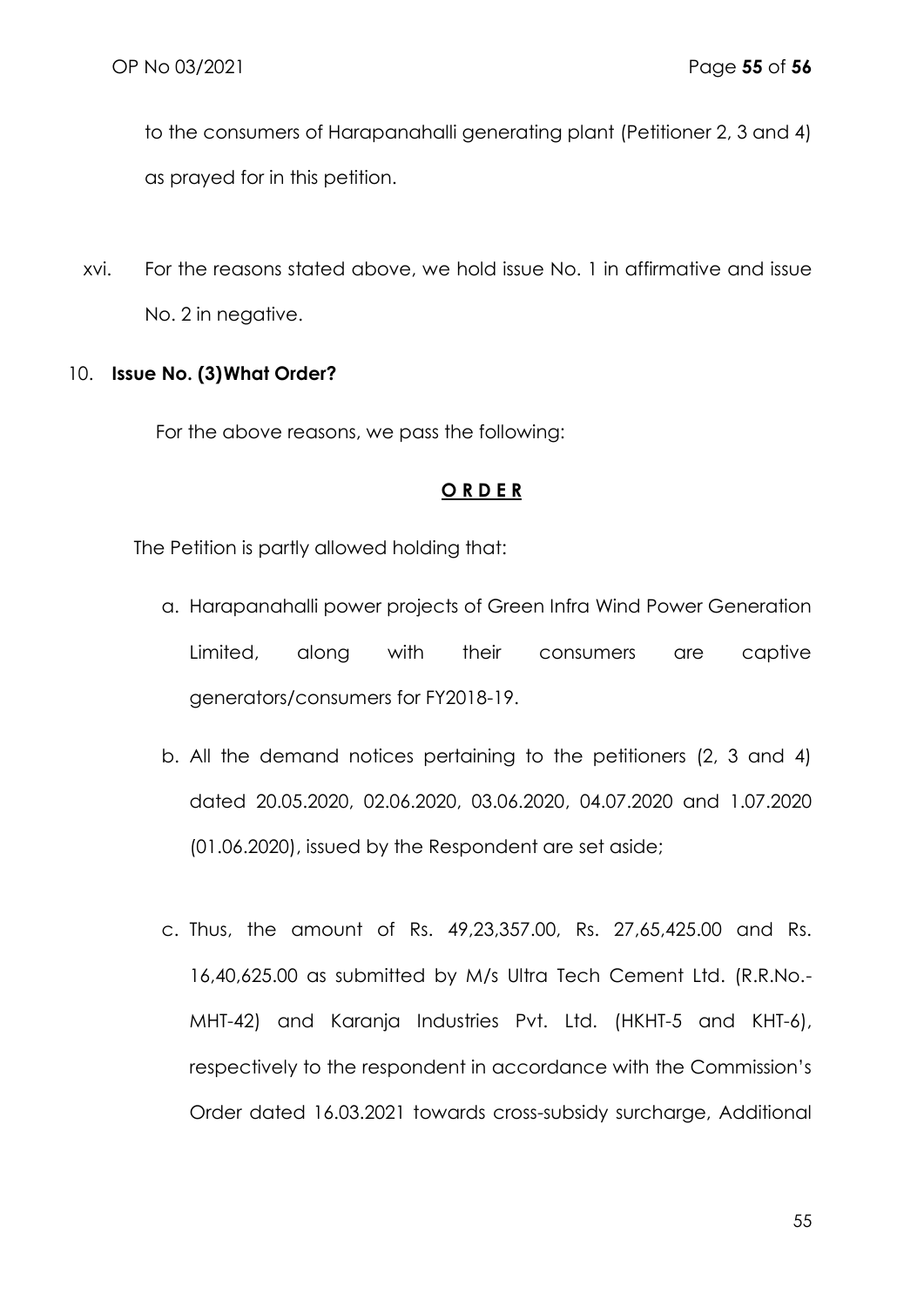to the consumers of Harapanahalli generating plant (Petitioner 2, 3 and 4) as prayed for in this petition.

xvi. For the reasons stated above, we hold issue No. 1 in affirmative and issue No. 2 in negative.

### 10. **Issue No. (3)What Order?**

For the above reasons, we pass the following:

### **O R D E R**

The Petition is partly allowed holding that:

- a. Harapanahalli power projects of Green Infra Wind Power Generation Limited, along with their consumers are captive generators/consumers for FY2018-19.
- b. All the demand notices pertaining to the petitioners (2, 3 and 4) dated 20.05.2020, 02.06.2020, 03.06.2020, 04.07.2020 and 1.07.2020 (01.06.2020), issued by the Respondent are set aside;
- c. Thus, the amount of Rs. 49,23,357.00, Rs. 27,65,425.00 and Rs. 16,40,625.00 as submitted by M/s Ultra Tech Cement Ltd. (R.R.No.- MHT-42) and Karanja Industries Pvt. Ltd. (HKHT-5 and KHT-6), respectively to the respondent in accordance with the Commission's Order dated 16.03.2021 towards cross-subsidy surcharge, Additional